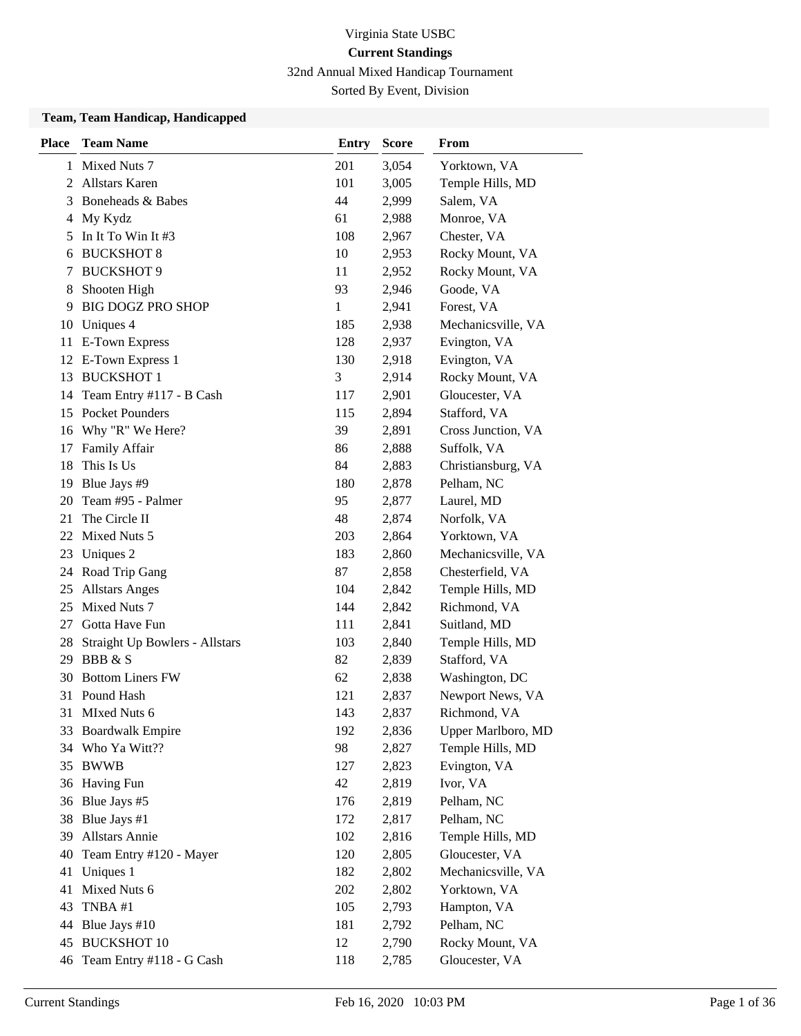32nd Annual Mixed Handicap Tournament

Sorted By Event, Division

## **Team, Team Handicap, Handicapped**

| <b>Place</b> | <b>Team Name</b>               | <b>Entry</b> | <b>Score</b> | <b>From</b>        |
|--------------|--------------------------------|--------------|--------------|--------------------|
| 1            | Mixed Nuts 7                   | 201          | 3,054        | Yorktown, VA       |
| 2            | <b>Allstars Karen</b>          | 101          | 3,005        | Temple Hills, MD   |
| 3            | Boneheads & Babes              | 44           | 2,999        | Salem, VA          |
| 4            | My Kydz                        | 61           | 2,988        | Monroe, VA         |
| 5            | In It To Win It #3             | 108          | 2,967        | Chester, VA        |
| 6            | <b>BUCKSHOT 8</b>              | 10           | 2,953        | Rocky Mount, VA    |
| 7            | <b>BUCKSHOT 9</b>              | 11           | 2,952        | Rocky Mount, VA    |
| 8            | Shooten High                   | 93           | 2,946        | Goode, VA          |
| 9            | <b>BIG DOGZ PRO SHOP</b>       | 1            | 2,941        | Forest, VA         |
| 10           | Uniques 4                      | 185          | 2,938        | Mechanicsville, VA |
| 11           | <b>E-Town Express</b>          | 128          | 2,937        | Evington, VA       |
|              | 12 E-Town Express 1            | 130          | 2,918        | Evington, VA       |
| 13           | <b>BUCKSHOT 1</b>              | 3            | 2,914        | Rocky Mount, VA    |
| 14           | Team Entry #117 - B Cash       | 117          | 2,901        | Gloucester, VA     |
| 15           | <b>Pocket Pounders</b>         | 115          | 2,894        | Stafford, VA       |
| 16           | Why "R" We Here?               | 39           | 2,891        | Cross Junction, VA |
| 17           | Family Affair                  | 86           | 2,888        | Suffolk, VA        |
| 18           | This Is Us                     | 84           | 2,883        | Christiansburg, VA |
| 19           | Blue Jays #9                   | 180          | 2,878        | Pelham, NC         |
| 20           | Team #95 - Palmer              | 95           | 2,877        | Laurel, MD         |
| 21           | The Circle II                  | 48           | 2,874        | Norfolk, VA        |
| 22           | Mixed Nuts 5                   | 203          | 2,864        | Yorktown, VA       |
| 23           | Uniques 2                      | 183          | 2,860        | Mechanicsville, VA |
|              | 24 Road Trip Gang              | 87           | 2,858        | Chesterfield, VA   |
| 25           | <b>Allstars Anges</b>          | 104          | 2,842        | Temple Hills, MD   |
| 25           | Mixed Nuts 7                   | 144          | 2,842        | Richmond, VA       |
| 27           | Gotta Have Fun                 | 111          | 2,841        | Suitland, MD       |
| 28           | Straight Up Bowlers - Allstars | 103          | 2,840        | Temple Hills, MD   |
| 29           | <b>BBB</b> & S                 | 82           | 2,839        | Stafford, VA       |
|              | 30 Bottom Liners FW            | 62           | 2,838        | Washington, DC     |
| 31           | Pound Hash                     | 121          | 2,837        | Newport News, VA   |
| 31           | MIxed Nuts 6                   | 143          | 2,837        | Richmond, VA       |
| 33           | <b>Boardwalk Empire</b>        | 192          | 2,836        | Upper Marlboro, MD |
| 34           | Who Ya Witt??                  | 98           | 2,827        | Temple Hills, MD   |
| 35           | <b>BWWB</b>                    | 127          | 2,823        | Evington, VA       |
|              | 36 Having Fun                  | 42           | 2,819        | Ivor, VA           |
| 36           | Blue Jays #5                   | 176          | 2,819        | Pelham, NC         |
| 38           | Blue Jays #1                   | 172          | 2,817        | Pelham, NC         |
| 39           | Allstars Annie                 | 102          | 2,816        | Temple Hills, MD   |
| 40           | Team Entry #120 - Mayer        | 120          | 2,805        | Gloucester, VA     |
| 41           | Uniques 1                      | 182          | 2,802        | Mechanicsville, VA |
| 41           | Mixed Nuts 6                   | 202          | 2,802        | Yorktown, VA       |
| 43           | TNBA#1                         | 105          | 2,793        | Hampton, VA        |
| 44           | Blue Jays #10                  | 181          | 2,792        | Pelham, NC         |
| 45           | <b>BUCKSHOT 10</b>             | 12           | 2,790        | Rocky Mount, VA    |
| 46           | Team Entry #118 - G Cash       | 118          | 2,785        | Gloucester, VA     |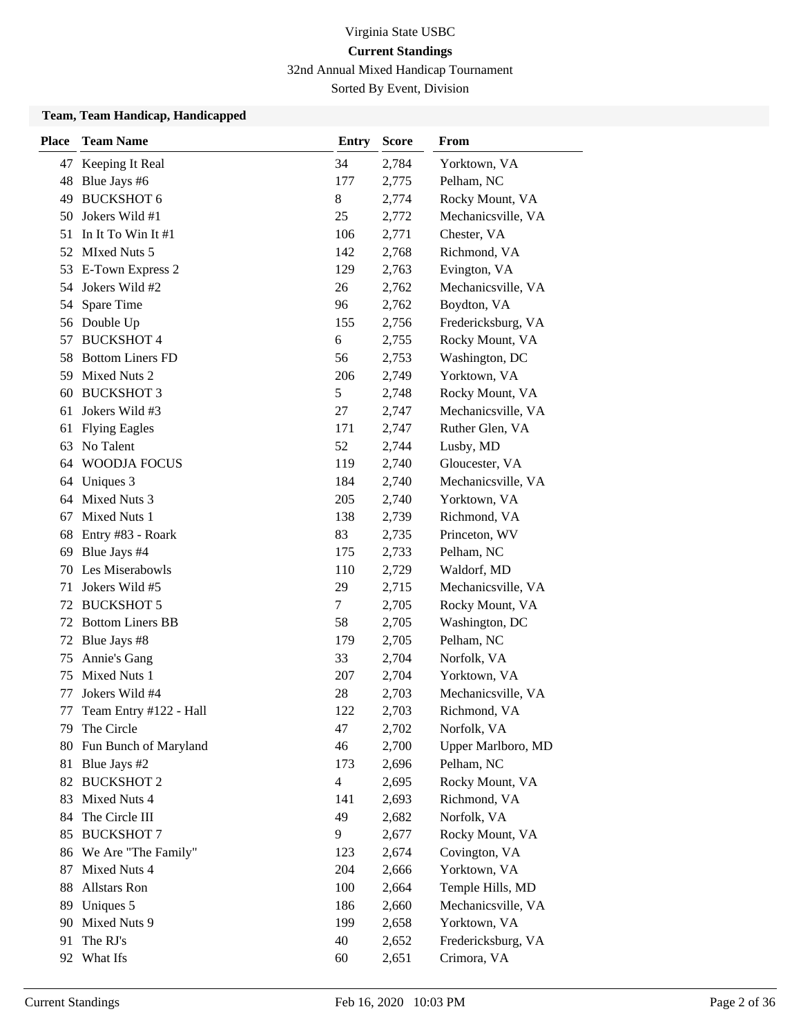32nd Annual Mixed Handicap Tournament

Sorted By Event, Division

#### **Team, Team Handicap, Handicapped**

| <b>Place</b> | <b>Team Name</b>        | <b>Entry</b>   | <b>Score</b> | From               |
|--------------|-------------------------|----------------|--------------|--------------------|
| 47           | Keeping It Real         | 34             | 2,784        | Yorktown, VA       |
|              | 48 Blue Jays #6         | 177            | 2,775        | Pelham, NC         |
| 49           | <b>BUCKSHOT 6</b>       | 8              | 2,774        | Rocky Mount, VA    |
| 50           | Jokers Wild #1          | 25             | 2,772        | Mechanicsville, VA |
| 51           | In It To Win It $#1$    | 106            | 2,771        | Chester, VA        |
| 52           | <b>MIxed Nuts 5</b>     | 142            | 2,768        | Richmond, VA       |
| 53           | E-Town Express 2        | 129            | 2,763        | Evington, VA       |
|              | 54 Jokers Wild #2       | 26             | 2,762        | Mechanicsville, VA |
|              | 54 Spare Time           | 96             | 2,762        | Boydton, VA        |
|              | 56 Double Up            | 155            | 2,756        | Fredericksburg, VA |
| 57           | <b>BUCKSHOT 4</b>       | 6              | 2,755        | Rocky Mount, VA    |
| 58           | <b>Bottom Liners FD</b> | 56             | 2,753        | Washington, DC     |
| 59           | Mixed Nuts 2            | 206            | 2,749        | Yorktown, VA       |
| 60           | <b>BUCKSHOT 3</b>       | $\mathfrak s$  | 2,748        | Rocky Mount, VA    |
| 61           | Jokers Wild #3          | 27             | 2,747        | Mechanicsville, VA |
| 61           | <b>Flying Eagles</b>    | 171            | 2,747        | Ruther Glen, VA    |
| 63           | No Talent               | 52             | 2,744        | Lusby, MD          |
| 64           | <b>WOODJA FOCUS</b>     | 119            | 2,740        | Gloucester, VA     |
| 64           | Uniques 3               | 184            | 2,740        | Mechanicsville, VA |
|              | 64 Mixed Nuts 3         | 205            | 2,740        | Yorktown, VA       |
| 67           | Mixed Nuts 1            | 138            | 2,739        | Richmond, VA       |
| 68           | Entry #83 - Roark       | 83             | 2,735        | Princeton, WV      |
| 69           | Blue Jays #4            | 175            | 2,733        | Pelham, NC         |
| 70           | Les Miserabowls         | 110            | 2,729        | Waldorf, MD        |
| 71           | Jokers Wild #5          | 29             | 2,715        | Mechanicsville, VA |
| 72           | <b>BUCKSHOT 5</b>       | $\tau$         | 2,705        | Rocky Mount, VA    |
| 72           | <b>Bottom Liners BB</b> | 58             | 2,705        | Washington, DC     |
| 72           | Blue Jays #8            | 179            | 2,705        | Pelham, NC         |
| 75           | Annie's Gang            | 33             | 2,704        | Norfolk, VA        |
| 75           | Mixed Nuts 1            | 207            | 2,704        | Yorktown, VA       |
| 77           | Jokers Wild #4          | 28             | 2,703        | Mechanicsville, VA |
| 77           | Team Entry #122 - Hall  | 122            | 2,703        | Richmond, VA       |
| 79           | The Circle              | 47             | 2,702        | Norfolk, VA        |
| 80           | Fun Bunch of Maryland   | 46             | 2,700        | Upper Marlboro, MD |
| 81           | Blue Jays #2            | 173            | 2,696        | Pelham, NC         |
|              | 82 BUCKSHOT 2           | $\overline{4}$ | 2,695        | Rocky Mount, VA    |
| 83           | Mixed Nuts 4            | 141            | 2,693        | Richmond, VA       |
| 84           | The Circle III          | 49             | 2,682        | Norfolk, VA        |
| 85           | <b>BUCKSHOT 7</b>       | 9              | 2,677        | Rocky Mount, VA    |
| 86           | We Are "The Family"     | 123            | 2,674        | Covington, VA      |
| 87           | Mixed Nuts 4            | 204            | 2,666        | Yorktown, VA       |
| 88           | Allstars Ron            | 100            | 2,664        | Temple Hills, MD   |
| 89           | Uniques 5               | 186            | 2,660        | Mechanicsville, VA |
| 90           | Mixed Nuts 9            | 199            | 2,658        | Yorktown, VA       |
| 91           | The RJ's                | 40             | 2,652        | Fredericksburg, VA |
| 92           | What Ifs                | 60             | 2,651        | Crimora, VA        |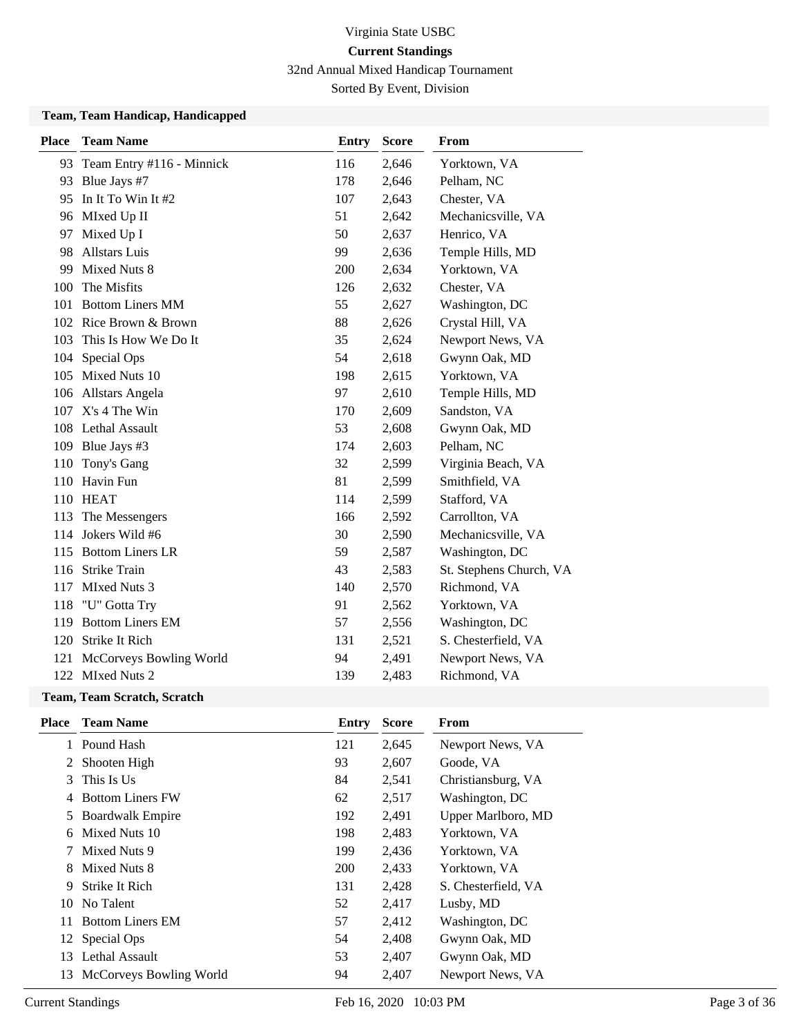32nd Annual Mixed Handicap Tournament

Sorted By Event, Division

#### **Team, Team Handicap, Handicapped**

| <b>Place</b> | <b>Team Name</b>             | <b>Entry</b> | <b>Score</b> | From                    |
|--------------|------------------------------|--------------|--------------|-------------------------|
|              | 93 Team Entry #116 - Minnick | 116          | 2,646        | Yorktown, VA            |
|              | 93 Blue Jays #7              | 178          | 2,646        | Pelham, NC              |
| 95           | In It To Win It #2           | 107          | 2,643        | Chester, VA             |
| 96           | MIxed Up II                  | 51           | 2,642        | Mechanicsville, VA      |
| 97           | Mixed Up I                   | 50           | 2,637        | Henrico, VA             |
| 98           | <b>Allstars Luis</b>         | 99           | 2,636        | Temple Hills, MD        |
| 99           | Mixed Nuts 8                 | 200          | 2,634        | Yorktown, VA            |
| 100          | The Misfits                  | 126          | 2,632        | Chester, VA             |
| 101          | <b>Bottom Liners MM</b>      | 55           | 2,627        | Washington, DC          |
| 102          | Rice Brown & Brown           | 88           | 2,626        | Crystal Hill, VA        |
| 103          | This Is How We Do It         | 35           | 2,624        | Newport News, VA        |
| 104          | Special Ops                  | 54           | 2,618        | Gwynn Oak, MD           |
| 105          | Mixed Nuts 10                | 198          | 2,615        | Yorktown, VA            |
| 106          | Allstars Angela              | 97           | 2,610        | Temple Hills, MD        |
|              | 107 X's 4 The Win            | 170          | 2,609        | Sandston, VA            |
|              | 108 Lethal Assault           | 53           | 2,608        | Gwynn Oak, MD           |
| 109          | Blue Jays #3                 | 174          | 2,603        | Pelham, NC              |
| 110          | Tony's Gang                  | 32           | 2,599        | Virginia Beach, VA      |
| 110          | Havin Fun                    | 81           | 2,599        | Smithfield, VA          |
| 110          | <b>HEAT</b>                  | 114          | 2,599        | Stafford, VA            |
| 113          | The Messengers               | 166          | 2,592        | Carrollton, VA          |
|              | 114 Jokers Wild #6           | 30           | 2,590        | Mechanicsville, VA      |
|              | 115 Bottom Liners LR         | 59           | 2,587        | Washington, DC          |
|              | 116 Strike Train             | 43           | 2,583        | St. Stephens Church, VA |
| 117          | MIxed Nuts 3                 | 140          | 2,570        | Richmond, VA            |
| 118          | "U" Gotta Try                | 91           | 2,562        | Yorktown, VA            |
| 119          | <b>Bottom Liners EM</b>      | 57           | 2,556        | Washington, DC          |
| 120          | Strike It Rich               | 131          | 2,521        | S. Chesterfield, VA     |
| 121          | McCorveys Bowling World      | 94           | 2,491        | Newport News, VA        |
|              | 122 MIxed Nuts 2             | 139          | 2,483        | Richmond, VA            |

## **Team, Team Scratch, Scratch**

| <b>Team Name</b>        | Entry                                     | <b>Score</b> | From                |
|-------------------------|-------------------------------------------|--------------|---------------------|
| Pound Hash              | 121                                       | 2,645        | Newport News, VA    |
| Shooten High            | 93                                        | 2,607        | Goode, VA           |
| This Is Us              | 84                                        | 2,541        | Christiansburg, VA  |
| <b>Bottom Liners FW</b> | 62                                        | 2,517        | Washington, DC      |
| <b>Boardwalk Empire</b> | 192                                       | 2,491        | Upper Marlboro, MD  |
| Mixed Nuts 10           | 198                                       | 2,483        | Yorktown, VA        |
| Mixed Nuts 9            | 199                                       | 2,436        | Yorktown, VA        |
| Mixed Nuts 8            | <b>200</b>                                | 2,433        | Yorktown, VA        |
| Strike It Rich          | 131                                       | 2,428        | S. Chesterfield, VA |
| No Talent               | 52                                        | 2,417        | Lusby, MD           |
| <b>Bottom Liners EM</b> | 57                                        | 2,412        | Washington, DC      |
|                         | 54                                        | 2,408        | Gwynn Oak, MD       |
| Lethal Assault          | 53                                        | 2,407        | Gwynn Oak, MD       |
|                         | 94                                        | 2,407        | Newport News, VA    |
|                         | 12 Special Ops<br>McCorveys Bowling World |              |                     |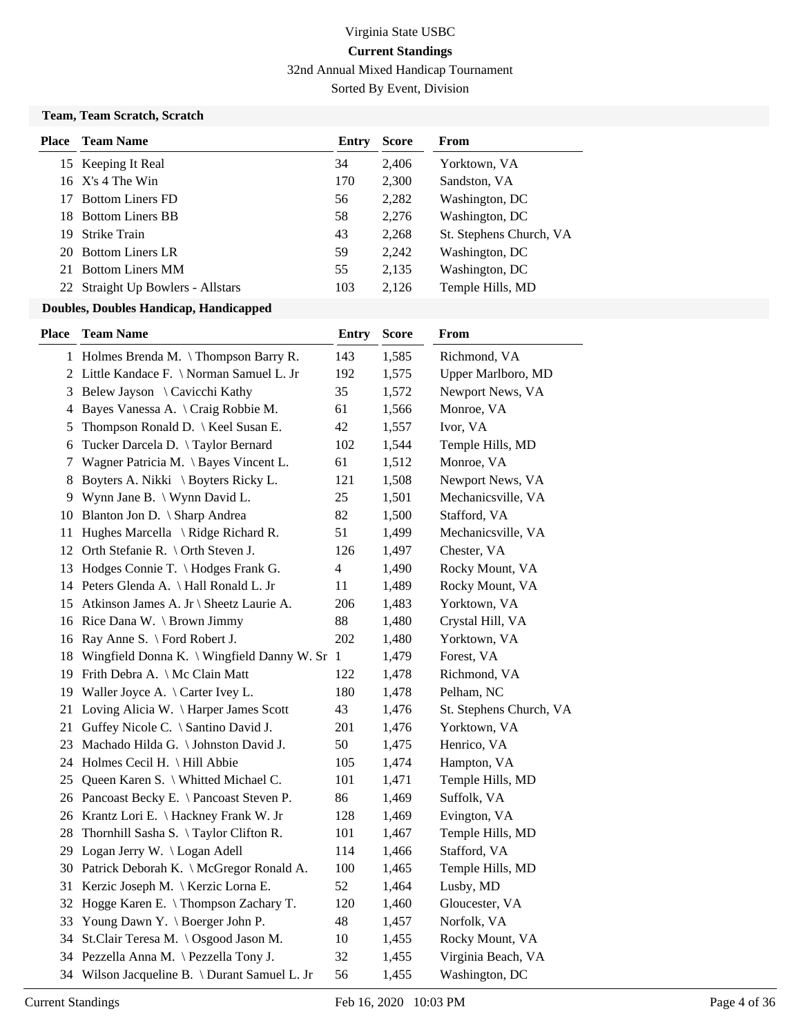32nd Annual Mixed Handicap Tournament

Sorted By Event, Division

## **Team, Team Scratch, Scratch**

| Place | <b>Team Name</b>                  | Entry | <b>Score</b> | From                    |
|-------|-----------------------------------|-------|--------------|-------------------------|
|       | 15 Keeping It Real                | 34    | 2,406        | Yorktown, VA            |
|       | $16$ X's 4 The Win                | 170   | 2,300        | Sandston, VA            |
|       | <b>Bottom Liners FD</b>           | 56    | 2,282        | Washington, DC          |
|       | 18 Bottom Liners BB               | 58    | 2,276        | Washington, DC          |
| 19.   | <b>Strike Train</b>               | 43    | 2,268        | St. Stephens Church, VA |
|       | 20 Bottom Liners LR               | 59    | 2,242        | Washington, DC          |
|       | 21 Bottom Liners MM               | 55    | 2,135        | Washington, DC          |
|       | 22 Straight Up Bowlers - Allstars | 103   | 2,126        | Temple Hills, MD        |
|       |                                   |       |              |                         |

| <b>Place</b> | <b>Team Name</b>                                | <b>Entry</b>   | <b>Score</b> | From                    |
|--------------|-------------------------------------------------|----------------|--------------|-------------------------|
|              | 1 Holmes Brenda M. \Thompson Barry R.           | 143            | 1,585        | Richmond, VA            |
|              | 2 Little Kandace F. \ Norman Samuel L. Jr       | 192            | 1,575        | Upper Marlboro, MD      |
|              | 3 Belew Jayson \ Cavicchi Kathy                 | 35             | 1,572        | Newport News, VA        |
|              | 4 Bayes Vanessa A. \ Craig Robbie M.            | 61             | 1,566        | Monroe, VA              |
| 5            | Thompson Ronald D.   Keel Susan E.              | 42             | 1,557        | Ivor, VA                |
| 6            | Tucker Darcela D. \Taylor Bernard               | 102            | 1,544        | Temple Hills, MD        |
| 7            | Wagner Patricia M. \ Bayes Vincent L.           | 61             | 1,512        | Monroe, VA              |
| 8            | Boyters A. Nikki \ Boyters Ricky L.             | 121            | 1,508        | Newport News, VA        |
|              | 9 Wynn Jane B. \ Wynn David L.                  | 25             | 1,501        | Mechanicsville, VA      |
|              | 10 Blanton Jon D. \ Sharp Andrea                | 82             | 1,500        | Stafford, VA            |
|              | 11 Hughes Marcella \ Ridge Richard R.           | 51             | 1,499        | Mechanicsville, VA      |
|              | 12 Orth Stefanie R. \ Orth Steven J.            | 126            | 1,497        | Chester, VA             |
|              | 13 Hodges Connie T. \Hodges Frank G.            | $\overline{4}$ | 1,490        | Rocky Mount, VA         |
|              | 14 Peters Glenda A. \ Hall Ronald L. Jr         | 11             | 1,489        | Rocky Mount, VA         |
|              | 15 Atkinson James A. Jr \ Sheetz Laurie A.      | 206            | 1,483        | Yorktown, VA            |
|              | 16 Rice Dana W. \ Brown Jimmy                   | 88             | 1,480        | Crystal Hill, VA        |
|              | 16 Ray Anne S. \ Ford Robert J.                 | 202            | 1,480        | Yorktown, VA            |
|              | 18 Wingfield Donna K. \ Wingfield Danny W. Sr 1 |                | 1,479        | Forest, VA              |
|              | 19 Frith Debra A. \ Mc Clain Matt               | 122            | 1,478        | Richmond, VA            |
|              | 19 Waller Joyce A. \ Carter Ivey L.             | 180            | 1,478        | Pelham, NC              |
|              | 21 Loving Alicia W. \Harper James Scott         | 43             | 1,476        | St. Stephens Church, VA |
|              | 21 Guffey Nicole C. \ Santino David J.          | 201            | 1,476        | Yorktown, VA            |
|              | 23 Machado Hilda G. \ Johnston David J.         | 50             | 1,475        | Henrico, VA             |
|              | 24 Holmes Cecil H. \ Hill Abbie                 | 105            | 1,474        | Hampton, VA             |
|              | 25 Queen Karen S. \ Whitted Michael C.          | 101            | 1,471        | Temple Hills, MD        |
|              | 26 Pancoast Becky E. \ Pancoast Steven P.       | 86             | 1,469        | Suffolk, VA             |
|              | 26 Krantz Lori E. \ Hackney Frank W. Jr         | 128            | 1,469        | Evington, VA            |
| 28           | Thornhill Sasha S. \Taylor Clifton R.           | 101            | 1,467        | Temple Hills, MD        |
|              | 29 Logan Jerry W. \Logan Adell                  | 114            | 1,466        | Stafford, VA            |
|              | 30 Patrick Deborah K. \ McGregor Ronald A.      | 100            | 1,465        | Temple Hills, MD        |
|              | 31 Kerzic Joseph M.   Kerzic Lorna E.           | 52             | 1,464        | Lusby, MD               |
|              | 32 Hogge Karen E. \Thompson Zachary T.          | 120            | 1,460        | Gloucester, VA          |
|              | 33 Young Dawn Y. \ Boerger John P.              | 48             | 1,457        | Norfolk, VA             |
|              | 34 St.Clair Teresa M. \Osgood Jason M.          | 10             | 1,455        | Rocky Mount, VA         |
|              | 34 Pezzella Anna M. \ Pezzella Tony J.          | 32             | 1,455        | Virginia Beach, VA      |
|              | 34 Wilson Jacqueline B. \ Durant Samuel L. Jr   | 56             | 1,455        | Washington, DC          |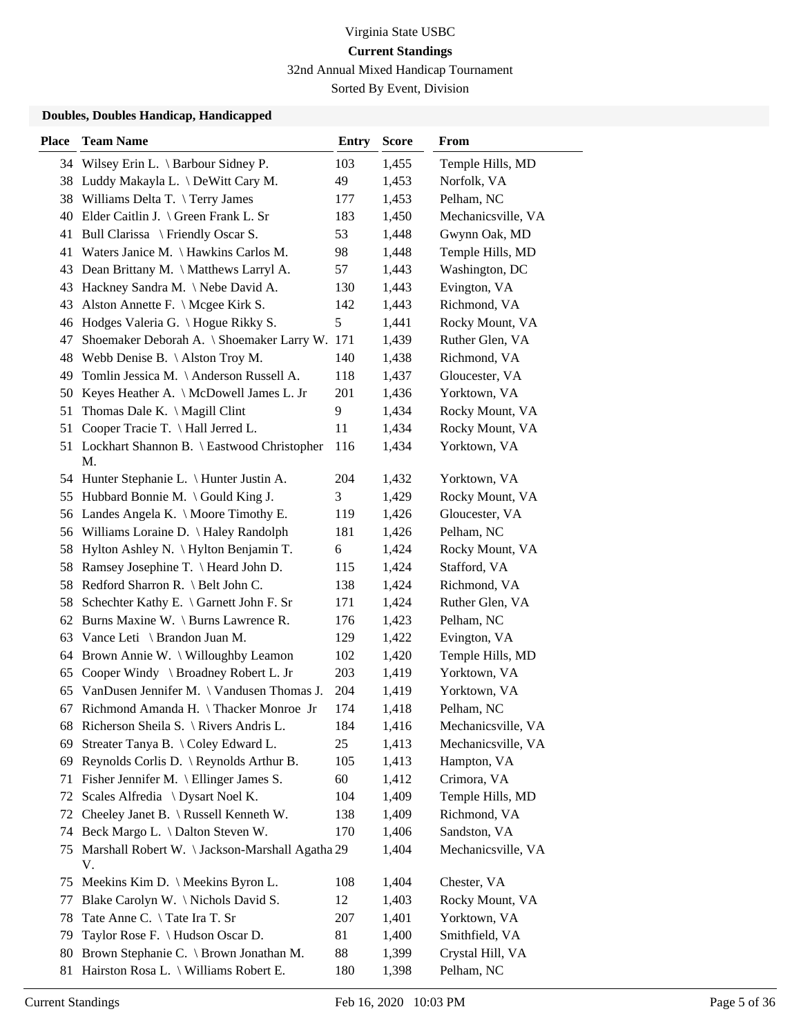32nd Annual Mixed Handicap Tournament

Sorted By Event, Division

| <b>Place</b> | <b>Team Name</b>                                      | <b>Entry</b>  | <b>Score</b> | <b>From</b>        |
|--------------|-------------------------------------------------------|---------------|--------------|--------------------|
|              | 34 Wilsey Erin L. \ Barbour Sidney P.                 | 103           | 1,455        | Temple Hills, MD   |
|              | 38 Luddy Makayla L. \ DeWitt Cary M.                  | 49            | 1,453        | Norfolk, VA        |
| 38           | Williams Delta T. \Terry James                        | 177           | 1,453        | Pelham, NC         |
| 40           | Elder Caitlin J. \ Green Frank L. Sr                  | 183           | 1,450        | Mechanicsville, VA |
| 41           | Bull Clarissa \ Friendly Oscar S.                     | 53            | 1,448        | Gwynn Oak, MD      |
| 41           | Waters Janice M. \ Hawkins Carlos M.                  | 98            | 1,448        | Temple Hills, MD   |
| 43           | Dean Brittany M. \ Matthews Larryl A.                 | 57            | 1,443        | Washington, DC     |
| 43           | Hackney Sandra M. \Nebe David A.                      | 130           | 1,443        | Evington, VA       |
| 43           | Alston Annette F. $\setminus$ Mcgee Kirk S.           | 142           | 1,443        | Richmond, VA       |
| 46           | Hodges Valeria G. \ Hogue Rikky S.                    | $\mathfrak s$ | 1,441        | Rocky Mount, VA    |
| 47           | Shoemaker Deborah A. \ Shoemaker Larry W. 171         |               | 1,439        | Ruther Glen, VA    |
| 48           | Webb Denise B. $\backslash$ Alston Troy M.            | 140           | 1,438        | Richmond, VA       |
| 49           | Tomlin Jessica M. \Anderson Russell A.                | 118           | 1,437        | Gloucester, VA     |
| 50           | Keyes Heather A. \ McDowell James L. Jr               | 201           | 1,436        | Yorktown, VA       |
| 51           | Thomas Dale K. $\setminus$ Magill Clint               | 9             | 1,434        | Rocky Mount, VA    |
| 51           | Cooper Tracie T. \ Hall Jerred L.                     | 11            | 1,434        | Rocky Mount, VA    |
|              | 51 Lockhart Shannon B. \ Eastwood Christopher         | 116           | 1,434        | Yorktown, VA       |
|              | M.                                                    |               |              |                    |
|              | 54 Hunter Stephanie L. \ Hunter Justin A.             | 204           | 1,432        | Yorktown, VA       |
| 55           | Hubbard Bonnie M. \ Gould King J.                     | 3             | 1,429        | Rocky Mount, VA    |
|              | 56 Landes Angela K. \ Moore Timothy E.                | 119           | 1,426        | Gloucester, VA     |
| 56           | Williams Loraine D. \ Haley Randolph                  | 181           | 1,426        | Pelham, NC         |
| 58           | Hylton Ashley N. \ Hylton Benjamin T.                 | 6             | 1,424        | Rocky Mount, VA    |
| 58           | Ramsey Josephine T. \ Heard John D.                   | 115           | 1,424        | Stafford, VA       |
| 58           | Redford Sharron R. \ Belt John C.                     | 138           | 1,424        | Richmond, VA       |
| 58           | Schechter Kathy E. \ Garnett John F. Sr               | 171           | 1,424        | Ruther Glen, VA    |
| 62           | Burns Maxine W. \ Burns Lawrence R.                   | 176           | 1,423        | Pelham, NC         |
| 63           | Vance Leti \ Brandon Juan M.                          | 129           | 1,422        | Evington, VA       |
| 64           | Brown Annie W. \ Willoughby Leamon                    | 102           | 1,420        | Temple Hills, MD   |
| 65           | Cooper Windy \ Broadney Robert L. Jr                  | 203           | 1,419        | Yorktown, VA       |
| 65           | VanDusen Jennifer M. \ Vandusen Thomas J.             | 204           | 1,419        | Yorktown, VA       |
| 67           | Richmond Amanda H. \Thacker Monroe Jr                 | 174           | 1,418        | Pelham, NC         |
|              | 68 Richerson Sheila S. \ Rivers Andris L.             | 184           | 1,416        | Mechanicsville, VA |
| 69           | Streater Tanya B. \Coley Edward L.                    | 25            | 1,413        | Mechanicsville, VA |
| 69           | Reynolds Corlis D. \ Reynolds Arthur B.               | 105           | 1,413        | Hampton, VA        |
| 71           | Fisher Jennifer M. $\backslash$ Ellinger James S.     | 60            | 1,412        | Crimora, VA        |
| 72           | Scales Alfredia \ Dysart Noel K.                      | 104           | 1,409        | Temple Hills, MD   |
| 72           | Cheeley Janet B. \ Russell Kenneth W.                 | 138           | 1,409        | Richmond, VA       |
| 74           | Beck Margo L. \ Dalton Steven W.                      | 170           | 1,406        | Sandston, VA       |
| 75           | Marshall Robert W. \ Jackson-Marshall Agatha 29<br>V. |               | 1,404        | Mechanicsville, VA |
| 75           | Meekins Kim D. \ Meekins Byron L.                     | 108           | 1,404        | Chester, VA        |
| 77           | Blake Carolyn W. \ Nichols David S.                   | 12            | 1,403        | Rocky Mount, VA    |
| 78           | Tate Anne C. \Tate Ira T. Sr                          | 207           | 1,401        | Yorktown, VA       |
| 79           | Taylor Rose F. \ Hudson Oscar D.                      | 81            | 1,400        | Smithfield, VA     |
| 80           | Brown Stephanie C. \ Brown Jonathan M.                | 88            | 1,399        | Crystal Hill, VA   |
| 81           | Hairston Rosa L. \ Williams Robert E.                 | 180           | 1,398        | Pelham, NC         |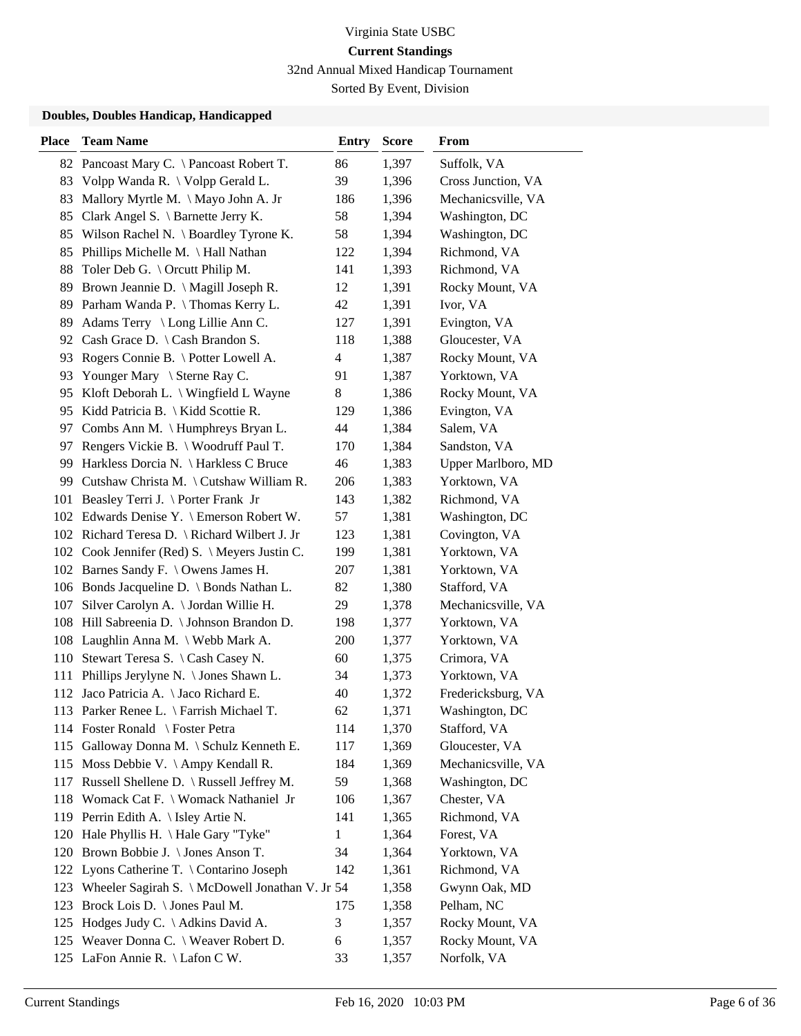32nd Annual Mixed Handicap Tournament

Sorted By Event, Division

| <b>Place</b> | <b>Team Name</b>                                | Entry          | <b>Score</b> | <b>From</b>        |
|--------------|-------------------------------------------------|----------------|--------------|--------------------|
| 82           | Pancoast Mary C. \ Pancoast Robert T.           | 86             | 1,397        | Suffolk, VA        |
| 83           | Volpp Wanda R. \ Volpp Gerald L.                | 39             | 1,396        | Cross Junction, VA |
| 83           | Mallory Myrtle M. \ Mayo John A. Jr             | 186            | 1,396        | Mechanicsville, VA |
| 85           | Clark Angel S. \ Barnette Jerry K.              | 58             | 1,394        | Washington, DC     |
| 85           | Wilson Rachel N. \ Boardley Tyrone K.           | 58             | 1,394        | Washington, DC     |
| 85           | Phillips Michelle M. \ Hall Nathan              | 122            | 1,394        | Richmond, VA       |
| 88           | Toler Deb G. \ Orcutt Philip M.                 | 141            | 1,393        | Richmond, VA       |
| 89           | Brown Jeannie D. \ Magill Joseph R.             | 12             | 1,391        | Rocky Mount, VA    |
| 89           | Parham Wanda P. \Thomas Kerry L.                | 42             | 1,391        | Ivor, VA           |
| 89           | Adams Terry \ Long Lillie Ann C.                | 127            | 1,391        | Evington, VA       |
| 92           | Cash Grace D. $\setminus$ Cash Brandon S.       | 118            | 1,388        | Gloucester, VA     |
| 93           | Rogers Connie B. \ Potter Lowell A.             | $\overline{4}$ | 1,387        | Rocky Mount, VA    |
| 93           | Younger Mary \ Sterne Ray C.                    | 91             | 1,387        | Yorktown, VA       |
| 95           | Kloft Deborah L. \ Wingfield L Wayne            | 8              | 1,386        | Rocky Mount, VA    |
|              | 95 Kidd Patricia B.   Kidd Scottie R.           | 129            | 1,386        | Evington, VA       |
|              | 97 Combs Ann M. \ Humphreys Bryan L.            | 44             | 1,384        | Salem, VA          |
| 97           | Rengers Vickie B. \ Woodruff Paul T.            | 170            | 1,384        | Sandston, VA       |
| 99           | Harkless Dorcia N. \ Harkless C Bruce           | 46             | 1,383        | Upper Marlboro, MD |
| 99           | Cutshaw Christa M. \ Cutshaw William R.         | 206            | 1,383        | Yorktown, VA       |
|              | 101 Beasley Terri J. \ Porter Frank Jr          | 143            | 1,382        | Richmond, VA       |
|              | 102 Edwards Denise Y. \ Emerson Robert W.       | 57             | 1,381        | Washington, DC     |
|              | 102 Richard Teresa D. \ Richard Wilbert J. Jr   | 123            | 1,381        | Covington, VA      |
|              | 102 Cook Jennifer (Red) S. \ Meyers Justin C.   | 199            | 1,381        | Yorktown, VA       |
|              | 102 Barnes Sandy F. \ Owens James H.            | 207            | 1,381        | Yorktown, VA       |
|              | 106 Bonds Jacqueline D. \ Bonds Nathan L.       | 82             | 1,380        | Stafford, VA       |
| 107          | Silver Carolyn A. \ Jordan Willie H.            | 29             | 1,378        | Mechanicsville, VA |
| 108          | Hill Sabreenia D. \ Johnson Brandon D.          | 198            | 1,377        | Yorktown, VA       |
|              | 108 Laughlin Anna M. \ Webb Mark A.             | 200            | 1,377        | Yorktown, VA       |
|              | 110 Stewart Teresa S. \ Cash Casey N.           | 60             | 1,375        | Crimora, VA        |
| 111          | Phillips Jerylyne N. \ Jones Shawn L.           | 34             | 1,373        | Yorktown, VA       |
| 112          | Jaco Patricia A. \ Jaco Richard E.              | 40             | 1,372        | Fredericksburg, VA |
|              | 113 Parker Renee L. \ Farrish Michael T.        | 62             | 1,371        | Washington, DC     |
|              | 114 Foster Ronald \ Foster Petra                | 114            | 1,370        | Stafford, VA       |
| 115          | Galloway Donna M. \ Schulz Kenneth E.           | 117            | 1,369        | Gloucester, VA     |
|              | 115 Moss Debbie V. \ Ampy Kendall R.            | 184            | 1,369        | Mechanicsville, VA |
|              | 117 Russell Shellene D. \ Russell Jeffrey M.    | 59             | 1,368        | Washington, DC     |
|              | 118 Womack Cat F. \ Womack Nathaniel Jr         | 106            | 1,367        | Chester, VA        |
|              | 119 Perrin Edith A. \ Isley Artie N.            | 141            | 1,365        | Richmond, VA       |
| 120          | Hale Phyllis H. \ Hale Gary "Tyke"              | $\mathbf{1}$   | 1,364        | Forest, VA         |
| 120          | Brown Bobbie J. \ Jones Anson T.                | 34             | 1,364        | Yorktown, VA       |
| 122          | Lyons Catherine T. \ Contarino Joseph           | 142            | 1,361        | Richmond, VA       |
| 123          | Wheeler Sagirah S. \ McDowell Jonathan V. Jr 54 |                | 1,358        | Gwynn Oak, MD      |
| 123          | Brock Lois D. \ Jones Paul M.                   | 175            | 1,358        | Pelham, NC         |
| 125          | Hodges Judy C. $\backslash$ Adkins David A.     | 3              | 1,357        | Rocky Mount, VA    |
|              | 125 Weaver Donna C. \ Weaver Robert D.          | 6              | 1,357        | Rocky Mount, VA    |
|              | 125 LaFon Annie R. \ Lafon C W.                 | 33             | 1,357        | Norfolk, VA        |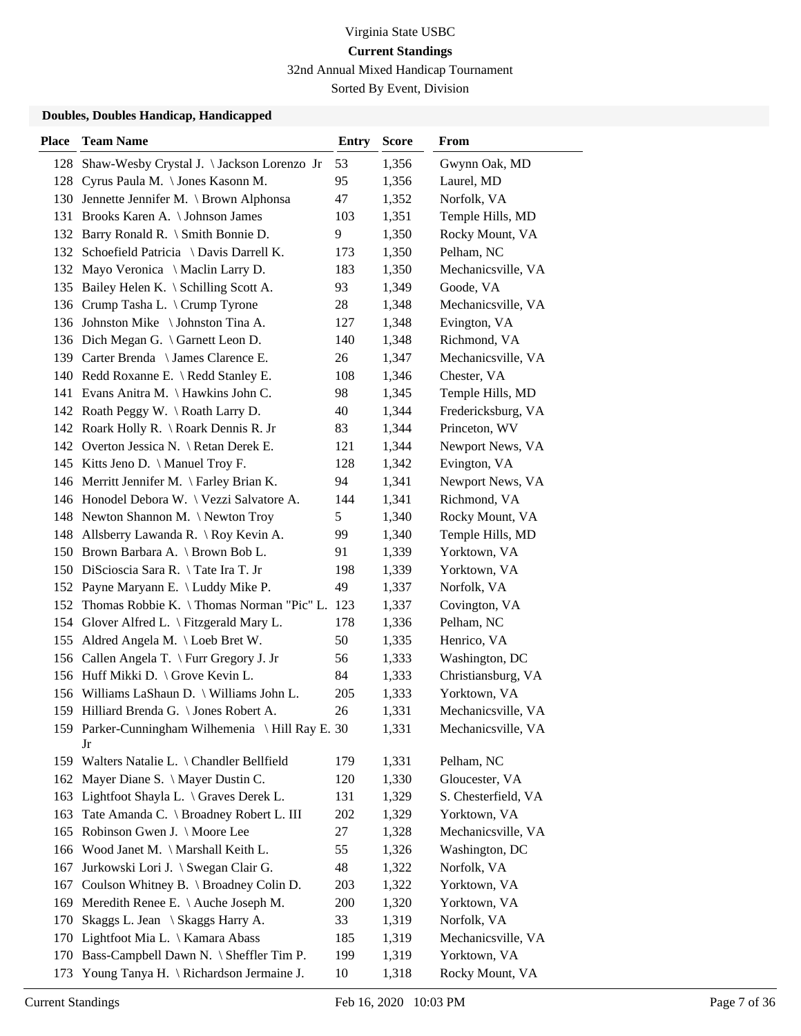## Virginia State USBC **Current Standings** 32nd Annual Mixed Handicap Tournament

Sorted By Event, Division

| <b>Place</b> | <b>Team Name</b>                                 | <b>Entry</b> | <b>Score</b> | From                |
|--------------|--------------------------------------------------|--------------|--------------|---------------------|
|              | 128 Shaw-Wesby Crystal J. \Jackson Lorenzo Jr    | 53           | 1,356        | Gwynn Oak, MD       |
|              | 128 Cyrus Paula M. \Jones Kasonn M.              | 95           | 1,356        | Laurel, MD          |
|              | 130 Jennette Jennifer M. \ Brown Alphonsa        | 47           | 1,352        | Norfolk, VA         |
|              | 131 Brooks Karen A. \ Johnson James              | 103          | 1,351        | Temple Hills, MD    |
|              | 132 Barry Ronald R. \ Smith Bonnie D.            | 9            | 1,350        | Rocky Mount, VA     |
|              | 132 Schoefield Patricia \ Davis Darrell K.       | 173          | 1,350        | Pelham, NC          |
|              | 132 Mayo Veronica \ Maclin Larry D.              | 183          | 1,350        | Mechanicsville, VA  |
|              | 135 Bailey Helen K. \ Schilling Scott A.         | 93           | 1,349        | Goode, VA           |
|              | 136 Crump Tasha L. \ Crump Tyrone                | 28           | 1,348        | Mechanicsville, VA  |
|              | 136 Johnston Mike \Johnston Tina A.              | 127          | 1,348        | Evington, VA        |
|              | 136 Dich Megan G. \ Garnett Leon D.              | 140          | 1,348        | Richmond, VA        |
|              | 139 Carter Brenda \ James Clarence E.            | 26           | 1,347        | Mechanicsville, VA  |
|              | 140 Redd Roxanne E. \ Redd Stanley E.            | 108          | 1,346        | Chester, VA         |
|              | 141 Evans Anitra M. \Hawkins John C.             | 98           | 1,345        | Temple Hills, MD    |
|              | 142 Roath Peggy W. \Roath Larry D.               | 40           | 1,344        | Fredericksburg, VA  |
|              | 142 Roark Holly R. \ Roark Dennis R. Jr          | 83           | 1,344        | Princeton, WV       |
|              | 142 Overton Jessica N. \ Retan Derek E.          | 121          | 1,344        | Newport News, VA    |
|              | 145 Kitts Jeno D. \ Manuel Troy F.               | 128          | 1,342        | Evington, VA        |
|              | 146 Merritt Jennifer M. \ Farley Brian K.        | 94           | 1,341        | Newport News, VA    |
|              | 146 Honodel Debora W. \ Vezzi Salvatore A.       | 144          | 1,341        | Richmond, VA        |
|              | 148 Newton Shannon M. \Newton Troy               | 5            | 1,340        | Rocky Mount, VA     |
|              | 148 Allsberry Lawanda R. \ Roy Kevin A.          | 99           | 1,340        | Temple Hills, MD    |
|              | 150 Brown Barbara A. \ Brown Bob L.              | 91           | 1,339        | Yorktown, VA        |
|              | 150 DiScioscia Sara R. \Tate Ira T. Jr           | 198          | 1,339        | Yorktown, VA        |
|              | 152 Payne Maryann E. \ Luddy Mike P.             | 49           | 1,337        | Norfolk, VA         |
| 152          | Thomas Robbie K. \Thomas Norman "Pic" L. 123     |              | 1,337        | Covington, VA       |
| 154          | Glover Alfred L. $\langle$ Fitzgerald Mary L.    | 178          | 1,336        | Pelham, NC          |
| 155          | Aldred Angela M. \ Loeb Bret W.                  | 50           | 1,335        | Henrico, VA         |
|              | 156 Callen Angela T. \ Furr Gregory J. Jr        | 56           | 1,333        | Washington, DC      |
|              | 156 Huff Mikki D. \ Grove Kevin L.               | 84           | 1,333        | Christiansburg, VA  |
|              | 156 Williams LaShaun D. \ Williams John L.       | 205          | 1,333        | Yorktown, VA        |
|              | 159 Hilliard Brenda G. \ Jones Robert A.         | 26           | 1,331        | Mechanicsville, VA  |
|              | 159 Parker-Cunningham Wilhemenia \Hill Ray E. 30 |              | 1,331        | Mechanicsville, VA  |
|              | Jr                                               |              |              |                     |
|              | 159 Walters Natalie L. \ Chandler Bellfield      | 179          | 1,331        | Pelham, NC          |
|              | 162 Mayer Diane S. \ Mayer Dustin C.             | 120          | 1,330        | Gloucester, VA      |
| 163          | Lightfoot Shayla L. \ Graves Derek L.            | 131          | 1,329        | S. Chesterfield, VA |
| 163          | Tate Amanda C. \ Broadney Robert L. III          | 202          | 1,329        | Yorktown, VA        |
| 165          | Robinson Gwen J. \ Moore Lee                     | 27           | 1,328        | Mechanicsville, VA  |
| 166          | Wood Janet M. \ Marshall Keith L.                | 55           | 1,326        | Washington, DC      |
| 167          | Jurkowski Lori J. \ Swegan Clair G.              | 48           | 1,322        | Norfolk, VA         |
| 167          | Coulson Whitney B. \ Broadney Colin D.           | 203          | 1,322        | Yorktown, VA        |
| 169          | Meredith Renee E. \ Auche Joseph M.              | 200          | 1,320        | Yorktown, VA        |
| 170          | Skaggs L. Jean \ Skaggs Harry A.                 | 33           | 1,319        | Norfolk, VA         |
|              | 170 Lightfoot Mia L. \ Kamara Abass              | 185          | 1,319        | Mechanicsville, VA  |
|              | 170 Bass-Campbell Dawn N. \ Sheffler Tim P.      | 199          | 1,319        | Yorktown, VA        |
| 173          | Young Tanya H. \ Richardson Jermaine J.          | 10           | 1,318        | Rocky Mount, VA     |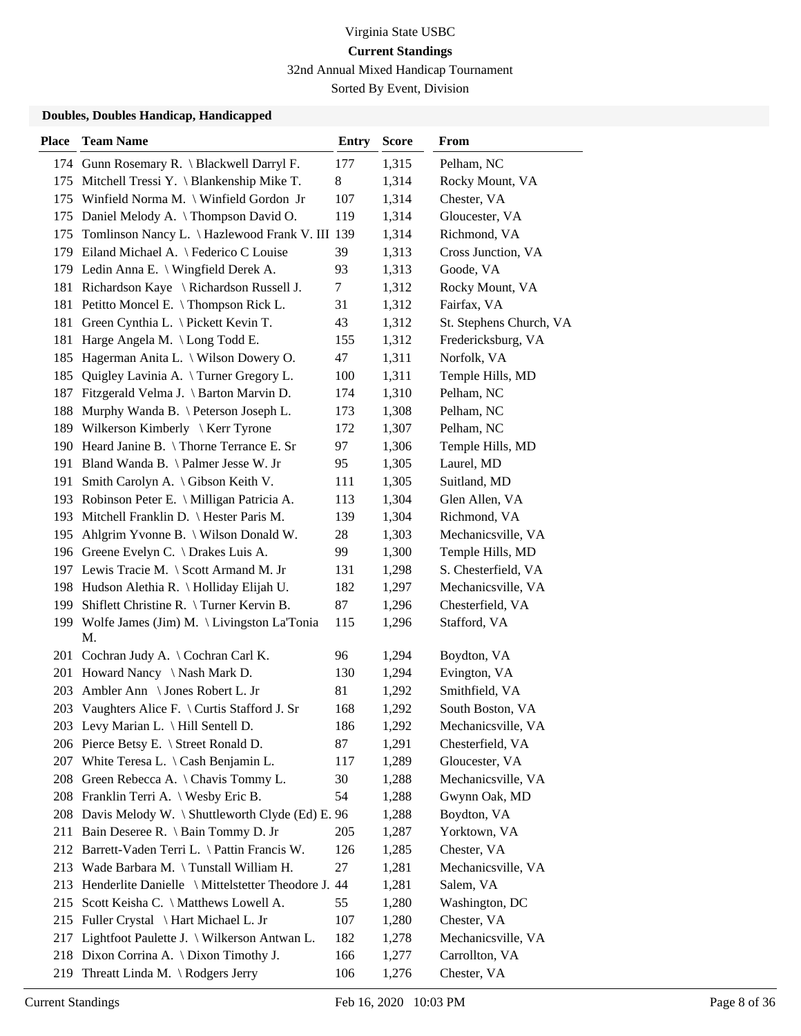32nd Annual Mixed Handicap Tournament

Sorted By Event, Division

| <b>Place</b> | <b>Team Name</b>                                    | <b>Entry</b> | <b>Score</b> | From                    |
|--------------|-----------------------------------------------------|--------------|--------------|-------------------------|
|              | 174 Gunn Rosemary R. \ Blackwell Darryl F.          | 177          | 1,315        | Pelham, NC              |
|              | 175 Mitchell Tressi Y. \ Blankenship Mike T.        | $8\,$        | 1,314        | Rocky Mount, VA         |
|              | 175 Winfield Norma M. \ Winfield Gordon Jr          | 107          | 1,314        | Chester, VA             |
|              | 175 Daniel Melody A. \Thompson David O.             | 119          | 1,314        | Gloucester, VA          |
| 175          | Tomlinson Nancy L. \ Hazlewood Frank V. III 139     |              | 1,314        | Richmond, VA            |
|              | 179 Eiland Michael A. \ Federico C Louise           | 39           | 1,313        | Cross Junction, VA      |
|              | 179 Ledin Anna E. \ Wingfield Derek A.              | 93           | 1,313        | Goode, VA               |
|              | 181 Richardson Kaye \ Richardson Russell J.         | $\tau$       | 1,312        | Rocky Mount, VA         |
| 181          | Petitto Moncel E. \ Thompson Rick L.                | 31           | 1,312        | Fairfax, VA             |
| 181          | Green Cynthia L. \ Pickett Kevin T.                 | 43           | 1,312        | St. Stephens Church, VA |
| 181          | Harge Angela M. \ Long Todd E.                      | 155          | 1,312        | Fredericksburg, VA      |
| 185          | Hagerman Anita L. \ Wilson Dowery O.                | 47           | 1,311        | Norfolk, VA             |
| 185          | Quigley Lavinia A. \Turner Gregory L.               | 100          | 1,311        | Temple Hills, MD        |
| 187          | Fitzgerald Velma J. \ Barton Marvin D.              | 174          | 1,310        | Pelham, NC              |
| 188          | Murphy Wanda B. \ Peterson Joseph L.                | 173          | 1,308        | Pelham, NC              |
|              | 189 Wilkerson Kimberly \ Kerr Tyrone                | 172          | 1,307        | Pelham, NC              |
|              | 190 Heard Janine B. \Thorne Terrance E. Sr          | 97           | 1,306        | Temple Hills, MD        |
| 191          | Bland Wanda B. \ Palmer Jesse W. Jr                 | 95           | 1,305        | Laurel, MD              |
| 191          | Smith Carolyn A. \ Gibson Keith V.                  | 111          | 1,305        | Suitland, MD            |
|              | 193 Robinson Peter E. \ Milligan Patricia A.        | 113          | 1,304        | Glen Allen, VA          |
| 193          | Mitchell Franklin D. \ Hester Paris M.              | 139          | 1,304        | Richmond, VA            |
| 195          | Ahlgrim Yvonne B. \ Wilson Donald W.                | 28           | 1,303        | Mechanicsville, VA      |
|              | 196 Greene Evelyn C. \ Drakes Luis A.               | 99           | 1,300        | Temple Hills, MD        |
|              | 197 Lewis Tracie M. \ Scott Armand M. Jr            | 131          | 1,298        | S. Chesterfield, VA     |
|              | 198 Hudson Alethia R. \Holliday Elijah U.           | 182          | 1,297        | Mechanicsville, VA      |
| 199          | Shiflett Christine R. \Turner Kervin B.             | 87           | 1,296        | Chesterfield, VA        |
| 199          | Wolfe James (Jim) M. \ Livingston La'Tonia          | 115          | 1,296        | Stafford, VA            |
|              | М.                                                  |              |              |                         |
| 201          | Cochran Judy A. \ Cochran Carl K.                   | 96           | 1,294        | Boydton, VA             |
| 201          | Howard Nancy \ Nash Mark D.                         | 130          | 1,294        | Evington, VA            |
| 203          | Ambler Ann \ Jones Robert L. Jr                     | 81           | 1,292        | Smithfield, VA          |
|              | 203 Vaughters Alice F. \ Curtis Stafford J. Sr      | 168          | 1,292        | South Boston, VA        |
|              | 203 Levy Marian L. \ Hill Sentell D.                | 186          | 1,292        | Mechanicsville, VA      |
|              | 206 Pierce Betsy E. \ Street Ronald D.              | 87           | 1,291        | Chesterfield, VA        |
| 207          | White Teresa L. $\setminus$ Cash Benjamin L.        | 117          | 1,289        | Gloucester, VA          |
|              | 208 Green Rebecca A. \ Chavis Tommy L.              | 30           | 1,288        | Mechanicsville, VA      |
|              | 208 Franklin Terri A. \ Wesby Eric B.               | 54           | 1,288        | Gwynn Oak, MD           |
|              | 208 Davis Melody W. \ Shuttleworth Clyde (Ed) E. 96 |              | 1,288        | Boydton, VA             |
| 211          | Bain Deseree R. \ Bain Tommy D. Jr                  | 205          | 1,287        | Yorktown, VA            |
|              | 212 Barrett-Vaden Terri L. \Pattin Francis W.       | 126          | 1,285        | Chester, VA             |
| 213          | Wade Barbara M. \Tunstall William H.                | 27           | 1,281        | Mechanicsville, VA      |
| 213          | Henderlite Danielle \ Mittelstetter Theodore J. 44  |              | 1,281        | Salem, VA               |
| 215          | Scott Keisha C. \ Matthews Lowell A.                | 55           | 1,280        | Washington, DC          |
|              | 215 Fuller Crystal \ Hart Michael L. Jr             | 107          | 1,280        | Chester, VA             |
| 217          | Lightfoot Paulette J. \ Wilkerson Antwan L.         | 182          | 1,278        | Mechanicsville, VA      |
|              | 218 Dixon Corrina A. \ Dixon Timothy J.             | 166          | 1,277        | Carrollton, VA          |
| 219          | Threatt Linda M. \ Rodgers Jerry                    | 106          | 1,276        | Chester, VA             |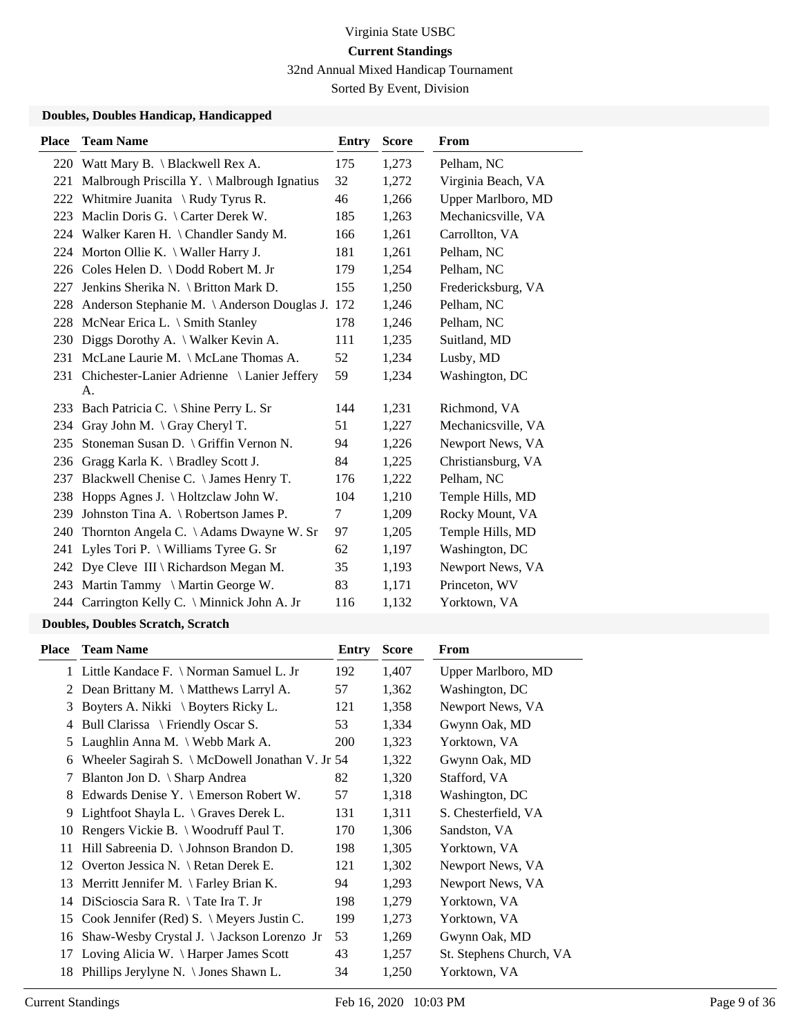32nd Annual Mixed Handicap Tournament

Sorted By Event, Division

## **Doubles, Doubles Handicap, Handicapped**

| <b>Place</b> | <b>Team Name</b>                             | Entry | <b>Score</b> | <b>From</b>        |
|--------------|----------------------------------------------|-------|--------------|--------------------|
|              | 220 Watt Mary B. \ Blackwell Rex A.          | 175   | 1,273        | Pelham, NC         |
| 221          | Malbrough Priscilla Y. \ Malbrough Ignatius  | 32    | 1,272        | Virginia Beach, VA |
| 222          | Whitmire Juanita \ Rudy Tyrus R.             | 46    | 1,266        | Upper Marlboro, MD |
| 223          | Maclin Doris G. \ Carter Derek W.            | 185   | 1,263        | Mechanicsville, VA |
| 224          | Walker Karen H. \ Chandler Sandy M.          | 166   | 1,261        | Carrollton, VA     |
| 224          | Morton Ollie K. \ Waller Harry J.            | 181   | 1,261        | Pelham, NC         |
|              | 226 Coles Helen D. \ Dodd Robert M. Jr       | 179   | 1,254        | Pelham, NC         |
| 227          | Jenkins Sherika N. \ Britton Mark D.         | 155   | 1,250        | Fredericksburg, VA |
| 228          | Anderson Stephanie M. \ Anderson Douglas J.  | 172   | 1,246        | Pelham, NC         |
| 228          | McNear Erica L. \ Smith Stanley              | 178   | 1,246        | Pelham, NC         |
| 230          | Diggs Dorothy A. \ Walker Kevin A.           | 111   | 1,235        | Suitland, MD       |
| 231          | McLane Laurie M. \ McLane Thomas A.          | 52    | 1,234        | Lusby, MD          |
| 231          | Chichester-Lanier Adrienne \ Lanier Jeffery  | 59    | 1,234        | Washington, DC     |
|              | A.                                           |       |              |                    |
| 233          | Bach Patricia C. \ Shine Perry L. Sr         | 144   | 1,231        | Richmond, VA       |
| 234          | Gray John M. $\operatorname{Gray}$ Cheryl T. | 51    | 1,227        | Mechanicsville, VA |
| 235          | Stoneman Susan D. \ Griffin Vernon N.        | 94    | 1,226        | Newport News, VA   |
| 236          | Gragg Karla K. \ Bradley Scott J.            | 84    | 1,225        | Christiansburg, VA |
| 237          | Blackwell Chenise C. \ James Henry T.        | 176   | 1,222        | Pelham, NC         |
| 238          | Hopps Agnes J. \Holtzclaw John W.            | 104   | 1,210        | Temple Hills, MD   |
| 239          | Johnston Tina A. \ Robertson James P.        | 7     | 1,209        | Rocky Mount, VA    |
| 240          | Thornton Angela C. \ Adams Dwayne W. Sr      | 97    | 1,205        | Temple Hills, MD   |
| 241          | Lyles Tori P. $\forall$ Williams Tyree G. Sr | 62    | 1,197        | Washington, DC     |
| 242          | Dye Cleve III \ Richardson Megan M.          | 35    | 1,193        | Newport News, VA   |
| 243          | Martin Tammy \ Martin George W.              | 83    | 1,171        | Princeton, WV      |
|              | 244 Carrington Kelly C. \ Minnick John A. Jr | 116   | 1,132        | Yorktown, VA       |
|              | $\sim$ $\sim$ $\sim$                         |       |              |                    |

## **Doubles, Doubles Scratch, Scratch**

| Place | <b>Team Name</b>                                  | Entry      | <b>Score</b> | From                    |
|-------|---------------------------------------------------|------------|--------------|-------------------------|
|       | 1 Little Kandace F. \ Norman Samuel L. Jr         | 192        | 1,407        | Upper Marlboro, MD      |
| 2     | Dean Brittany M. \ Matthews Larryl A.             | 57         | 1,362        | Washington, DC          |
| 3     | Boyters A. Nikki \ Boyters Ricky L.               | 121        | 1,358        | Newport News, VA        |
| 4     | Bull Clarissa \ Friendly Oscar S.                 | 53         | 1,334        | Gwynn Oak, MD           |
| 5     | Laughlin Anna M. \ Webb Mark A.                   | <b>200</b> | 1,323        | Yorktown, VA            |
| 6     | Wheeler Sagirah S. \ McDowell Jonathan V. Jr 54   |            | 1,322        | Gwynn Oak, MD           |
| 7     | Blanton Jon D. \ Sharp Andrea                     | 82         | 1,320        | Stafford, VA            |
| 8     | Edwards Denise Y. $\mathcal{F}$ Emerson Robert W. | 57         | 1,318        | Washington, DC          |
| 9     | Lightfoot Shayla L. $\langle$ Graves Derek L.     | 131        | 1,311        | S. Chesterfield, VA     |
| 10    | Rengers Vickie B. \ Woodruff Paul T.              | 170        | 1,306        | Sandston, VA            |
| 11    | Hill Sabreenia D. \ Johnson Brandon D.            | 198        | 1,305        | Yorktown, VA            |
| 12    | Overton Jessica N. \ Retan Derek E.               | 121        | 1,302        | Newport News, VA        |
| 13    | Merritt Jennifer M. $\$ Farley Brian K.           | 94         | 1,293        | Newport News, VA        |
| 14    | DiScioscia Sara R. $\setminus$ Tate Ira T. Jr     | 198        | 1,279        | Yorktown, VA            |
| 15    | Cook Jennifer (Red) S. \ Meyers Justin C.         | 199        | 1,273        | Yorktown, VA            |
| 16    | Shaw-Wesby Crystal J. \Jackson Lorenzo Jr         | 53         | 1,269        | Gwynn Oak, MD           |
| 17    | Loving Alicia W. \ Harper James Scott             | 43         | 1,257        | St. Stephens Church, VA |
| 18    | Phillips Jerylyne N. $\setminus$ Jones Shawn L.   | 34         | 1,250        | Yorktown, VA            |
|       |                                                   |            |              |                         |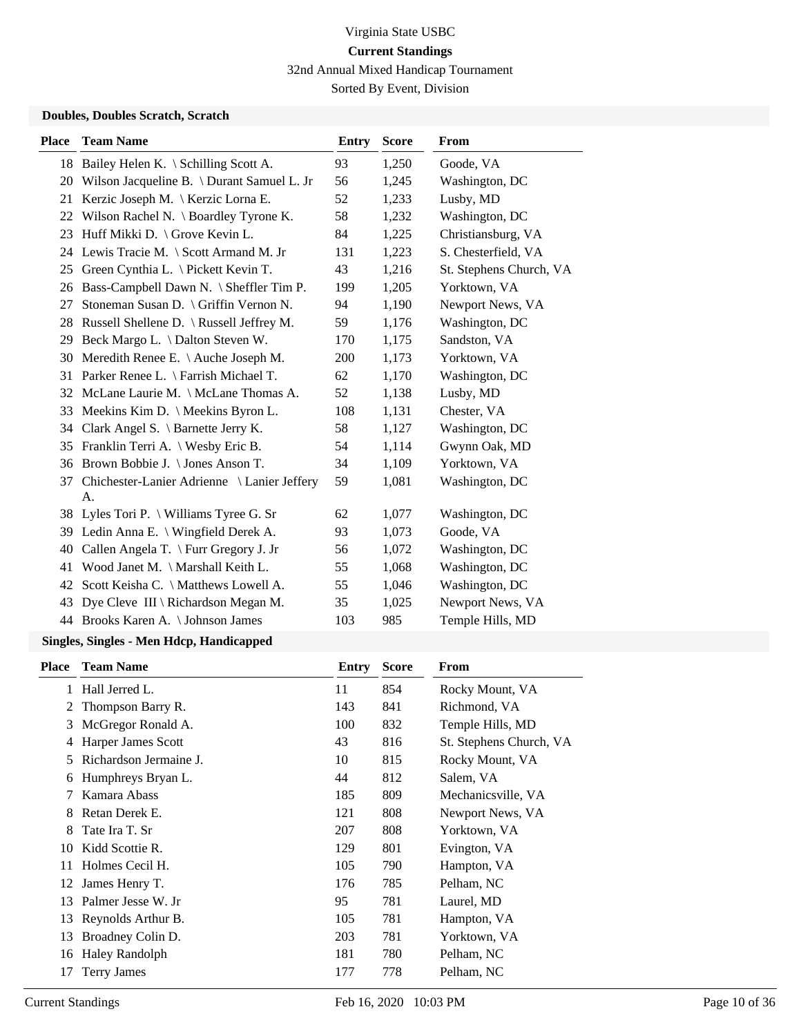32nd Annual Mixed Handicap Tournament

Sorted By Event, Division

## **Doubles, Doubles Scratch, Scratch**

| <b>Place</b> | <b>Team Name</b>                               | <b>Entry</b> | <b>Score</b> | From                    |
|--------------|------------------------------------------------|--------------|--------------|-------------------------|
|              | 18 Bailey Helen K. \ Schilling Scott A.        | 93           | 1,250        | Goode, VA               |
| 20           | Wilson Jacqueline B. \ Durant Samuel L. Jr     | 56           | 1,245        | Washington, DC          |
| 21           | Kerzic Joseph M. \ Kerzic Lorna E.             | 52           | 1,233        | Lusby, MD               |
| 22           | Wilson Rachel N. \ Boardley Tyrone K.          | 58           | 1,232        | Washington, DC          |
| 23           | Huff Mikki D. \ Grove Kevin L.                 | 84           | 1,225        | Christiansburg, VA      |
|              | 24 Lewis Tracie M. \ Scott Armand M. Jr        | 131          | 1,223        | S. Chesterfield, VA     |
| 25           | Green Cynthia L. \ Pickett Kevin T.            | 43           | 1,216        | St. Stephens Church, VA |
|              | 26 Bass-Campbell Dawn N. \ Sheffler Tim P.     | 199          | 1,205        | Yorktown, VA            |
| 27           | Stoneman Susan D. \ Griffin Vernon N.          | 94           | 1,190        | Newport News, VA        |
| 28           | Russell Shellene D. \ Russell Jeffrey M.       | 59           | 1,176        | Washington, DC          |
|              | 29 Beck Margo L. \ Dalton Steven W.            | 170          | 1,175        | Sandston, VA            |
| 30           | Meredith Renee E. \ Auche Joseph M.            | 200          | 1,173        | Yorktown, VA            |
| 31           | Parker Renee L. \ Farrish Michael T.           | 62           | 1,170        | Washington, DC          |
| 32           | McLane Laurie M. \ McLane Thomas A.            | 52           | 1,138        | Lusby, MD               |
| 33           | Meekins Kim D. \ Meekins Byron L.              | 108          | 1,131        | Chester, VA             |
|              | 34 Clark Angel S. \ Barnette Jerry K.          | 58           | 1,127        | Washington, DC          |
|              | 35 Franklin Terri A. \ Wesby Eric B.           | 54           | 1,114        | Gwynn Oak, MD           |
| 36           | Brown Bobbie J. \ Jones Anson T.               | 34           | 1,109        | Yorktown, VA            |
|              | 37 Chichester-Lanier Adrienne \ Lanier Jeffery | 59           | 1,081        | Washington, DC          |
|              | A.                                             |              |              |                         |
|              | 38 Lyles Tori P. \ Williams Tyree G. Sr        | 62           | 1,077        | Washington, DC          |
|              | 39 Ledin Anna E. \ Wingfield Derek A.          | 93           | 1,073        | Goode, VA               |
| 40           | Callen Angela T. \ Furr Gregory J. Jr          | 56           | 1,072        | Washington, DC          |
| 41           | Wood Janet M. \ Marshall Keith L.              | 55           | 1,068        | Washington, DC          |
| 42           | Scott Keisha C. \ Matthews Lowell A.           | 55           | 1,046        | Washington, DC          |
| 43           | Dye Cleve III \ Richardson Megan M.            | 35           | 1,025        | Newport News, VA        |
|              | 44 Brooks Karen A. \ Johnson James             | 103          | 985          | Temple Hills, MD        |

| <b>Place</b> | <b>Team Name</b>       | Entry | <b>Score</b> | From                    |
|--------------|------------------------|-------|--------------|-------------------------|
| 1            | Hall Jerred L.         | 11    | 854          | Rocky Mount, VA         |
| 2            | Thompson Barry R.      | 143   | 841          | Richmond, VA            |
| 3            | McGregor Ronald A.     | 100   | 832          | Temple Hills, MD        |
| 4            | Harper James Scott     | 43    | 816          | St. Stephens Church, VA |
| 5.           | Richardson Jermaine J. | 10    | 815          | Rocky Mount, VA         |
| 6            | Humphreys Bryan L.     | 44    | 812          | Salem, VA               |
| 7            | Kamara Abass           | 185   | 809          | Mechanicsville, VA      |
| 8            | Retan Derek E.         | 121   | 808          | Newport News, VA        |
| 8            | Tate Ira T. Sr         | 207   | 808          | Yorktown, VA            |
| 10           | Kidd Scottie R.        | 129   | 801          | Evington, VA            |
| 11           | Holmes Cecil H.        | 105   | 790          | Hampton, VA             |
| 12           | James Henry T.         | 176   | 785          | Pelham, NC              |
| 13           | Palmer Jesse W. Jr.    | 95    | 781          | Laurel, MD              |
| 13           | Reynolds Arthur B.     | 105   | 781          | Hampton, VA             |
| 13           | Broadney Colin D.      | 203   | 781          | Yorktown, VA            |
| 16           | <b>Haley Randolph</b>  | 181   | 780          | Pelham, NC              |
| 17           | <b>Terry James</b>     | 177   | 778          | Pelham, NC              |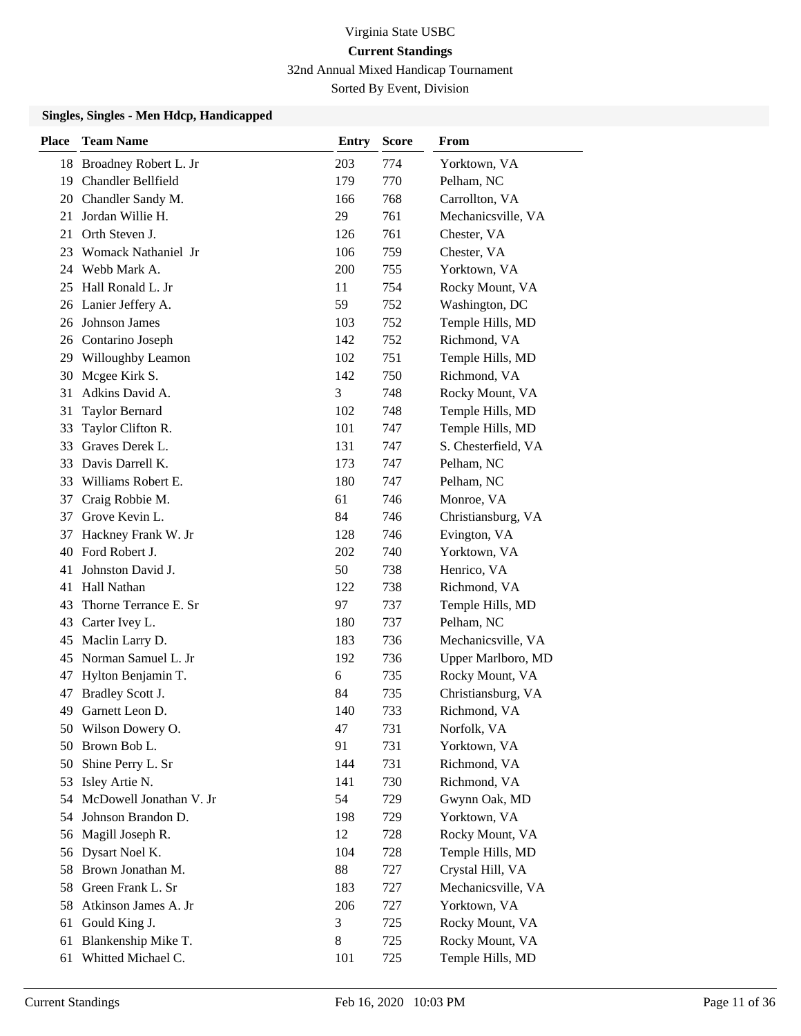## Virginia State USBC **Current Standings** 32nd Annual Mixed Handicap Tournament

Sorted By Event, Division

| <b>Place</b> | <b>Team Name</b>        | <b>Entry</b> | <b>Score</b> | From                |
|--------------|-------------------------|--------------|--------------|---------------------|
| 18           | Broadney Robert L. Jr   | 203          | 774          | Yorktown, VA        |
| 19           | Chandler Bellfield      | 179          | 770          | Pelham, NC          |
|              | 20 Chandler Sandy M.    | 166          | 768          | Carrollton, VA      |
| 21           | Jordan Willie H.        | 29           | 761          | Mechanicsville, VA  |
| 21           | Orth Steven J.          | 126          | 761          | Chester, VA         |
| 23           | Womack Nathaniel Jr     | 106          | 759          | Chester, VA         |
| 24           | Webb Mark A.            | 200          | 755          | Yorktown, VA        |
| 25           | Hall Ronald L. Jr       | 11           | 754          | Rocky Mount, VA     |
| 26           | Lanier Jeffery A.       | 59           | 752          | Washington, DC      |
| 26           | Johnson James           | 103          | 752          | Temple Hills, MD    |
| 26           | Contarino Joseph        | 142          | 752          | Richmond, VA        |
|              | 29 Willoughby Leamon    | 102          | 751          | Temple Hills, MD    |
| 30           | Mcgee Kirk S.           | 142          | 750          | Richmond, VA        |
| 31           | Adkins David A.         | 3            | 748          | Rocky Mount, VA     |
| 31           | <b>Taylor Bernard</b>   | 102          | 748          | Temple Hills, MD    |
| 33           | Taylor Clifton R.       | 101          | 747          | Temple Hills, MD    |
| 33           | Graves Derek L.         | 131          | 747          | S. Chesterfield, VA |
| 33           | Davis Darrell K.        | 173          | 747          | Pelham, NC          |
| 33           | Williams Robert E.      | 180          | 747          | Pelham, NC          |
| 37           | Craig Robbie M.         | 61           | 746          | Monroe, VA          |
| 37           | Grove Kevin L.          | 84           | 746          | Christiansburg, VA  |
| 37           | Hackney Frank W. Jr     | 128          | 746          | Evington, VA        |
| 40           | Ford Robert J.          | 202          | 740          | Yorktown, VA        |
| 41           | Johnston David J.       | 50           | 738          | Henrico, VA         |
| 41           | Hall Nathan             | 122          | 738          | Richmond, VA        |
| 43           | Thorne Terrance E. Sr   | 97           | 737          | Temple Hills, MD    |
| 43           | Carter Ivey L.          | 180          | 737          | Pelham, NC          |
| 45           | Maclin Larry D.         | 183          | 736          | Mechanicsville, VA  |
| 45           | Norman Samuel L. Jr     | 192          | 736          | Upper Marlboro, MD  |
| 47           | Hylton Benjamin T.      | 6            | 735          | Rocky Mount, VA     |
| 47           | Bradley Scott J.        | 84           | 735          | Christiansburg, VA  |
| 49           | Garnett Leon D.         | 140          | 733          | Richmond, VA        |
|              | 50 Wilson Dowery O.     | 47           | 731          | Norfolk, VA         |
| 50           | Brown Bob L.            | 91           | 731          | Yorktown, VA        |
| 50           | Shine Perry L. Sr       | 144          | 731          | Richmond, VA        |
| 53           | Isley Artie N.          | 141          | 730          | Richmond, VA        |
| 54           | McDowell Jonathan V. Jr | 54           | 729          | Gwynn Oak, MD       |
| 54           | Johnson Brandon D.      | 198          | 729          | Yorktown, VA        |
| 56           | Magill Joseph R.        | 12           | 728          | Rocky Mount, VA     |
| 56           | Dysart Noel K.          | 104          | 728          | Temple Hills, MD    |
| 58           | Brown Jonathan M.       | 88           | 727          | Crystal Hill, VA    |
| 58           | Green Frank L. Sr       | 183          | 727          | Mechanicsville, VA  |
| 58           | Atkinson James A. Jr    | 206          | 727          | Yorktown, VA        |
| 61           | Gould King J.           | 3            | 725          | Rocky Mount, VA     |
| 61           | Blankenship Mike T.     | 8            | 725          | Rocky Mount, VA     |
| 61           | Whitted Michael C.      | 101          | 725          | Temple Hills, MD    |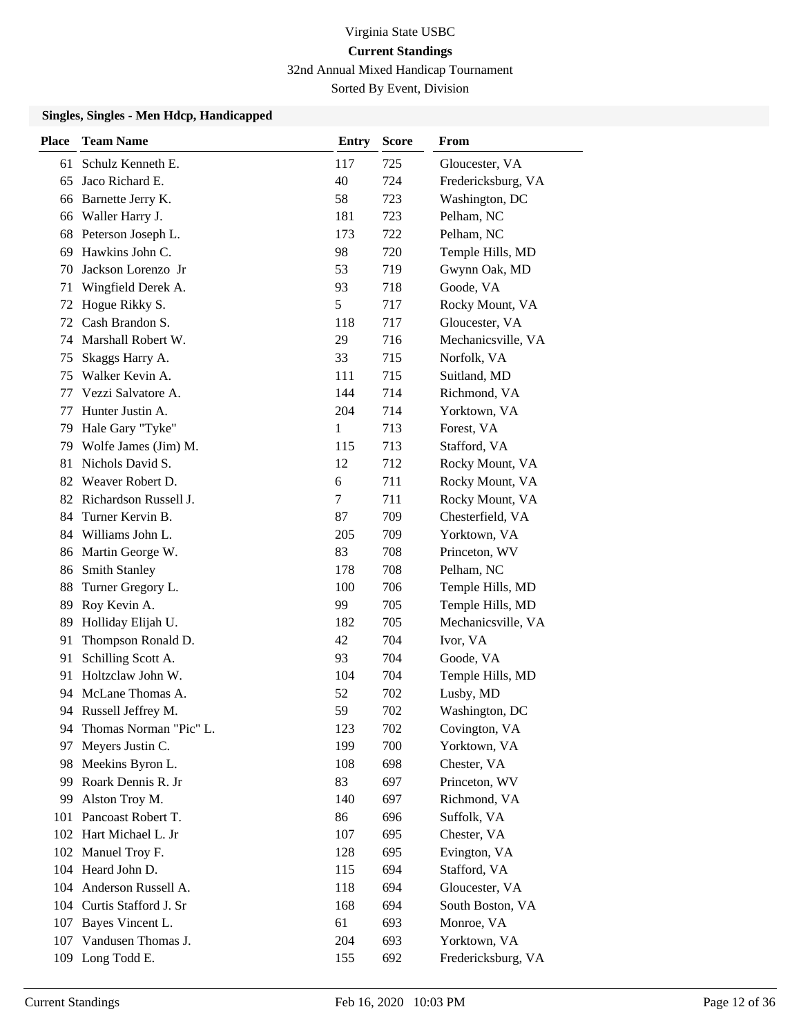## Virginia State USBC **Current Standings** 32nd Annual Mixed Handicap Tournament

Sorted By Event, Division

| <b>Place</b> | <b>Team Name</b>          | <b>Entry</b> | <b>Score</b> | From               |
|--------------|---------------------------|--------------|--------------|--------------------|
| 61           | Schulz Kenneth E.         | 117          | 725          | Gloucester, VA     |
| 65           | Jaco Richard E.           | 40           | 724          | Fredericksburg, VA |
|              | 66 Barnette Jerry K.      | 58           | 723          | Washington, DC     |
| 66           | Waller Harry J.           | 181          | 723          | Pelham, NC         |
| 68           | Peterson Joseph L.        | 173          | 722          | Pelham, NC         |
| 69           | Hawkins John C.           | 98           | 720          | Temple Hills, MD   |
| 70           | Jackson Lorenzo Jr        | 53           | 719          | Gwynn Oak, MD      |
| 71           | Wingfield Derek A.        | 93           | 718          | Goode, VA          |
| 72           | Hogue Rikky S.            | 5            | 717          | Rocky Mount, VA    |
| 72           | Cash Brandon S.           | 118          | 717          | Gloucester, VA     |
| 74           | Marshall Robert W.        | 29           | 716          | Mechanicsville, VA |
| 75           | Skaggs Harry A.           | 33           | 715          | Norfolk, VA        |
| 75           | Walker Kevin A.           | 111          | 715          | Suitland, MD       |
| 77           | Vezzi Salvatore A.        | 144          | 714          | Richmond, VA       |
| 77           | Hunter Justin A.          | 204          | 714          | Yorktown, VA       |
| 79           | Hale Gary "Tyke"          | 1            | 713          | Forest, VA         |
| 79           | Wolfe James (Jim) M.      | 115          | 713          | Stafford, VA       |
| 81           | Nichols David S.          | 12           | 712          | Rocky Mount, VA    |
| 82           | Weaver Robert D.          | 6            | 711          | Rocky Mount, VA    |
|              | 82 Richardson Russell J.  | 7            | 711          | Rocky Mount, VA    |
| 84           | Turner Kervin B.          | 87           | 709          | Chesterfield, VA   |
| 84           | Williams John L.          | 205          | 709          | Yorktown, VA       |
| 86           | Martin George W.          | 83           | 708          | Princeton, WV      |
| 86           | <b>Smith Stanley</b>      | 178          | 708          | Pelham, NC         |
| 88           | Turner Gregory L.         | 100          | 706          | Temple Hills, MD   |
| 89           | Roy Kevin A.              | 99           | 705          | Temple Hills, MD   |
| 89           | Holliday Elijah U.        | 182          | 705          | Mechanicsville, VA |
| 91           | Thompson Ronald D.        | 42           | 704          | Ivor, VA           |
| 91           | Schilling Scott A.        | 93           | 704          | Goode, VA          |
| 91           | Holtzclaw John W.         | 104          | 704          | Temple Hills, MD   |
| 94           | McLane Thomas A.          | 52           | 702          | Lusby, MD          |
|              | 94 Russell Jeffrey M.     | 59           | 702          | Washington, DC     |
| 94           | Thomas Norman "Pic" L.    | 123          | 702          | Covington, VA      |
| 97           | Meyers Justin C.          | 199          | 700          | Yorktown, VA       |
| 98           | Meekins Byron L.          | 108          | 698          | Chester, VA        |
| 99           | Roark Dennis R. Jr        | 83           | 697          | Princeton, WV      |
| 99           | Alston Troy M.            | 140          | 697          | Richmond, VA       |
| 101          | Pancoast Robert T.        | 86           | 696          | Suffolk, VA        |
|              | 102 Hart Michael L. Jr    | 107          | 695          | Chester, VA        |
|              | 102 Manuel Troy F.        | 128          | 695          | Evington, VA       |
|              | 104 Heard John D.         | 115          | 694          | Stafford, VA       |
|              | 104 Anderson Russell A.   | 118          | 694          | Gloucester, VA     |
|              | 104 Curtis Stafford J. Sr | 168          | 694          | South Boston, VA   |
| 107          | Bayes Vincent L.          | 61           | 693          | Monroe, VA         |
|              | 107 Vandusen Thomas J.    | 204          | 693          | Yorktown, VA       |
|              | 109 Long Todd E.          | 155          | 692          | Fredericksburg, VA |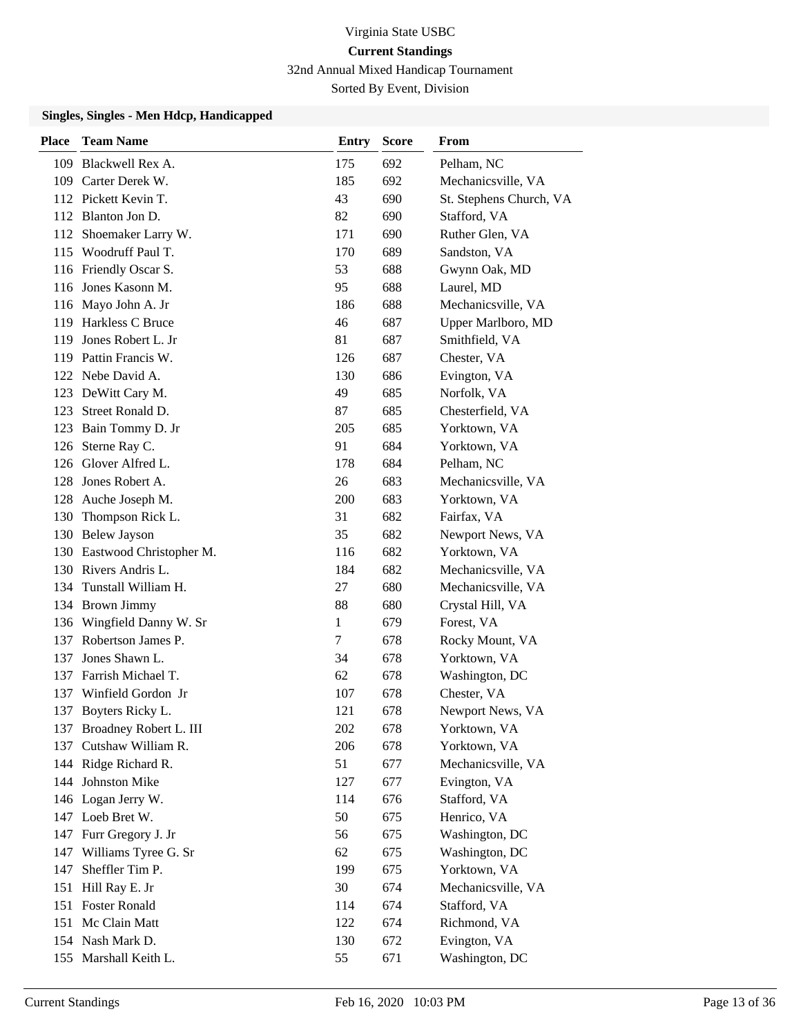32nd Annual Mixed Handicap Tournament

Sorted By Event, Division

| <b>Place</b> | <b>Team Name</b>            | <b>Entry</b> | <b>Score</b> | From                    |
|--------------|-----------------------------|--------------|--------------|-------------------------|
|              | 109 Blackwell Rex A.        | 175          | 692          | Pelham, NC              |
|              | 109 Carter Derek W.         | 185          | 692          | Mechanicsville, VA      |
|              | 112 Pickett Kevin T.        | 43           | 690          | St. Stephens Church, VA |
|              | 112 Blanton Jon D.          | 82           | 690          | Stafford, VA            |
|              | 112 Shoemaker Larry W.      | 171          | 690          | Ruther Glen, VA         |
|              | 115 Woodruff Paul T.        | 170          | 689          | Sandston, VA            |
|              | 116 Friendly Oscar S.       | 53           | 688          | Gwynn Oak, MD           |
|              | 116 Jones Kasonn M.         | 95           | 688          | Laurel, MD              |
|              | 116 Mayo John A. Jr         | 186          | 688          | Mechanicsville, VA      |
|              | 119 Harkless C Bruce        | 46           | 687          | Upper Marlboro, MD      |
|              | 119 Jones Robert L. Jr      | 81           | 687          | Smithfield, VA          |
|              | 119 Pattin Francis W.       | 126          | 687          | Chester, VA             |
|              | 122 Nebe David A.           | 130          | 686          | Evington, VA            |
|              | 123 DeWitt Cary M.          | 49           | 685          | Norfolk, VA             |
| 123          | Street Ronald D.            | 87           | 685          | Chesterfield, VA        |
|              | 123 Bain Tommy D. Jr        | 205          | 685          | Yorktown, VA            |
|              | 126 Sterne Ray C.           | 91           | 684          | Yorktown, VA            |
|              | 126 Glover Alfred L.        | 178          | 684          | Pelham, NC              |
|              | 128 Jones Robert A.         | 26           | 683          | Mechanicsville, VA      |
|              | 128 Auche Joseph M.         | 200          | 683          | Yorktown, VA            |
| 130          | Thompson Rick L.            | 31           | 682          | Fairfax, VA             |
|              | 130 Belew Jayson            | 35           | 682          | Newport News, VA        |
|              | 130 Eastwood Christopher M. | 116          | 682          | Yorktown, VA            |
|              | 130 Rivers Andris L.        | 184          | 682          | Mechanicsville, VA      |
|              | 134 Tunstall William H.     | 27           | 680          | Mechanicsville, VA      |
|              | 134 Brown Jimmy             | 88           | 680          | Crystal Hill, VA        |
|              | 136 Wingfield Danny W. Sr   | 1            | 679          | Forest, VA              |
| 137          | Robertson James P.          | 7            | 678          | Rocky Mount, VA         |
| 137          | Jones Shawn L.              | 34           | 678          | Yorktown, VA            |
|              | 137 Farrish Michael T.      | 62           | 678          | Washington, DC          |
|              | 137 Winfield Gordon Jr      | 107          | 678          | Chester, VA             |
| 137          | Boyters Ricky L.            | 121          | 678          | Newport News, VA        |
|              | 137 Broadney Robert L. III  | 202          | 678          | Yorktown, VA            |
|              | 137 Cutshaw William R.      | 206          | 678          | Yorktown, VA            |
|              | 144 Ridge Richard R.        | 51           | 677          | Mechanicsville, VA      |
|              | 144 Johnston Mike           | 127          | 677          | Evington, VA            |
|              | 146 Logan Jerry W.          | 114          | 676          | Stafford, VA            |
|              | 147 Loeb Bret W.            | 50           | 675          | Henrico, VA             |
|              | 147 Furr Gregory J. Jr      | 56           | 675          | Washington, DC          |
| 147          | Williams Tyree G. Sr        | 62           | 675          | Washington, DC          |
| 147          | Sheffler Tim P.             | 199          | 675          | Yorktown, VA            |
| 151          | Hill Ray E. Jr              | 30           | 674          | Mechanicsville, VA      |
|              | 151 Foster Ronald           | 114          | 674          | Stafford, VA            |
|              | 151 Mc Clain Matt           | 122          | 674          | Richmond, VA            |
|              | 154 Nash Mark D.            | 130          | 672          | Evington, VA            |
|              | 155 Marshall Keith L.       | 55           | 671          | Washington, DC          |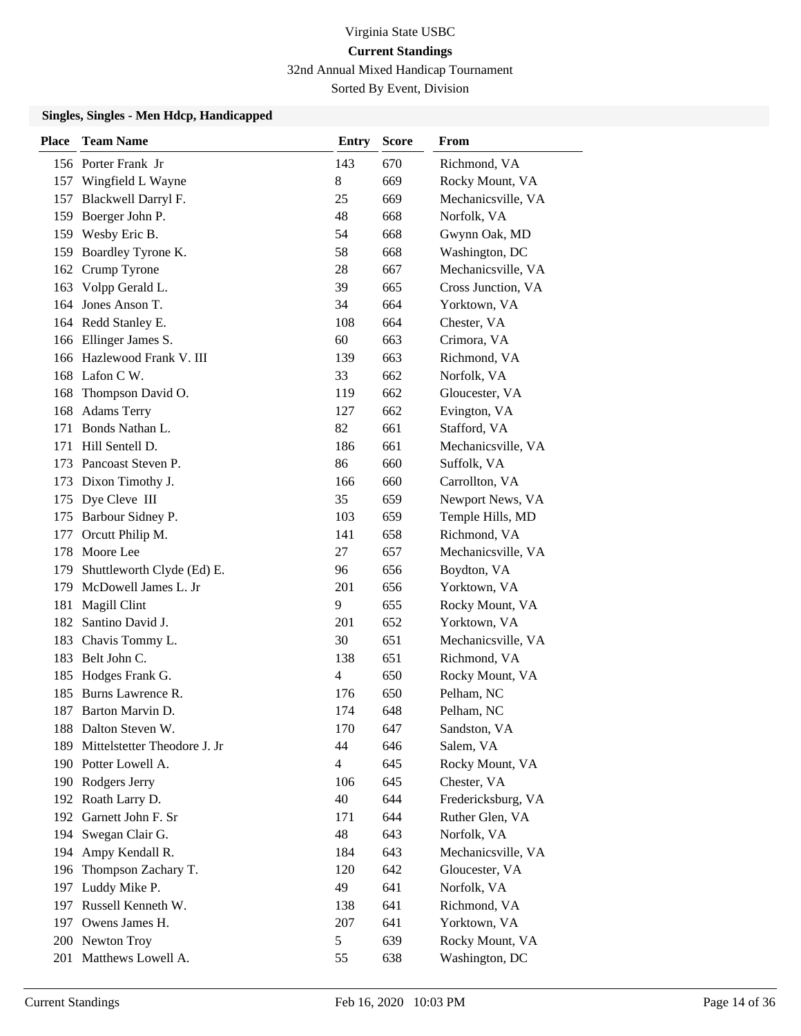32nd Annual Mixed Handicap Tournament

Sorted By Event, Division

| <b>Place</b> | <b>Team Name</b>             | <b>Entry</b>   | <b>Score</b> | From               |
|--------------|------------------------------|----------------|--------------|--------------------|
|              | 156 Porter Frank Jr          | 143            | 670          | Richmond, VA       |
| 157          | Wingfield L Wayne            | $8\,$          | 669          | Rocky Mount, VA    |
| 157          | Blackwell Darryl F.          | 25             | 669          | Mechanicsville, VA |
| 159          | Boerger John P.              | 48             | 668          | Norfolk, VA        |
|              | 159 Wesby Eric B.            | 54             | 668          | Gwynn Oak, MD      |
| 159          | Boardley Tyrone K.           | 58             | 668          | Washington, DC     |
| 162          | Crump Tyrone                 | 28             | 667          | Mechanicsville, VA |
| 163          | Volpp Gerald L.              | 39             | 665          | Cross Junction, VA |
|              | 164 Jones Anson T.           | 34             | 664          | Yorktown, VA       |
|              | 164 Redd Stanley E.          | 108            | 664          | Chester, VA        |
|              | 166 Ellinger James S.        | 60             | 663          | Crimora, VA        |
|              | 166 Hazlewood Frank V. III   | 139            | 663          | Richmond, VA       |
| 168          | Lafon C W.                   | 33             | 662          | Norfolk, VA        |
| 168          | Thompson David O.            | 119            | 662          | Gloucester, VA     |
| 168          | <b>Adams Terry</b>           | 127            | 662          | Evington, VA       |
|              | 171 Bonds Nathan L.          | 82             | 661          | Stafford, VA       |
| 171          | Hill Sentell D.              | 186            | 661          | Mechanicsville, VA |
|              | 173 Pancoast Steven P.       | 86             | 660          | Suffolk, VA        |
| 173          | Dixon Timothy J.             | 166            | 660          | Carrollton, VA     |
|              | 175 Dye Cleve III            | 35             | 659          | Newport News, VA   |
| 175          | Barbour Sidney P.            | 103            | 659          | Temple Hills, MD   |
| 177          | Orcutt Philip M.             | 141            | 658          | Richmond, VA       |
| 178          | Moore Lee                    | 27             | 657          | Mechanicsville, VA |
| 179          | Shuttleworth Clyde (Ed) E.   | 96             | 656          | Boydton, VA        |
| 179          | McDowell James L. Jr         | 201            | 656          | Yorktown, VA       |
| 181          | Magill Clint                 | 9              | 655          | Rocky Mount, VA    |
| 182          | Santino David J.             | 201            | 652          | Yorktown, VA       |
| 183          | Chavis Tommy L.              | 30             | 651          | Mechanicsville, VA |
| 183          | Belt John C.                 | 138            | 651          | Richmond, VA       |
| 185          | Hodges Frank G.              | 4              | 650          | Rocky Mount, VA    |
| 185          | Burns Lawrence R.            | 176            | 650          | Pelham, NC         |
| 187          | Barton Marvin D.             | 174            | 648          | Pelham, NC         |
|              | 188 Dalton Steven W.         | 170            | 647          | Sandston, VA       |
| 189          | Mittelstetter Theodore J. Jr | 44             | 646          | Salem, VA          |
|              | 190 Potter Lowell A.         | $\overline{4}$ | 645          | Rocky Mount, VA    |
|              | 190 Rodgers Jerry            | 106            | 645          | Chester, VA        |
|              | 192 Roath Larry D.           | 40             | 644          | Fredericksburg, VA |
| 192          | Garnett John F. Sr           | 171            | 644          | Ruther Glen, VA    |
|              | 194 Swegan Clair G.          | 48             | 643          | Norfolk, VA        |
| 194          | Ampy Kendall R.              | 184            | 643          | Mechanicsville, VA |
| 196          | Thompson Zachary T.          | 120            | 642          | Gloucester, VA     |
| 197          | Luddy Mike P.                | 49             | 641          | Norfolk, VA        |
| 197          | Russell Kenneth W.           | 138            | 641          | Richmond, VA       |
|              | 197 Owens James H.           | 207            | 641          | Yorktown, VA       |
|              | 200 Newton Troy              | 5              | 639          | Rocky Mount, VA    |
|              | 201 Matthews Lowell A.       | 55             | 638          | Washington, DC     |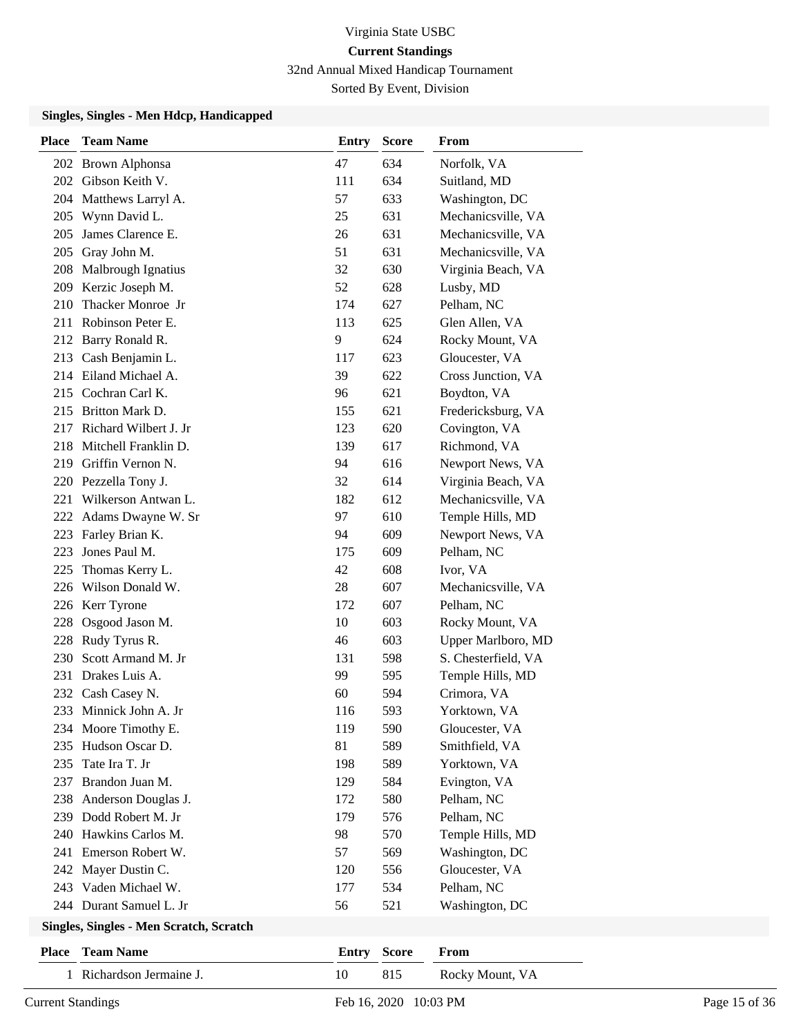32nd Annual Mixed Handicap Tournament

Sorted By Event, Division

| <b>Place</b> | <b>Team Name</b>                        | <b>Entry</b> | <b>Score</b> | From                |
|--------------|-----------------------------------------|--------------|--------------|---------------------|
|              | 202 Brown Alphonsa                      | 47           | 634          | Norfolk, VA         |
| 202          | Gibson Keith V.                         | 111          | 634          | Suitland, MD        |
|              | 204 Matthews Larryl A.                  | 57           | 633          | Washington, DC      |
| 205          | Wynn David L.                           | 25           | 631          | Mechanicsville, VA  |
| 205          | James Clarence E.                       | 26           | 631          | Mechanicsville, VA  |
| 205          | Gray John M.                            | 51           | 631          | Mechanicsville, VA  |
|              | 208 Malbrough Ignatius                  | 32           | 630          | Virginia Beach, VA  |
|              | 209 Kerzic Joseph M.                    | 52           | 628          | Lusby, MD           |
| 210          | Thacker Monroe Jr                       | 174          | 627          | Pelham, NC          |
| 211          | Robinson Peter E.                       | 113          | 625          | Glen Allen, VA      |
|              | 212 Barry Ronald R.                     | 9            | 624          | Rocky Mount, VA     |
| 213          | Cash Benjamin L.                        | 117          | 623          | Gloucester, VA      |
| 214          | Eiland Michael A.                       | 39           | 622          | Cross Junction, VA  |
| 215          | Cochran Carl K.                         | 96           | 621          | Boydton, VA         |
| 215          | Britton Mark D.                         | 155          | 621          | Fredericksburg, VA  |
| 217          | Richard Wilbert J. Jr                   | 123          | 620          | Covington, VA       |
| 218          | Mitchell Franklin D.                    | 139          | 617          | Richmond, VA        |
| 219          | Griffin Vernon N.                       | 94           | 616          | Newport News, VA    |
| 220          | Pezzella Tony J.                        | 32           | 614          | Virginia Beach, VA  |
| 221          | Wilkerson Antwan L.                     | 182          | 612          | Mechanicsville, VA  |
| 222          | Adams Dwayne W. Sr                      | 97           | 610          | Temple Hills, MD    |
| 223          | Farley Brian K.                         | 94           | 609          | Newport News, VA    |
| 223          | Jones Paul M.                           | 175          | 609          | Pelham, NC          |
| 225          | Thomas Kerry L.                         | 42           | 608          | Ivor, VA            |
| 226          | Wilson Donald W.                        | 28           | 607          | Mechanicsville, VA  |
| 226          | Kerr Tyrone                             | 172          | 607          | Pelham, NC          |
| 228          | Osgood Jason M.                         | 10           | 603          | Rocky Mount, VA     |
| 228          | Rudy Tyrus R.                           | 46           | 603          | Upper Marlboro, MD  |
| 230          | Scott Armand M. Jr                      | 131          | 598          | S. Chesterfield, VA |
| 231          | Drakes Luis A.                          | 99           | 595          | Temple Hills, MD    |
| 232          | Cash Casey N.                           | 60           | 594          | Crimora, VA         |
| 233          | Minnick John A. Jr                      | 116          | 593          | Yorktown, VA        |
|              | 234 Moore Timothy E.                    | 119          | 590          | Gloucester, VA      |
| 235          | Hudson Oscar D.                         | 81           | 589          | Smithfield, VA      |
| 235          | Tate Ira T. Jr                          | 198          | 589          | Yorktown, VA        |
| 237          | Brandon Juan M.                         | 129          | 584          | Evington, VA        |
| 238          | Anderson Douglas J.                     | 172          | 580          | Pelham, NC          |
| 239          | Dodd Robert M. Jr                       | 179          | 576          | Pelham, NC          |
| 240          | Hawkins Carlos M.                       | 98           | 570          | Temple Hills, MD    |
| 241          | Emerson Robert W.                       | 57           | 569          | Washington, DC      |
| 242          | Mayer Dustin C.                         | 120          | 556          | Gloucester, VA      |
| 243          | Vaden Michael W.                        | 177          | 534          | Pelham, NC          |
|              | 244 Durant Samuel L. Jr                 | 56           | 521          | Washington, DC      |
|              | Singles, Singles - Men Scratch, Scratch |              |              |                     |

| <b>Place</b> Team Name   | <b>Entry Score</b> | From            |
|--------------------------|--------------------|-----------------|
| 1 Richardson Jermaine J. | 815                | Rocky Mount, VA |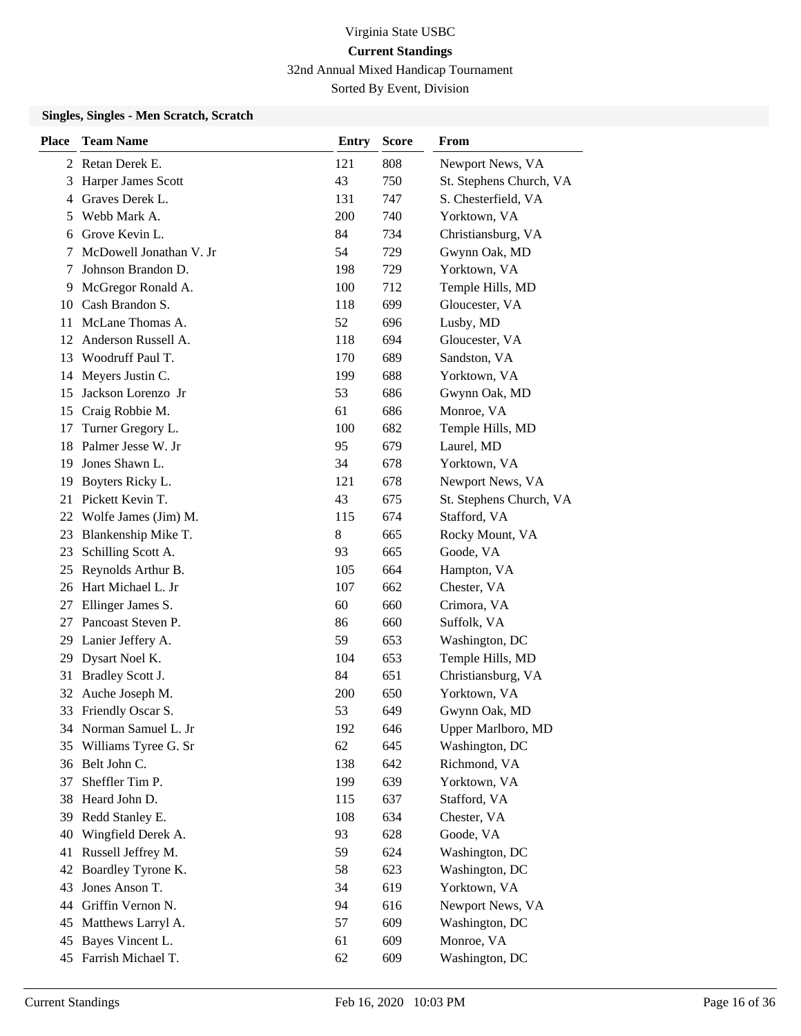32nd Annual Mixed Handicap Tournament

Sorted By Event, Division

### **Singles, Singles - Men Scratch, Scratch**

| <b>Place</b> | <b>Team Name</b>        | <b>Entry</b> | <b>Score</b> | From                    |
|--------------|-------------------------|--------------|--------------|-------------------------|
|              | 2 Retan Derek E.        | 121          | 808          | Newport News, VA        |
| 3            | Harper James Scott      | 43           | 750          | St. Stephens Church, VA |
| 4            | Graves Derek L.         | 131          | 747          | S. Chesterfield, VA     |
| 5            | Webb Mark A.            | 200          | 740          | Yorktown, VA            |
| 6            | Grove Kevin L.          | 84           | 734          | Christiansburg, VA      |
| 7            | McDowell Jonathan V. Jr | 54           | 729          | Gwynn Oak, MD           |
| 7            | Johnson Brandon D.      | 198          | 729          | Yorktown, VA            |
| 9            | McGregor Ronald A.      | 100          | 712          | Temple Hills, MD        |
| 10           | Cash Brandon S.         | 118          | 699          | Gloucester, VA          |
| 11           | McLane Thomas A.        | 52           | 696          | Lusby, MD               |
|              | 12 Anderson Russell A.  | 118          | 694          | Gloucester, VA          |
| 13           | Woodruff Paul T.        | 170          | 689          | Sandston, VA            |
| 14           | Meyers Justin C.        | 199          | 688          | Yorktown, VA            |
| 15           | Jackson Lorenzo Jr      | 53           | 686          | Gwynn Oak, MD           |
| 15           | Craig Robbie M.         | 61           | 686          | Monroe, VA              |
| 17           | Turner Gregory L.       | 100          | 682          | Temple Hills, MD        |
| 18           | Palmer Jesse W. Jr      | 95           | 679          | Laurel, MD              |
| 19           | Jones Shawn L.          | 34           | 678          | Yorktown, VA            |
| 19           | Boyters Ricky L.        | 121          | 678          | Newport News, VA        |
| 21           | Pickett Kevin T.        | 43           | 675          | St. Stephens Church, VA |
| 22           | Wolfe James (Jim) M.    | 115          | 674          | Stafford, VA            |
| 23           | Blankenship Mike T.     | 8            | 665          | Rocky Mount, VA         |
| 23           | Schilling Scott A.      | 93           | 665          | Goode, VA               |
| 25           | Reynolds Arthur B.      | 105          | 664          | Hampton, VA             |
| 26           | Hart Michael L. Jr      | 107          | 662          | Chester, VA             |
| 27           | Ellinger James S.       | 60           | 660          | Crimora, VA             |
| 27           | Pancoast Steven P.      | 86           | 660          | Suffolk, VA             |
| 29           | Lanier Jeffery A.       | 59           | 653          | Washington, DC          |
| 29           | Dysart Noel K.          | 104          | 653          | Temple Hills, MD        |
| 31           | Bradley Scott J.        | 84           | 651          | Christiansburg, VA      |
| 32           | Auche Joseph M.         | 200          | 650          | Yorktown, VA            |
| 33           | Friendly Oscar S.       | 53           | 649          | Gwynn Oak, MD           |
|              | 34 Norman Samuel L. Jr  | 192          | 646          | Upper Marlboro, MD      |
| 35           | Williams Tyree G. Sr    | 62           | 645          | Washington, DC          |
|              | 36 Belt John C.         | 138          | 642          | Richmond, VA            |
| 37           | Sheffler Tim P.         | 199          | 639          | Yorktown, VA            |
| 38           | Heard John D.           | 115          | 637          | Stafford, VA            |
| 39           | Redd Stanley E.         | 108          | 634          | Chester, VA             |
| 40           | Wingfield Derek A.      | 93           | 628          | Goode, VA               |
| 41           | Russell Jeffrey M.      | 59           | 624          | Washington, DC          |
| 42           | Boardley Tyrone K.      | 58           | 623          | Washington, DC          |
| 43           | Jones Anson T.          | 34           | 619          | Yorktown, VA            |
| 44           | Griffin Vernon N.       | 94           | 616          | Newport News, VA        |
| 45           | Matthews Larryl A.      | 57           | 609          | Washington, DC          |
| 45           | Bayes Vincent L.        | 61           | 609          | Monroe, VA              |
| 45           | Farrish Michael T.      | 62           | 609          | Washington, DC          |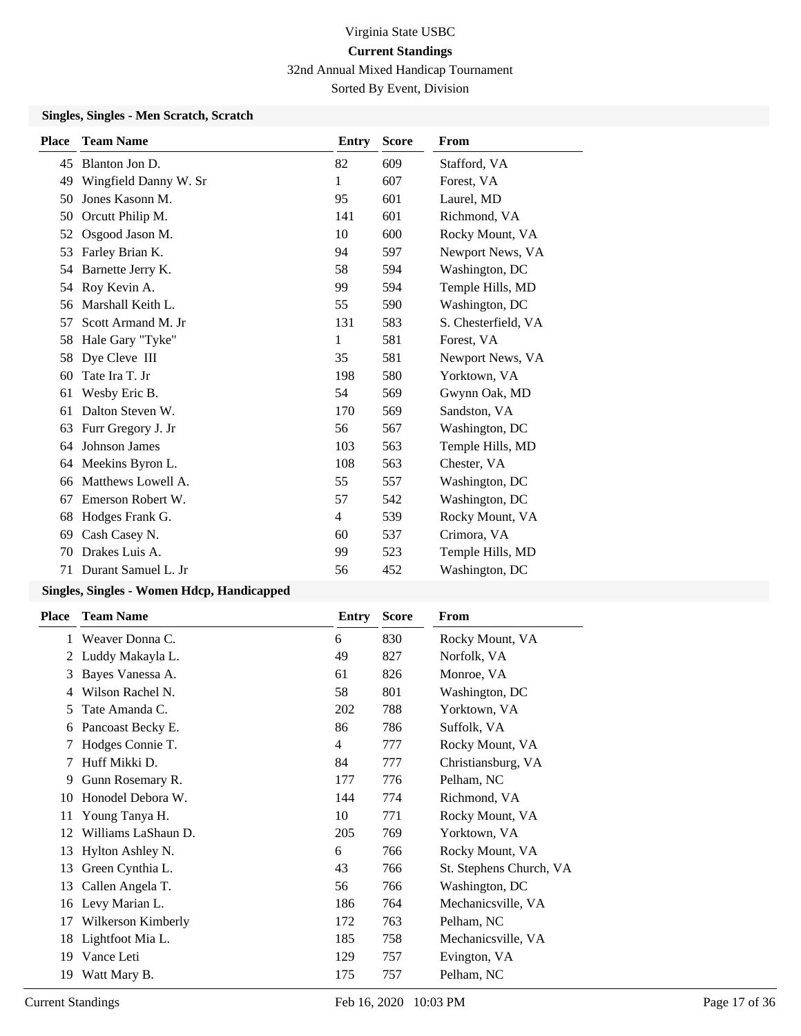32nd Annual Mixed Handicap Tournament Sorted By Event, Division

#### **Singles, Singles - Men Scratch, Scratch**

| <b>Team Name</b>      | <b>Entry</b>   | <b>Score</b> | From                |
|-----------------------|----------------|--------------|---------------------|
| Blanton Jon D.        | 82             | 609          | Stafford, VA        |
| Wingfield Danny W. Sr | 1              | 607          | Forest, VA          |
| Jones Kasonn M.       | 95             | 601          | Laurel, MD          |
| Orcutt Philip M.      | 141            | 601          | Richmond, VA        |
| Osgood Jason M.       | 10             | 600          | Rocky Mount, VA     |
| Farley Brian K.       | 94             | 597          | Newport News, VA    |
| Barnette Jerry K.     | 58             | 594          | Washington, DC      |
| Roy Kevin A.          | 99             | 594          | Temple Hills, MD    |
| Marshall Keith L.     | 55             | 590          | Washington, DC      |
| Scott Armand M. Jr    | 131            | 583          | S. Chesterfield, VA |
| Hale Gary "Tyke"      | 1              | 581          | Forest, VA          |
| Dye Cleve III         | 35             | 581          | Newport News, VA    |
| Tate Ira T. Jr        | 198            | 580          | Yorktown, VA        |
| Wesby Eric B.         | 54             | 569          | Gwynn Oak, MD       |
| Dalton Steven W.      | 170            | 569          | Sandston, VA        |
| Furr Gregory J. Jr    | 56             | 567          | Washington, DC      |
| Johnson James         | 103            | 563          | Temple Hills, MD    |
| Meekins Byron L.      | 108            | 563          | Chester, VA         |
| Matthews Lowell A.    | 55             | 557          | Washington, DC      |
| Emerson Robert W.     | 57             | 542          | Washington, DC      |
| Hodges Frank G.       | $\overline{4}$ | 539          | Rocky Mount, VA     |
| Cash Casey N.         | 60             | 537          | Crimora, VA         |
| Drakes Luis A.        | 99             | 523          | Temple Hills, MD    |
| Durant Samuel L. Jr   | 56             | 452          | Washington, DC      |
|                       |                |              |                     |

| <b>Place</b> | <b>Team Name</b>    | Entry          | <b>Score</b> | From                    |
|--------------|---------------------|----------------|--------------|-------------------------|
| 1            | Weaver Donna C.     | 6              | 830          | Rocky Mount, VA         |
| 2            | Luddy Makayla L.    | 49             | 827          | Norfolk, VA             |
| 3            | Bayes Vanessa A.    | 61             | 826          | Monroe, VA              |
| 4            | Wilson Rachel N.    | 58             | 801          | Washington, DC          |
| 5.           | Tate Amanda C.      | 202            | 788          | Yorktown, VA            |
| 6            | Pancoast Becky E.   | 86             | 786          | Suffolk, VA             |
|              | Hodges Connie T.    | $\overline{4}$ | 777          | Rocky Mount, VA         |
|              | Huff Mikki D.       | 84             | 777          | Christiansburg, VA      |
| 9            | Gunn Rosemary R.    | 177            | 776          | Pelham, NC              |
| 10           | Honodel Debora W.   | 144            | 774          | Richmond, VA            |
| 11           | Young Tanya H.      | 10             | 771          | Rocky Mount, VA         |
| 12           | Williams LaShaun D. | 205            | 769          | Yorktown, VA            |
| 13           | Hylton Ashley N.    | 6              | 766          | Rocky Mount, VA         |
| 13           | Green Cynthia L.    | 43             | 766          | St. Stephens Church, VA |
| 13           | Callen Angela T.    | 56             | 766          | Washington, DC          |
| 16           | Levy Marian L.      | 186            | 764          | Mechanicsville, VA      |
| 17           | Wilkerson Kimberly  | 172            | 763          | Pelham, NC              |
| 18           | Lightfoot Mia L.    | 185            | 758          | Mechanicsville, VA      |
| 19           | Vance Leti          | 129            | 757          | Evington, VA            |
| 19           | Watt Mary B.        | 175            | 757          | Pelham, NC              |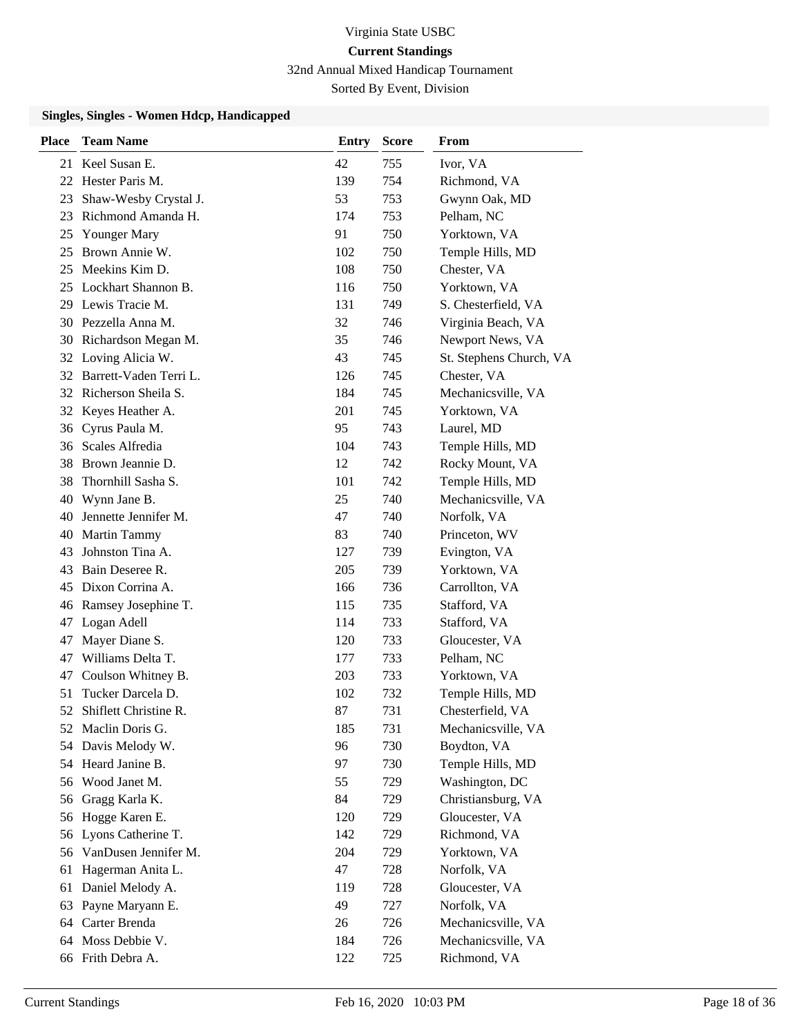32nd Annual Mixed Handicap Tournament

Sorted By Event, Division

| <b>Place</b> | <b>Team Name</b>          | Entry | <b>Score</b> | <b>From</b>             |
|--------------|---------------------------|-------|--------------|-------------------------|
|              | 21 Keel Susan E.          | 42    | 755          | Ivor, VA                |
| 22           | Hester Paris M.           | 139   | 754          | Richmond, VA            |
| 23           | Shaw-Wesby Crystal J.     | 53    | 753          | Gwynn Oak, MD           |
| 23           | Richmond Amanda H.        | 174   | 753          | Pelham, NC              |
| 25           | <b>Younger Mary</b>       | 91    | 750          | Yorktown, VA            |
| 25           | Brown Annie W.            | 102   | 750          | Temple Hills, MD        |
| 25           | Meekins Kim D.            | 108   | 750          | Chester, VA             |
| 25           | Lockhart Shannon B.       | 116   | 750          | Yorktown, VA            |
| 29           | Lewis Tracie M.           | 131   | 749          | S. Chesterfield, VA     |
|              | 30 Pezzella Anna M.       | 32    | 746          | Virginia Beach, VA      |
|              | 30 Richardson Megan M.    | 35    | 746          | Newport News, VA        |
| 32           | Loving Alicia W.          | 43    | 745          | St. Stephens Church, VA |
|              | 32 Barrett-Vaden Terri L. | 126   | 745          | Chester, VA             |
|              | 32 Richerson Sheila S.    | 184   | 745          | Mechanicsville, VA      |
|              | 32 Keyes Heather A.       | 201   | 745          | Yorktown, VA            |
| 36           | Cyrus Paula M.            | 95    | 743          | Laurel, MD              |
| 36           | Scales Alfredia           | 104   | 743          | Temple Hills, MD        |
| 38           | Brown Jeannie D.          | 12    | 742          | Rocky Mount, VA         |
| 38           | Thornhill Sasha S.        | 101   | 742          | Temple Hills, MD        |
| 40           | Wynn Jane B.              | 25    | 740          | Mechanicsville, VA      |
| 40           | Jennette Jennifer M.      | 47    | 740          | Norfolk, VA             |
| 40           | Martin Tammy              | 83    | 740          | Princeton, WV           |
| 43           | Johnston Tina A.          | 127   | 739          | Evington, VA            |
| 43           | Bain Deseree R.           | 205   | 739          | Yorktown, VA            |
| 45           | Dixon Corrina A.          | 166   | 736          | Carrollton, VA          |
| 46           | Ramsey Josephine T.       | 115   | 735          | Stafford, VA            |
| 47           | Logan Adell               | 114   | 733          | Stafford, VA            |
| 47           | Mayer Diane S.            | 120   | 733          | Gloucester, VA          |
| 47           | Williams Delta T.         | 177   | 733          | Pelham, NC              |
| 47           | Coulson Whitney B.        | 203   | 733          | Yorktown, VA            |
| 51           | Tucker Darcela D.         | 102   | 732          | Temple Hills, MD        |
| 52           | Shiflett Christine R.     | 87    | 731          | Chesterfield, VA        |
|              | 52 Maclin Doris G.        | 185   | 731          | Mechanicsville, VA      |
|              | 54 Davis Melody W.        | 96    | 730          | Boydton, VA             |
|              | 54 Heard Janine B.        | 97    | 730          | Temple Hills, MD        |
| 56           | Wood Janet M.             | 55    | 729          | Washington, DC          |
| 56           | Gragg Karla K.            | 84    | 729          | Christiansburg, VA      |
|              | 56 Hogge Karen E.         | 120   | 729          | Gloucester, VA          |
|              | 56 Lyons Catherine T.     | 142   | 729          | Richmond, VA            |
|              | 56 VanDusen Jennifer M.   | 204   | 729          | Yorktown, VA            |
| 61           | Hagerman Anita L.         | 47    | 728          | Norfolk, VA             |
| 61           | Daniel Melody A.          | 119   | 728          | Gloucester, VA          |
| 63           | Payne Maryann E.          | 49    | 727          | Norfolk, VA             |
| 64           | Carter Brenda             | 26    | 726          | Mechanicsville, VA      |
| 64           | Moss Debbie V.            | 184   | 726          | Mechanicsville, VA      |
|              | 66 Frith Debra A.         | 122   | 725          | Richmond, VA            |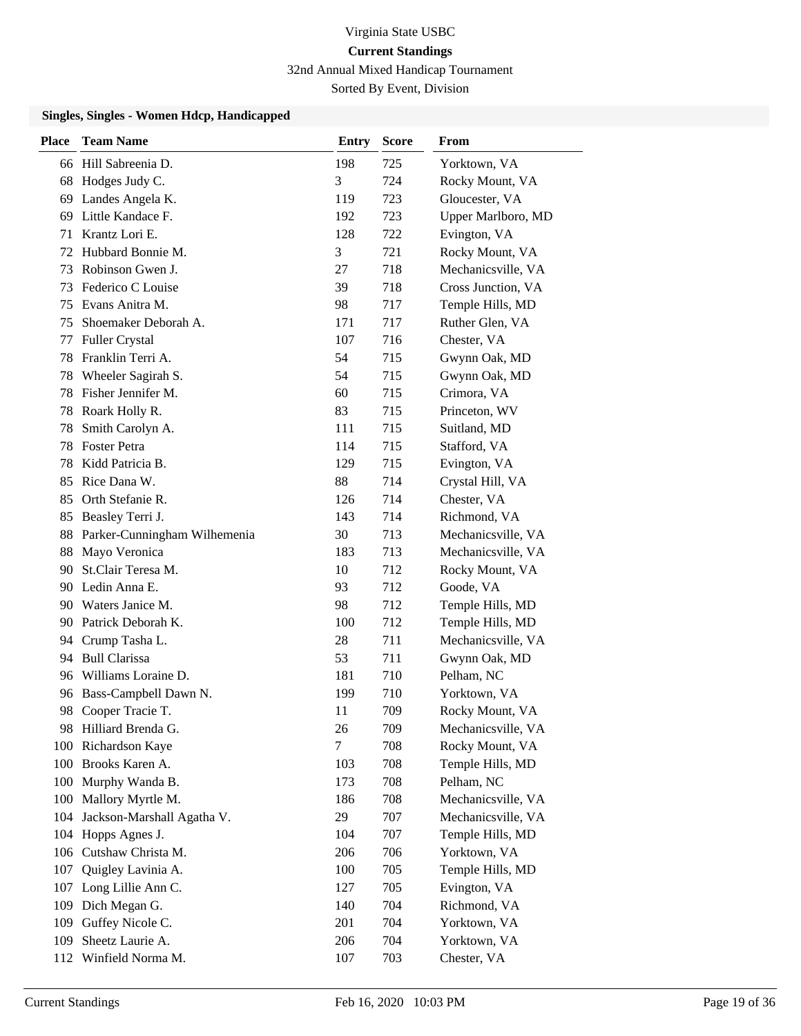32nd Annual Mixed Handicap Tournament

Sorted By Event, Division

| <b>Place</b> | <b>Team Name</b>             | <b>Entry</b>   | <b>Score</b> | From               |
|--------------|------------------------------|----------------|--------------|--------------------|
|              | 66 Hill Sabreenia D.         | 198            | 725          | Yorktown, VA       |
| 68           | Hodges Judy C.               | 3              | 724          | Rocky Mount, VA    |
|              | 69 Landes Angela K.          | 119            | 723          | Gloucester, VA     |
| 69           | Little Kandace F.            | 192            | 723          | Upper Marlboro, MD |
| 71           | Krantz Lori E.               | 128            | 722          | Evington, VA       |
| 72           | Hubbard Bonnie M.            | 3              | 721          | Rocky Mount, VA    |
| 73           | Robinson Gwen J.             | 27             | 718          | Mechanicsville, VA |
| 73           | Federico C Louise            | 39             | 718          | Cross Junction, VA |
| 75           | Evans Anitra M.              | 98             | 717          | Temple Hills, MD   |
| 75           | Shoemaker Deborah A.         | 171            | 717          | Ruther Glen, VA    |
| 77           | <b>Fuller Crystal</b>        | 107            | 716          | Chester, VA        |
| 78           | Franklin Terri A.            | 54             | 715          | Gwynn Oak, MD      |
| 78           | Wheeler Sagirah S.           | 54             | 715          | Gwynn Oak, MD      |
| 78           | Fisher Jennifer M.           | 60             | 715          | Crimora, VA        |
|              | 78 Roark Holly R.            | 83             | 715          | Princeton, WV      |
| 78           | Smith Carolyn A.             | 111            | 715          | Suitland, MD       |
| 78           | <b>Foster Petra</b>          | 114            | 715          | Stafford, VA       |
| 78           | Kidd Patricia B.             | 129            | 715          | Evington, VA       |
|              | 85 Rice Dana W.              | 88             | 714          | Crystal Hill, VA   |
| 85           | Orth Stefanie R.             | 126            | 714          | Chester, VA        |
| 85           | Beasley Terri J.             | 143            | 714          | Richmond, VA       |
| 88           | Parker-Cunningham Wilhemenia | 30             | 713          | Mechanicsville, VA |
| 88           | Mayo Veronica                | 183            | 713          | Mechanicsville, VA |
| 90           | St.Clair Teresa M.           | 10             | 712          | Rocky Mount, VA    |
|              | 90 Ledin Anna E.             | 93             | 712          | Goode, VA          |
|              | 90 Waters Janice M.          | 98             | 712          | Temple Hills, MD   |
|              | 90 Patrick Deborah K.        | 100            | 712          | Temple Hills, MD   |
|              | 94 Crump Tasha L.            | 28             | 711          | Mechanicsville, VA |
| 94           | <b>Bull Clarissa</b>         | 53             | 711          | Gwynn Oak, MD      |
|              | 96 Williams Loraine D.       | 181            | 710          | Pelham, NC         |
|              | 96 Bass-Campbell Dawn N.     | 199            | 710          | Yorktown, VA       |
| 98           | Cooper Tracie T.             | 11             | 709          | Rocky Mount, VA    |
|              | 98 Hilliard Brenda G.        | 26             | 709          | Mechanicsville, VA |
|              | 100 Richardson Kaye          | $\overline{7}$ | 708          | Rocky Mount, VA    |
|              | 100 Brooks Karen A.          | 103            | 708          | Temple Hills, MD   |
|              | 100 Murphy Wanda B.          | 173            | 708          | Pelham, NC         |
|              | 100 Mallory Myrtle M.        | 186            | 708          | Mechanicsville, VA |
| 104          | Jackson-Marshall Agatha V.   | 29             | 707          | Mechanicsville, VA |
|              | 104 Hopps Agnes J.           | 104            | 707          | Temple Hills, MD   |
| 106          | Cutshaw Christa M.           | 206            | 706          | Yorktown, VA       |
| 107          | Quigley Lavinia A.           | 100            | 705          | Temple Hills, MD   |
|              | 107 Long Lillie Ann C.       | 127            | 705          | Evington, VA       |
|              | 109 Dich Megan G.            | 140            | 704          | Richmond, VA       |
| 109          | Guffey Nicole C.             | 201            | 704          | Yorktown, VA       |
| 109          | Sheetz Laurie A.             | 206            | 704          | Yorktown, VA       |
|              | 112 Winfield Norma M.        | 107            | 703          | Chester, VA        |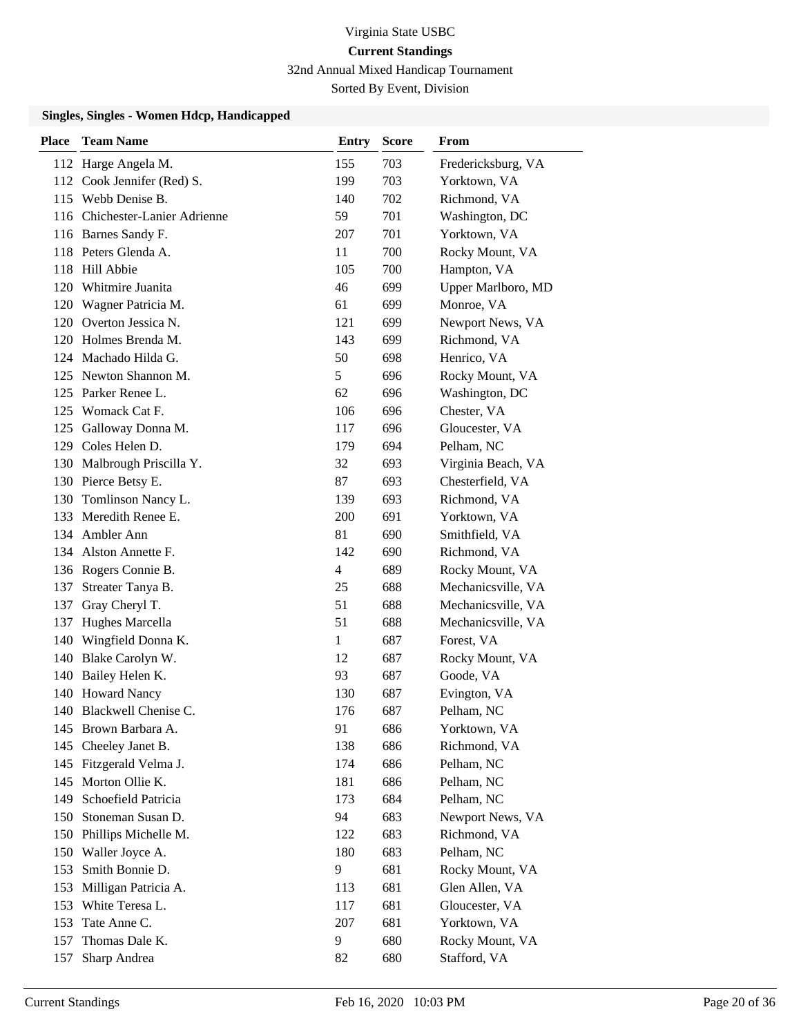32nd Annual Mixed Handicap Tournament

Sorted By Event, Division

| Place | <b>Team Name</b>               | <b>Entry</b>   | <b>Score</b> | From               |
|-------|--------------------------------|----------------|--------------|--------------------|
|       | 112 Harge Angela M.            | 155            | 703          | Fredericksburg, VA |
|       | 112 Cook Jennifer (Red) S.     | 199            | 703          | Yorktown, VA       |
|       | 115 Webb Denise B.             | 140            | 702          | Richmond, VA       |
|       | 116 Chichester-Lanier Adrienne | 59             | 701          | Washington, DC     |
|       | 116 Barnes Sandy F.            | 207            | 701          | Yorktown, VA       |
|       | 118 Peters Glenda A.           | 11             | 700          | Rocky Mount, VA    |
|       | 118 Hill Abbie                 | 105            | 700          | Hampton, VA        |
|       | 120 Whitmire Juanita           | 46             | 699          | Upper Marlboro, MD |
|       | 120 Wagner Patricia M.         | 61             | 699          | Monroe, VA         |
|       | 120 Overton Jessica N.         | 121            | 699          | Newport News, VA   |
|       | 120 Holmes Brenda M.           | 143            | 699          | Richmond, VA       |
|       | 124 Machado Hilda G.           | 50             | 698          | Henrico, VA        |
|       | 125 Newton Shannon M.          | 5              | 696          | Rocky Mount, VA    |
|       | 125 Parker Renee L.            | 62             | 696          | Washington, DC     |
|       | 125 Womack Cat F.              | 106            | 696          | Chester, VA        |
| 125   | Galloway Donna M.              | 117            | 696          | Gloucester, VA     |
|       | 129 Coles Helen D.             | 179            | 694          | Pelham, NC         |
|       | 130 Malbrough Priscilla Y.     | 32             | 693          | Virginia Beach, VA |
|       | 130 Pierce Betsy E.            | 87             | 693          | Chesterfield, VA   |
| 130   | Tomlinson Nancy L.             | 139            | 693          | Richmond, VA       |
|       | 133 Meredith Renee E.          | 200            | 691          | Yorktown, VA       |
|       | 134 Ambler Ann                 | 81             | 690          | Smithfield, VA     |
|       | 134 Alston Annette F.          | 142            | 690          | Richmond, VA       |
|       | 136 Rogers Connie B.           | $\overline{4}$ | 689          | Rocky Mount, VA    |
| 137   | Streater Tanya B.              | 25             | 688          | Mechanicsville, VA |
| 137   | Gray Cheryl T.                 | 51             | 688          | Mechanicsville, VA |
| 137   | Hughes Marcella                | 51             | 688          | Mechanicsville, VA |
| 140   | Wingfield Donna K.             | $\mathbf{1}$   | 687          | Forest, VA         |
|       | 140 Blake Carolyn W.           | 12             | 687          | Rocky Mount, VA    |
|       | 140 Bailey Helen K.            | 93             | 687          | Goode, VA          |
|       | 140 Howard Nancy               | 130            | 687          | Evington, VA       |
|       | 140 Blackwell Chenise C.       | 176            | 687          | Pelham, NC         |
|       | 145 Brown Barbara A.           | 91             | 686          | Yorktown, VA       |
| 145   | Cheeley Janet B.               | 138            | 686          | Richmond, VA       |
|       | 145 Fitzgerald Velma J.        | 174            | 686          | Pelham, NC         |
| 145   | Morton Ollie K.                | 181            | 686          | Pelham, NC         |
| 149   | Schoefield Patricia            | 173            | 684          | Pelham, NC         |
| 150   | Stoneman Susan D.              | 94             | 683          | Newport News, VA   |
|       | 150 Phillips Michelle M.       | 122            | 683          | Richmond, VA       |
|       | 150 Waller Joyce A.            | 180            | 683          | Pelham, NC         |
| 153   | Smith Bonnie D.                | 9              | 681          | Rocky Mount, VA    |
| 153   | Milligan Patricia A.           | 113            | 681          | Glen Allen, VA     |
| 153   | White Teresa L.                | 117            | 681          | Gloucester, VA     |
| 153   | Tate Anne C.                   | 207            | 681          | Yorktown, VA       |
| 157   | Thomas Dale K.                 | 9              | 680          | Rocky Mount, VA    |
| 157   | Sharp Andrea                   | 82             | 680          | Stafford, VA       |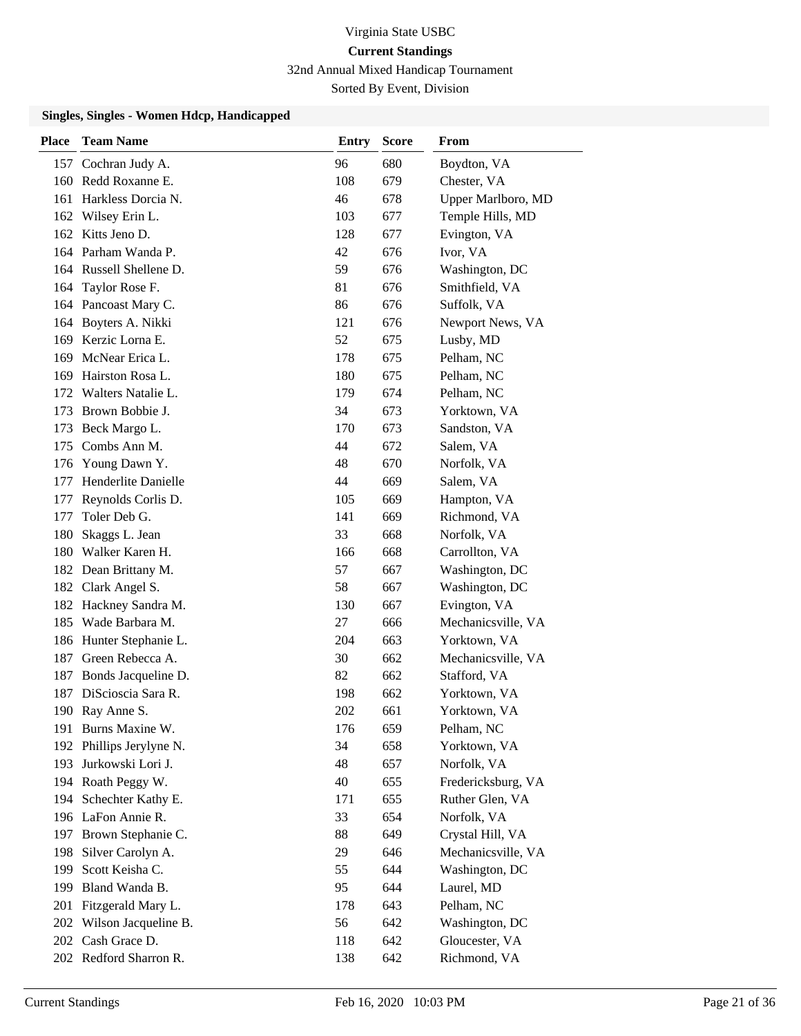32nd Annual Mixed Handicap Tournament

Sorted By Event, Division

| <b>Place</b> | <b>Team Name</b>         | Entry | <b>Score</b> | From               |
|--------------|--------------------------|-------|--------------|--------------------|
|              | 157 Cochran Judy A.      | 96    | 680          | Boydton, VA        |
|              | 160 Redd Roxanne E.      | 108   | 679          | Chester, VA        |
|              | 161 Harkless Dorcia N.   | 46    | 678          | Upper Marlboro, MD |
|              | 162 Wilsey Erin L.       | 103   | 677          | Temple Hills, MD   |
|              | 162 Kitts Jeno D.        | 128   | 677          | Evington, VA       |
|              | 164 Parham Wanda P.      | 42    | 676          | Ivor, VA           |
|              | 164 Russell Shellene D.  | 59    | 676          | Washington, DC     |
| 164          | Taylor Rose F.           | 81    | 676          | Smithfield, VA     |
|              | 164 Pancoast Mary C.     | 86    | 676          | Suffolk, VA        |
|              | 164 Boyters A. Nikki     | 121   | 676          | Newport News, VA   |
|              | 169 Kerzic Lorna E.      | 52    | 675          | Lusby, MD          |
| 169          | McNear Erica L.          | 178   | 675          | Pelham, NC         |
| 169          | Hairston Rosa L.         | 180   | 675          | Pelham, NC         |
| 172          | Walters Natalie L.       | 179   | 674          | Pelham, NC         |
|              | 173 Brown Bobbie J.      | 34    | 673          | Yorktown, VA       |
|              | 173 Beck Margo L.        | 170   | 673          | Sandston, VA       |
| 175          | Combs Ann M.             | 44    | 672          | Salem, VA          |
|              | 176 Young Dawn Y.        | 48    | 670          | Norfolk, VA        |
| 177          | Henderlite Danielle      | 44    | 669          | Salem, VA          |
| 177          | Reynolds Corlis D.       | 105   | 669          | Hampton, VA        |
| 177          | Toler Deb G.             | 141   | 669          | Richmond, VA       |
| 180          | Skaggs L. Jean           | 33    | 668          | Norfolk, VA        |
|              | 180 Walker Karen H.      | 166   | 668          | Carrollton, VA     |
|              | 182 Dean Brittany M.     | 57    | 667          | Washington, DC     |
|              | 182 Clark Angel S.       | 58    | 667          | Washington, DC     |
|              | 182 Hackney Sandra M.    | 130   | 667          | Evington, VA       |
|              | 185 Wade Barbara M.      | 27    | 666          | Mechanicsville, VA |
|              | 186 Hunter Stephanie L.  | 204   | 663          | Yorktown, VA       |
| 187          | Green Rebecca A.         | 30    | 662          | Mechanicsville, VA |
|              | 187 Bonds Jacqueline D.  | 82    | 662          | Stafford, VA       |
|              | 187 DiScioscia Sara R.   | 198   | 662          | Yorktown, VA       |
|              | 190 Ray Anne S.          | 202   | 661          | Yorktown, VA       |
|              | 191 Burns Maxine W.      | 176   | 659          | Pelham, NC         |
|              | 192 Phillips Jerylyne N. | 34    | 658          | Yorktown, VA       |
|              | 193 Jurkowski Lori J.    | 48    | 657          | Norfolk, VA        |
|              | 194 Roath Peggy W.       | 40    | 655          | Fredericksburg, VA |
|              | 194 Schechter Kathy E.   | 171   | 655          | Ruther Glen, VA    |
|              | 196 LaFon Annie R.       | 33    | 654          | Norfolk, VA        |
|              | 197 Brown Stephanie C.   | 88    | 649          | Crystal Hill, VA   |
| 198          | Silver Carolyn A.        | 29    | 646          | Mechanicsville, VA |
| 199          | Scott Keisha C.          | 55    | 644          | Washington, DC     |
|              | 199 Bland Wanda B.       | 95    | 644          | Laurel, MD         |
|              | 201 Fitzgerald Mary L.   | 178   | 643          | Pelham, NC         |
|              | 202 Wilson Jacqueline B. | 56    | 642          | Washington, DC     |
|              | 202 Cash Grace D.        | 118   | 642          | Gloucester, VA     |
|              | 202 Redford Sharron R.   | 138   | 642          | Richmond, VA       |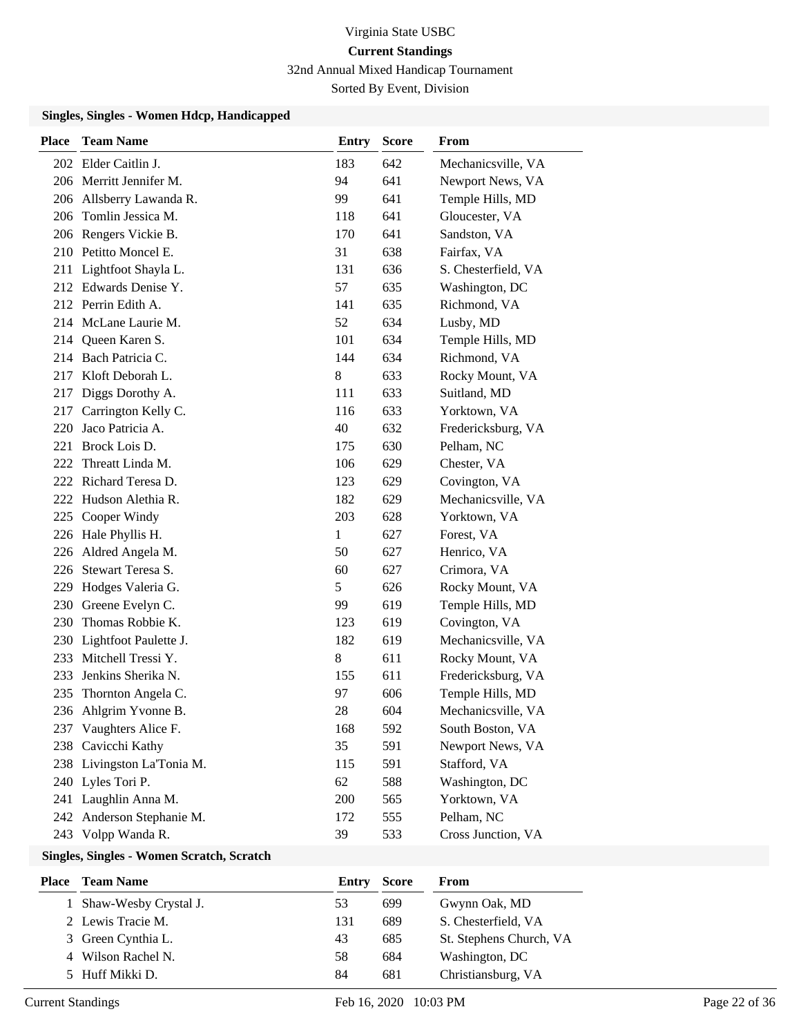32nd Annual Mixed Handicap Tournament

Sorted By Event, Division

#### **Singles, Singles - Women Hdcp, Handicapped**

| <b>Place</b> | <b>Team Name</b>           | Entry | <b>Score</b> | <b>From</b>         |
|--------------|----------------------------|-------|--------------|---------------------|
|              | 202 Elder Caitlin J.       | 183   | 642          | Mechanicsville, VA  |
|              | 206 Merritt Jennifer M.    | 94    | 641          | Newport News, VA    |
|              | 206 Allsberry Lawanda R.   | 99    | 641          | Temple Hills, MD    |
|              | 206 Tomlin Jessica M.      | 118   | 641          | Gloucester, VA      |
|              | 206 Rengers Vickie B.      | 170   | 641          | Sandston, VA        |
|              | 210 Petitto Moncel E.      | 31    | 638          | Fairfax, VA         |
| 211          | Lightfoot Shayla L.        | 131   | 636          | S. Chesterfield, VA |
|              | 212 Edwards Denise Y.      | 57    | 635          | Washington, DC      |
|              | 212 Perrin Edith A.        | 141   | 635          | Richmond, VA        |
|              | 214 McLane Laurie M.       | 52    | 634          | Lusby, MD           |
|              | 214 Queen Karen S.         | 101   | 634          | Temple Hills, MD    |
|              | 214 Bach Patricia C.       | 144   | 634          | Richmond, VA        |
| 217          | Kloft Deborah L.           | 8     | 633          | Rocky Mount, VA     |
| 217          | Diggs Dorothy A.           | 111   | 633          | Suitland, MD        |
| 217          | Carrington Kelly C.        | 116   | 633          | Yorktown, VA        |
| 220          | Jaco Patricia A.           | 40    | 632          | Fredericksburg, VA  |
| 221          | Brock Lois D.              | 175   | 630          | Pelham, NC          |
| 222          | Threatt Linda M.           | 106   | 629          | Chester, VA         |
|              | 222 Richard Teresa D.      | 123   | 629          | Covington, VA       |
|              | 222 Hudson Alethia R.      | 182   | 629          | Mechanicsville, VA  |
| 225          | Cooper Windy               | 203   | 628          | Yorktown, VA        |
|              | 226 Hale Phyllis H.        | 1     | 627          | Forest, VA          |
|              | 226 Aldred Angela M.       | 50    | 627          | Henrico, VA         |
| 226          | Stewart Teresa S.          | 60    | 627          | Crimora, VA         |
| 229          | Hodges Valeria G.          | 5     | 626          | Rocky Mount, VA     |
| 230          | Greene Evelyn C.           | 99    | 619          | Temple Hills, MD    |
| 230          | Thomas Robbie K.           | 123   | 619          | Covington, VA       |
|              | 230 Lightfoot Paulette J.  | 182   | 619          | Mechanicsville, VA  |
| 233          | Mitchell Tressi Y.         | 8     | 611          | Rocky Mount, VA     |
| 233          | Jenkins Sherika N.         | 155   | 611          | Fredericksburg, VA  |
| 235          | Thornton Angela C.         | 97    | 606          | Temple Hills, MD    |
|              | 236 Ahlgrim Yvonne B.      | 28    | 604          | Mechanicsville, VA  |
|              | 237 Vaughters Alice F.     | 168   | 592          | South Boston, VA    |
| 238          | Cavicchi Kathy             | 35    | 591          | Newport News, VA    |
|              | 238 Livingston La'Tonia M. | 115   | 591          | Stafford, VA        |
|              | 240 Lyles Tori P.          | 62    | 588          | Washington, DC      |
| 241          | Laughlin Anna M.           | 200   | 565          | Yorktown, VA        |
|              | 242 Anderson Stephanie M.  | 172   | 555          | Pelham, NC          |
|              | 243 Volpp Wanda R.         | 39    | 533          | Cross Junction, VA  |

## **Singles, Singles - Women Scratch, Scratch**

| <b>Place</b> Team Name  | Entry | <b>Score</b> | From                    |
|-------------------------|-------|--------------|-------------------------|
| 1 Shaw-Wesby Crystal J. | 53    | 699          | Gwynn Oak, MD           |
| 2 Lewis Tracie M.       | 131   | 689          | S. Chesterfield, VA     |
| 3 Green Cynthia L.      | 43    | 685          | St. Stephens Church, VA |
| 4 Wilson Rachel N.      | 58    | 684          | Washington, DC          |
| 5 Huff Mikki D.         | 84    | 681          | Christiansburg, VA      |
|                         |       |              |                         |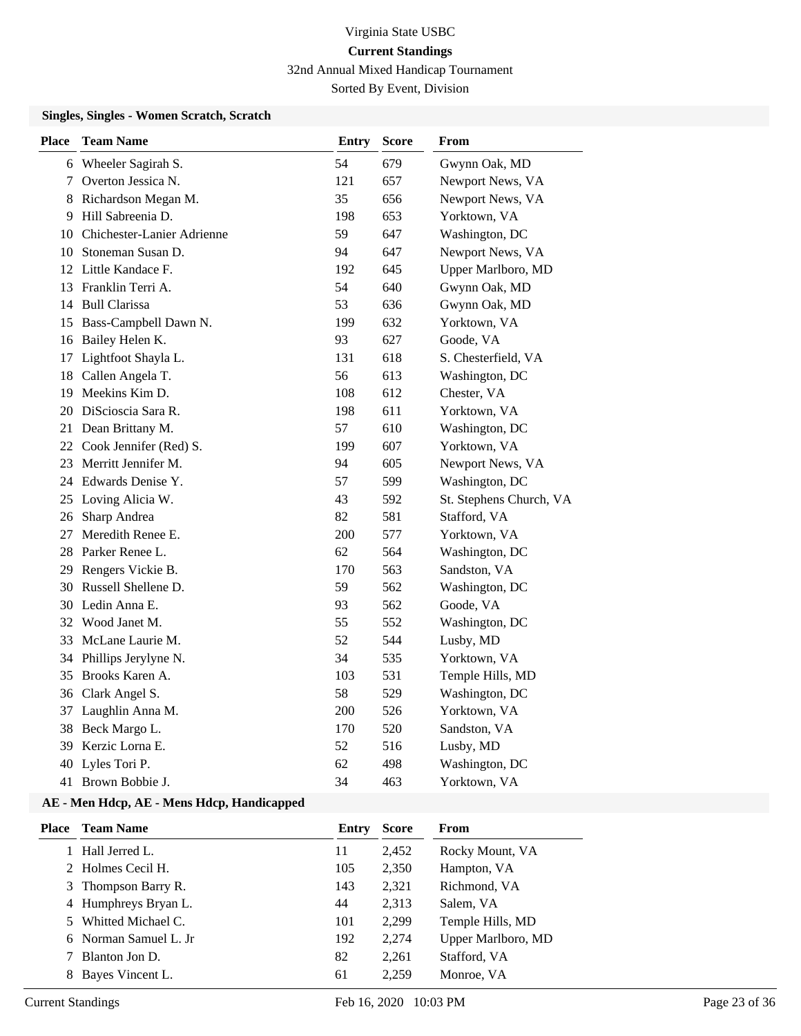## Virginia State USBC **Current Standings** 32nd Annual Mixed Handicap Tournament

Sorted By Event, Division

#### **Singles, Singles - Women Scratch, Scratch**

| <b>Place</b> | <b>Team Name</b>              | <b>Entry</b> | <b>Score</b> | From                    |
|--------------|-------------------------------|--------------|--------------|-------------------------|
|              | 6 Wheeler Sagirah S.          | 54           | 679          | Gwynn Oak, MD           |
| 7            | Overton Jessica N.            | 121          | 657          | Newport News, VA        |
| 8            | Richardson Megan M.           | 35           | 656          | Newport News, VA        |
| 9            | Hill Sabreenia D.             | 198          | 653          | Yorktown, VA            |
|              | 10 Chichester-Lanier Adrienne | 59           | 647          | Washington, DC          |
|              | 10 Stoneman Susan D.          | 94           | 647          | Newport News, VA        |
|              | 12 Little Kandace F.          | 192          | 645          | Upper Marlboro, MD      |
|              | 13 Franklin Terri A.          | 54           | 640          | Gwynn Oak, MD           |
|              | 14 Bull Clarissa              | 53           | 636          | Gwynn Oak, MD           |
| 15           | Bass-Campbell Dawn N.         | 199          | 632          | Yorktown, VA            |
|              | 16 Bailey Helen K.            | 93           | 627          | Goode, VA               |
| 17           | Lightfoot Shayla L.           | 131          | 618          | S. Chesterfield, VA     |
|              | 18 Callen Angela T.           | 56           | 613          | Washington, DC          |
|              | 19 Meekins Kim D.             | 108          | 612          | Chester, VA             |
|              | 20 DiScioscia Sara R.         | 198          | 611          | Yorktown, VA            |
|              | 21 Dean Brittany M.           | 57           | 610          | Washington, DC          |
|              | 22 Cook Jennifer (Red) S.     | 199          | 607          | Yorktown, VA            |
|              | 23 Merritt Jennifer M.        | 94           | 605          | Newport News, VA        |
|              | 24 Edwards Denise Y.          | 57           | 599          | Washington, DC          |
|              | 25 Loving Alicia W.           | 43           | 592          | St. Stephens Church, VA |
|              | 26 Sharp Andrea               | 82           | 581          | Stafford, VA            |
| 27           | Meredith Renee E.             | 200          | 577          | Yorktown, VA            |
|              | 28 Parker Renee L.            | 62           | 564          | Washington, DC          |
|              | 29 Rengers Vickie B.          | 170          | 563          | Sandston, VA            |
|              | 30 Russell Shellene D.        | 59           | 562          | Washington, DC          |
|              | 30 Ledin Anna E.              | 93           | 562          | Goode, VA               |
|              | 32 Wood Janet M.              | 55           | 552          | Washington, DC          |
|              | 33 McLane Laurie M.           | 52           | 544          | Lusby, MD               |
|              | 34 Phillips Jerylyne N.       | 34           | 535          | Yorktown, VA            |
| 35           | Brooks Karen A.               | 103          | 531          | Temple Hills, MD        |
|              | 36 Clark Angel S.             | 58           | 529          | Washington, DC          |
|              | 37 Laughlin Anna M.           | 200          | 526          | Yorktown, VA            |
|              | 38 Beck Margo L.              | 170          | 520          | Sandston, VA            |
| 39           | Kerzic Lorna E.               | 52           | 516          | Lusby, MD               |
|              | 40 Lyles Tori P.              | 62           | 498          | Washington, DC          |
| 41           | Brown Bobbie J.               | 34           | 463          | Yorktown, VA            |

| Place | <b>Team Name</b>      | Entry | <b>Score</b> | From               |
|-------|-----------------------|-------|--------------|--------------------|
|       | 1 Hall Jerred L.      | 11    | 2,452        | Rocky Mount, VA    |
|       | 2 Holmes Cecil H.     | 105   | 2,350        | Hampton, VA        |
|       | 3 Thompson Barry R.   | 143   | 2,321        | Richmond, VA       |
|       | 4 Humphreys Bryan L.  | 44    | 2,313        | Salem, VA          |
|       | 5 Whitted Michael C.  | 101   | 2,299        | Temple Hills, MD   |
|       | 6 Norman Samuel L. Jr | 192   | 2,274        | Upper Marlboro, MD |
|       | Blanton Jon D.        | 82    | 2,261        | Stafford, VA       |
| 8     | Bayes Vincent L.      | 61    | 2,259        | Monroe, VA         |
|       |                       |       |              |                    |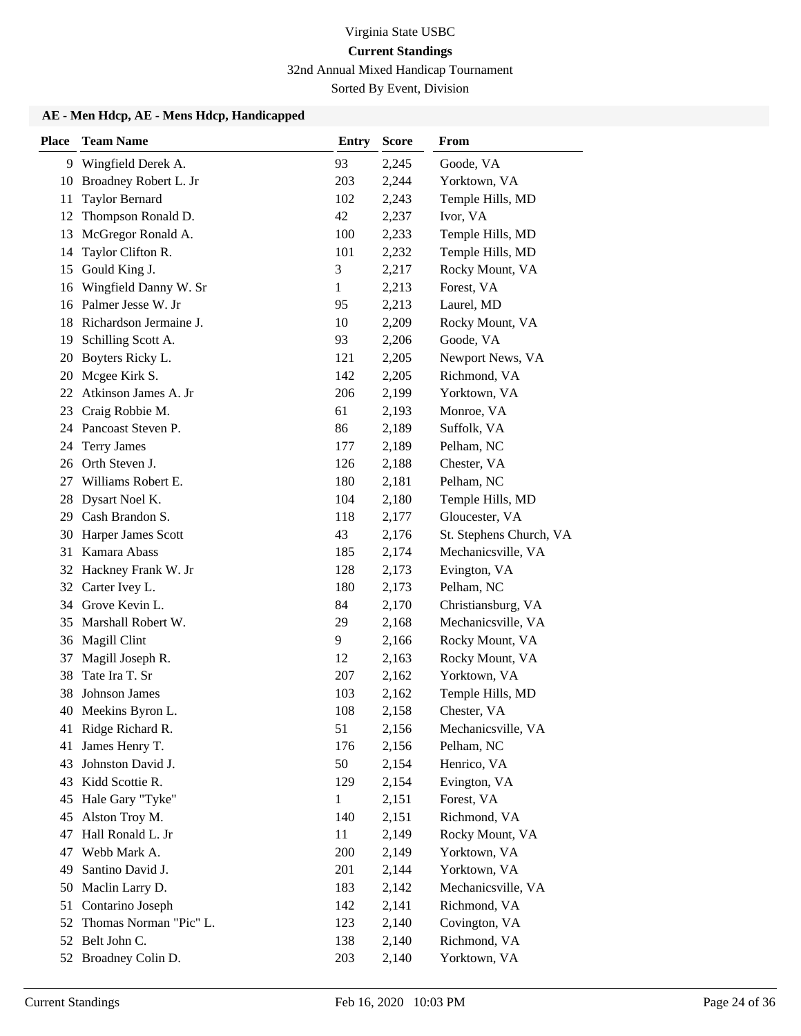32nd Annual Mixed Handicap Tournament

Sorted By Event, Division

| <b>Place</b> | <b>Team Name</b>       | <b>Entry</b> | <b>Score</b> | From                    |
|--------------|------------------------|--------------|--------------|-------------------------|
|              | 9 Wingfield Derek A.   | 93           | 2,245        | Goode, VA               |
| 10           | Broadney Robert L. Jr  | 203          | 2,244        | Yorktown, VA            |
| 11           | <b>Taylor Bernard</b>  | 102          | 2,243        | Temple Hills, MD        |
| 12           | Thompson Ronald D.     | 42           | 2,237        | Ivor, VA                |
| 13           | McGregor Ronald A.     | 100          | 2,233        | Temple Hills, MD        |
| 14           | Taylor Clifton R.      | 101          | 2,232        | Temple Hills, MD        |
| 15           | Gould King J.          | 3            | 2,217        | Rocky Mount, VA         |
| 16           | Wingfield Danny W. Sr  | 1            | 2,213        | Forest, VA              |
|              | 16 Palmer Jesse W. Jr  | 95           | 2,213        | Laurel, MD              |
| 18           | Richardson Jermaine J. | 10           | 2,209        | Rocky Mount, VA         |
| 19           | Schilling Scott A.     | 93           | 2,206        | Goode, VA               |
| 20           | Boyters Ricky L.       | 121          | 2,205        | Newport News, VA        |
| 20           | Mcgee Kirk S.          | 142          | 2,205        | Richmond, VA            |
| 22           | Atkinson James A. Jr   | 206          | 2,199        | Yorktown, VA            |
| 23           | Craig Robbie M.        | 61           | 2,193        | Monroe, VA              |
|              | 24 Pancoast Steven P.  | 86           | 2,189        | Suffolk, VA             |
| 24           | <b>Terry James</b>     | 177          | 2,189        | Pelham, NC              |
| 26           | Orth Steven J.         | 126          | 2,188        | Chester, VA             |
| 27           | Williams Robert E.     | 180          | 2,181        | Pelham, NC              |
| 28           | Dysart Noel K.         | 104          | 2,180        | Temple Hills, MD        |
| 29           | Cash Brandon S.        | 118          | 2,177        | Gloucester, VA          |
| 30           | Harper James Scott     | 43           | 2,176        | St. Stephens Church, VA |
| 31           | Kamara Abass           | 185          | 2,174        | Mechanicsville, VA      |
|              | 32 Hackney Frank W. Jr | 128          | 2,173        | Evington, VA            |
| 32           | Carter Ivey L.         | 180          | 2,173        | Pelham, NC              |
| 34           | Grove Kevin L.         | 84           | 2,170        | Christiansburg, VA      |
| 35           | Marshall Robert W.     | 29           | 2,168        | Mechanicsville, VA      |
| 36           | Magill Clint           | 9            | 2,166        | Rocky Mount, VA         |
| 37           | Magill Joseph R.       | 12           | 2,163        | Rocky Mount, VA         |
| 38           | Tate Ira T. Sr         | 207          | 2,162        | Yorktown, VA            |
| 38           | Johnson James          | 103          | 2,162        | Temple Hills, MD        |
| 40           | Meekins Byron L.       | 108          | 2,158        | Chester, VA             |
| 41           | Ridge Richard R.       | 51           | 2,156        | Mechanicsville, VA      |
| 41           | James Henry T.         | 176          | 2,156        | Pelham, NC              |
| 43           | Johnston David J.      | 50           | 2,154        | Henrico, VA             |
| 43           | Kidd Scottie R.        | 129          | 2,154        | Evington, VA            |
| 45           | Hale Gary "Tyke"       | 1            | 2,151        | Forest, VA              |
| 45           | Alston Troy M.         | 140          | 2,151        | Richmond, VA            |
| 47           | Hall Ronald L. Jr      | 11           | 2,149        | Rocky Mount, VA         |
| 47           | Webb Mark A.           | 200          | 2,149        | Yorktown, VA            |
| 49           | Santino David J.       | 201          | 2,144        | Yorktown, VA            |
| 50           | Maclin Larry D.        | 183          | 2,142        | Mechanicsville, VA      |
| 51           | Contarino Joseph       | 142          | 2,141        | Richmond, VA            |
| 52           | Thomas Norman "Pic" L. | 123          | 2,140        | Covington, VA           |
| 52           | Belt John C.           | 138          | 2,140        | Richmond, VA            |
|              | 52 Broadney Colin D.   | 203          | 2,140        | Yorktown, VA            |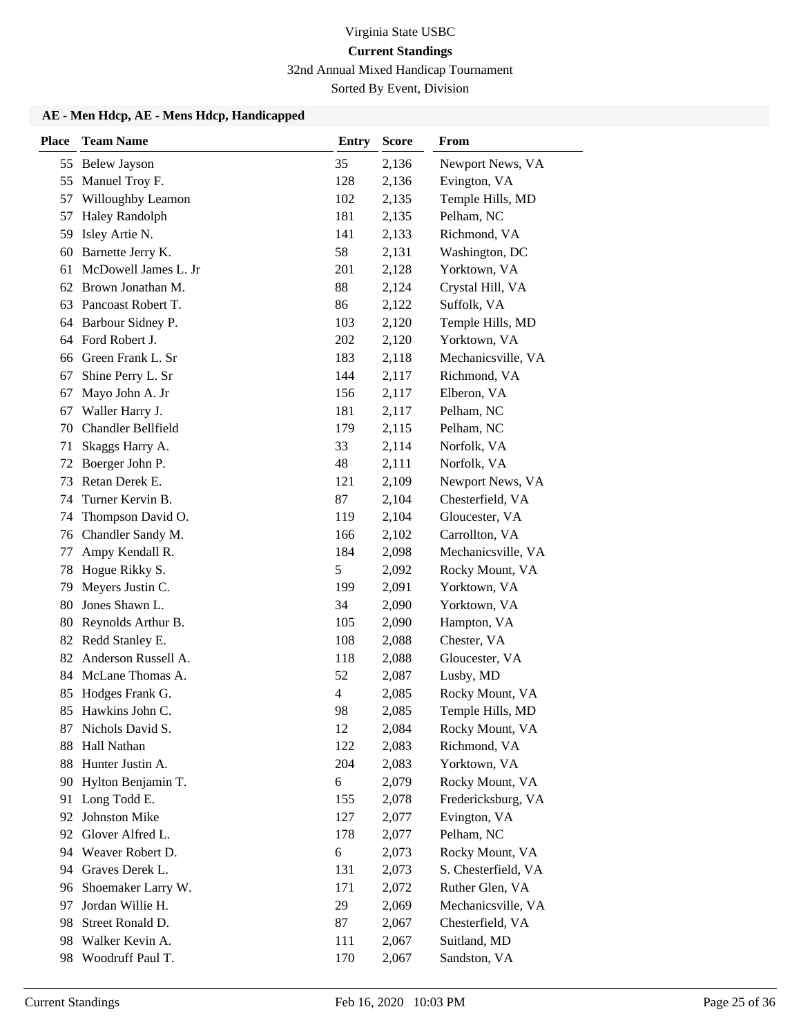32nd Annual Mixed Handicap Tournament

Sorted By Event, Division

| <b>Place</b> | <b>Team Name</b>          | <b>Entry</b>   | <b>Score</b> | From                |
|--------------|---------------------------|----------------|--------------|---------------------|
| 55           | <b>Belew Jayson</b>       | 35             | 2,136        | Newport News, VA    |
| 55           | Manuel Troy F.            | 128            | 2,136        | Evington, VA        |
| 57           | Willoughby Leamon         | 102            | 2,135        | Temple Hills, MD    |
| 57           | <b>Haley Randolph</b>     | 181            | 2,135        | Pelham, NC          |
| 59           | Isley Artie N.            | 141            | 2,133        | Richmond, VA        |
| 60           | Barnette Jerry K.         | 58             | 2,131        | Washington, DC      |
| 61           | McDowell James L. Jr      | 201            | 2,128        | Yorktown, VA        |
|              | 62 Brown Jonathan M.      | 88             | 2,124        | Crystal Hill, VA    |
| 63           | Pancoast Robert T.        | 86             | 2,122        | Suffolk, VA         |
| 64           | Barbour Sidney P.         | 103            | 2,120        | Temple Hills, MD    |
|              | 64 Ford Robert J.         | 202            | 2,120        | Yorktown, VA        |
| 66           | Green Frank L. Sr         | 183            | 2,118        | Mechanicsville, VA  |
| 67           | Shine Perry L. Sr         | 144            | 2,117        | Richmond, VA        |
| 67           | Mayo John A. Jr           | 156            | 2,117        | Elberon, VA         |
| 67           | Waller Harry J.           | 181            | 2,117        | Pelham, NC          |
| 70           | <b>Chandler Bellfield</b> | 179            | 2,115        | Pelham, NC          |
| 71           | Skaggs Harry A.           | 33             | 2,114        | Norfolk, VA         |
| 72           | Boerger John P.           | 48             | 2,111        | Norfolk, VA         |
| 73           | Retan Derek E.            | 121            | 2,109        | Newport News, VA    |
| 74           | Turner Kervin B.          | 87             | 2,104        | Chesterfield, VA    |
| 74           | Thompson David O.         | 119            | 2,104        | Gloucester, VA      |
| 76           | Chandler Sandy M.         | 166            | 2,102        | Carrollton, VA      |
| 77           | Ampy Kendall R.           | 184            | 2,098        | Mechanicsville, VA  |
| 78           | Hogue Rikky S.            | 5              | 2,092        | Rocky Mount, VA     |
| 79           | Meyers Justin C.          | 199            | 2,091        | Yorktown, VA        |
| 80           | Jones Shawn L.            | 34             | 2,090        | Yorktown, VA        |
| 80           | Reynolds Arthur B.        | 105            | 2,090        | Hampton, VA         |
| 82           | Redd Stanley E.           | 108            | 2,088        | Chester, VA         |
| 82           | Anderson Russell A.       | 118            | 2,088        | Gloucester, VA      |
| 84           | McLane Thomas A.          | 52             | 2,087        | Lusby, MD           |
| 85           | Hodges Frank G.           | $\overline{4}$ | 2,085        | Rocky Mount, VA     |
| 85           | Hawkins John C.           | 98             | 2,085        | Temple Hills, MD    |
| 87           | Nichols David S.          | 12             | 2,084        | Rocky Mount, VA     |
| 88           | Hall Nathan               | 122            | 2,083        | Richmond, VA        |
| 88           | Hunter Justin A.          | 204            | 2,083        | Yorktown, VA        |
| 90           | Hylton Benjamin T.        | 6              | 2,079        | Rocky Mount, VA     |
| 91           | Long Todd E.              | 155            | 2,078        | Fredericksburg, VA  |
| 92           | Johnston Mike             | 127            | 2,077        | Evington, VA        |
| 92           | Glover Alfred L.          | 178            | 2,077        | Pelham, NC          |
| 94           | Weaver Robert D.          | 6              | 2,073        | Rocky Mount, VA     |
| 94           | Graves Derek L.           | 131            | 2,073        | S. Chesterfield, VA |
| 96           | Shoemaker Larry W.        | 171            | 2,072        | Ruther Glen, VA     |
| 97           | Jordan Willie H.          | 29             | 2,069        | Mechanicsville, VA  |
| 98           | Street Ronald D.          | 87             | 2,067        | Chesterfield, VA    |
| 98           | Walker Kevin A.           | 111            | 2,067        | Suitland, MD        |
| 98           | Woodruff Paul T.          | 170            | 2,067        | Sandston, VA        |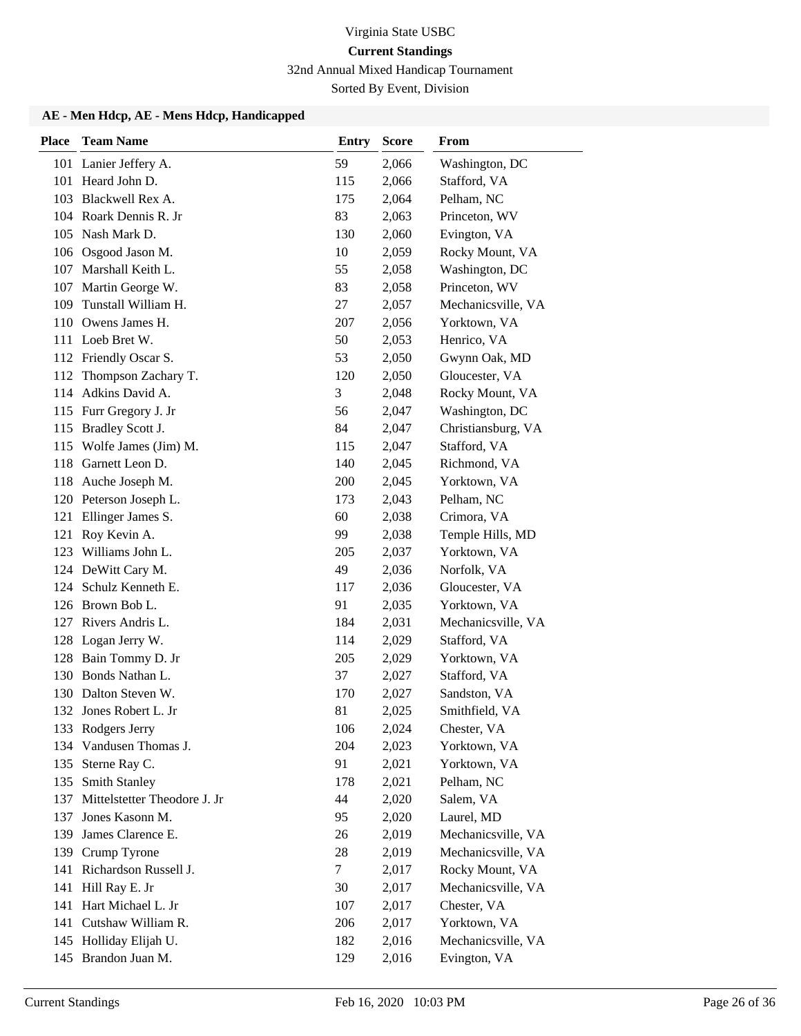32nd Annual Mixed Handicap Tournament

Sorted By Event, Division

| <b>Place</b> | <b>Team Name</b>                 | <b>Entry</b> | <b>Score</b> | From               |
|--------------|----------------------------------|--------------|--------------|--------------------|
|              | 101 Lanier Jeffery A.            | 59           | 2,066        | Washington, DC     |
|              | 101 Heard John D.                | 115          | 2,066        | Stafford, VA       |
|              | 103 Blackwell Rex A.             | 175          | 2,064        | Pelham, NC         |
|              | 104 Roark Dennis R. Jr           | 83           | 2,063        | Princeton, WV      |
|              | 105 Nash Mark D.                 | 130          | 2,060        | Evington, VA       |
|              | 106 Osgood Jason M.              | 10           | 2,059        | Rocky Mount, VA    |
|              | 107 Marshall Keith L.            | 55           | 2,058        | Washington, DC     |
|              | 107 Martin George W.             | 83           | 2,058        | Princeton, WV      |
| 109          | Tunstall William H.              | 27           | 2,057        | Mechanicsville, VA |
| 110          | Owens James H.                   | 207          | 2,056        | Yorktown, VA       |
|              | 111 Loeb Bret W.                 | 50           | 2,053        | Henrico, VA        |
|              | 112 Friendly Oscar S.            | 53           | 2,050        | Gwynn Oak, MD      |
| 112          | Thompson Zachary T.              | 120          | 2,050        | Gloucester, VA     |
|              | 114 Adkins David A.              | 3            | 2,048        | Rocky Mount, VA    |
|              | 115 Furr Gregory J. Jr           | 56           | 2,047        | Washington, DC     |
| 115          | <b>Bradley Scott J.</b>          | 84           | 2,047        | Christiansburg, VA |
| 115          | Wolfe James (Jim) M.             | 115          | 2,047        | Stafford, VA       |
|              | 118 Garnett Leon D.              | 140          | 2,045        | Richmond, VA       |
| 118          | Auche Joseph M.                  | 200          | 2,045        | Yorktown, VA       |
|              | 120 Peterson Joseph L.           | 173          | 2,043        | Pelham, NC         |
| 121          | Ellinger James S.                | 60           | 2,038        | Crimora, VA        |
| 121          | Roy Kevin A.                     | 99           | 2,038        | Temple Hills, MD   |
| 123          | Williams John L.                 | 205          | 2,037        | Yorktown, VA       |
|              | 124 DeWitt Cary M.               | 49           | 2,036        | Norfolk, VA        |
| 124          | Schulz Kenneth E.                | 117          | 2,036        | Gloucester, VA     |
|              | 126 Brown Bob L.                 | 91           | 2,035        | Yorktown, VA       |
|              | 127 Rivers Andris L.             | 184          | 2,031        | Mechanicsville, VA |
| 128          | Logan Jerry W.                   | 114          | 2,029        | Stafford, VA       |
| 128          | Bain Tommy D. Jr                 | 205          | 2,029        | Yorktown, VA       |
|              | 130 Bonds Nathan L.              | 37           | 2,027        | Stafford, VA       |
|              | 130 Dalton Steven W.             | 170          | 2,027        | Sandston, VA       |
|              | 132 Jones Robert L. Jr           | 81           | 2,025        | Smithfield, VA     |
|              | 133 Rodgers Jerry                | 106          | 2,024        | Chester, VA        |
|              | 134 Vandusen Thomas J.           | 204          | 2,023        | Yorktown, VA       |
|              | 135 Sterne Ray C.                | 91           | 2,021        | Yorktown, VA       |
| 135          | Smith Stanley                    | 178          | 2,021        | Pelham, NC         |
|              | 137 Mittelstetter Theodore J. Jr | 44           | 2,020        | Salem, VA          |
| 137          | Jones Kasonn M.                  | 95           | 2,020        | Laurel, MD         |
| 139          | James Clarence E.                | 26           | 2,019        | Mechanicsville, VA |
| 139          | Crump Tyrone                     | 28           | 2,019        | Mechanicsville, VA |
| 141          | Richardson Russell J.            | 7            | 2,017        | Rocky Mount, VA    |
| 141          | Hill Ray E. Jr                   | 30           | 2,017        | Mechanicsville, VA |
|              | 141 Hart Michael L. Jr           | 107          | 2,017        | Chester, VA        |
| 141          | Cutshaw William R.               | 206          | 2,017        | Yorktown, VA       |
|              | 145 Holliday Elijah U.           | 182          | 2,016        | Mechanicsville, VA |
|              | 145 Brandon Juan M.              | 129          | 2,016        | Evington, VA       |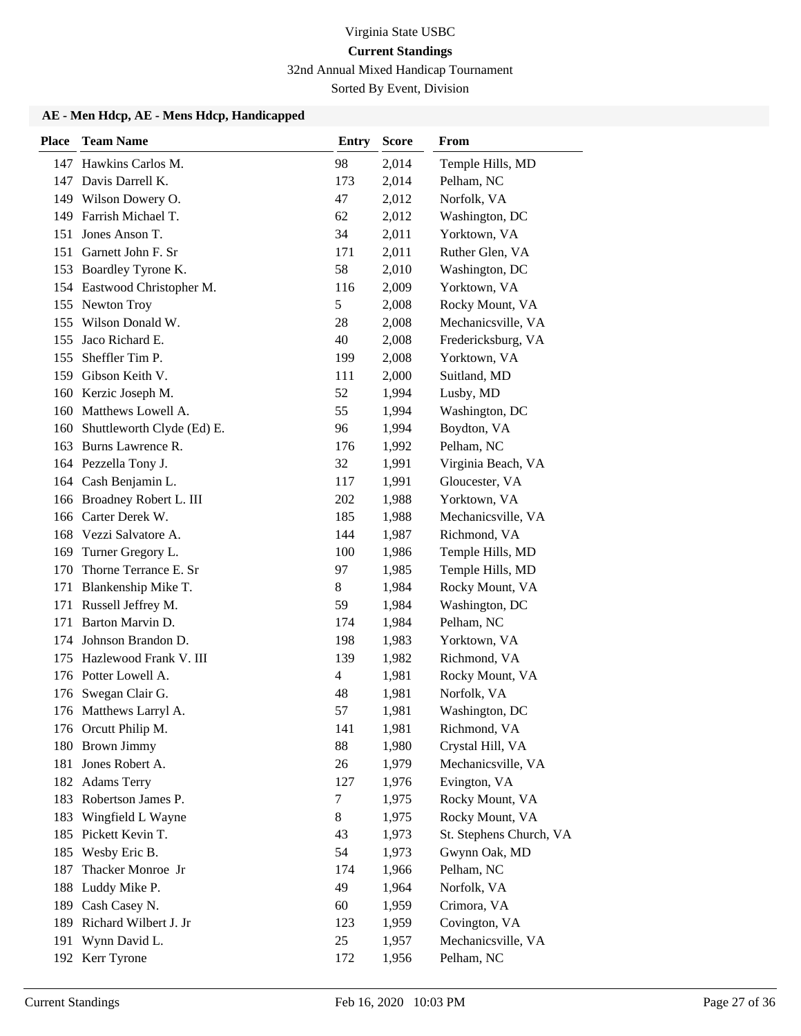32nd Annual Mixed Handicap Tournament

Sorted By Event, Division

| <b>Place</b> | <b>Team Name</b>            | <b>Entry</b>   | <b>Score</b> | From                    |
|--------------|-----------------------------|----------------|--------------|-------------------------|
|              | 147 Hawkins Carlos M.       | 98             | 2,014        | Temple Hills, MD        |
| 147          | Davis Darrell K.            | 173            | 2,014        | Pelham, NC              |
|              | 149 Wilson Dowery O.        | 47             | 2,012        | Norfolk, VA             |
| 149          | Farrish Michael T.          | 62             | 2,012        | Washington, DC          |
| 151          | Jones Anson T.              | 34             | 2,011        | Yorktown, VA            |
| 151          | Garnett John F. Sr          | 171            | 2,011        | Ruther Glen, VA         |
|              | 153 Boardley Tyrone K.      | 58             | 2,010        | Washington, DC          |
|              | 154 Eastwood Christopher M. | 116            | 2,009        | Yorktown, VA            |
|              | 155 Newton Troy             | 5              | 2,008        | Rocky Mount, VA         |
| 155          | Wilson Donald W.            | 28             | 2,008        | Mechanicsville, VA      |
| 155          | Jaco Richard E.             | 40             | 2,008        | Fredericksburg, VA      |
| 155          | Sheffler Tim P.             | 199            | 2,008        | Yorktown, VA            |
| 159          | Gibson Keith V.             | 111            | 2,000        | Suitland, MD            |
|              | 160 Kerzic Joseph M.        | 52             | 1,994        | Lusby, MD               |
|              | 160 Matthews Lowell A.      | 55             | 1,994        | Washington, DC          |
| 160          | Shuttleworth Clyde (Ed) E.  | 96             | 1,994        | Boydton, VA             |
|              | 163 Burns Lawrence R.       | 176            | 1,992        | Pelham, NC              |
|              | 164 Pezzella Tony J.        | 32             | 1,991        | Virginia Beach, VA      |
|              | 164 Cash Benjamin L.        | 117            | 1,991        | Gloucester, VA          |
|              | 166 Broadney Robert L. III  | 202            | 1,988        | Yorktown, VA            |
|              | 166 Carter Derek W.         | 185            | 1,988        | Mechanicsville, VA      |
|              | 168 Vezzi Salvatore A.      | 144            | 1,987        | Richmond, VA            |
|              | 169 Turner Gregory L.       | 100            | 1,986        | Temple Hills, MD        |
| 170          | Thorne Terrance E. Sr       | 97             | 1,985        | Temple Hills, MD        |
| 171          | Blankenship Mike T.         | 8              | 1,984        | Rocky Mount, VA         |
| 171          | Russell Jeffrey M.          | 59             | 1,984        | Washington, DC          |
| 171          | Barton Marvin D.            | 174            | 1,984        | Pelham, NC              |
| 174          | Johnson Brandon D.          | 198            | 1,983        | Yorktown, VA            |
| 175          | Hazlewood Frank V. III      | 139            | 1,982        | Richmond, VA            |
|              | 176 Potter Lowell A.        | $\overline{4}$ | 1,981        | Rocky Mount, VA         |
| 176          | Swegan Clair G.             | 48             | 1,981        | Norfolk, VA             |
|              | 176 Matthews Larryl A.      | 57             | 1,981        | Washington, DC          |
|              | 176 Orcutt Philip M.        | 141            | 1,981        | Richmond, VA            |
|              | 180 Brown Jimmy             | 88             | 1,980        | Crystal Hill, VA        |
| 181          | Jones Robert A.             | 26             | 1,979        | Mechanicsville, VA      |
|              | 182 Adams Terry             | 127            | 1,976        | Evington, VA            |
|              | 183 Robertson James P.      | 7              | 1,975        | Rocky Mount, VA         |
| 183          | Wingfield L Wayne           | 8              | 1,975        | Rocky Mount, VA         |
|              | 185 Pickett Kevin T.        | 43             | 1,973        | St. Stephens Church, VA |
| 185          | Wesby Eric B.               | 54             | 1,973        | Gwynn Oak, MD           |
| 187          | Thacker Monroe Jr           | 174            | 1,966        | Pelham, NC              |
| 188          | Luddy Mike P.               | 49             | 1,964        | Norfolk, VA             |
|              | 189 Cash Casey N.           | 60             | 1,959        | Crimora, VA             |
| 189          | Richard Wilbert J. Jr       | 123            | 1,959        | Covington, VA           |
| 191          | Wynn David L.               | 25             | 1,957        | Mechanicsville, VA      |
|              | 192 Kerr Tyrone             | 172            | 1,956        | Pelham, NC              |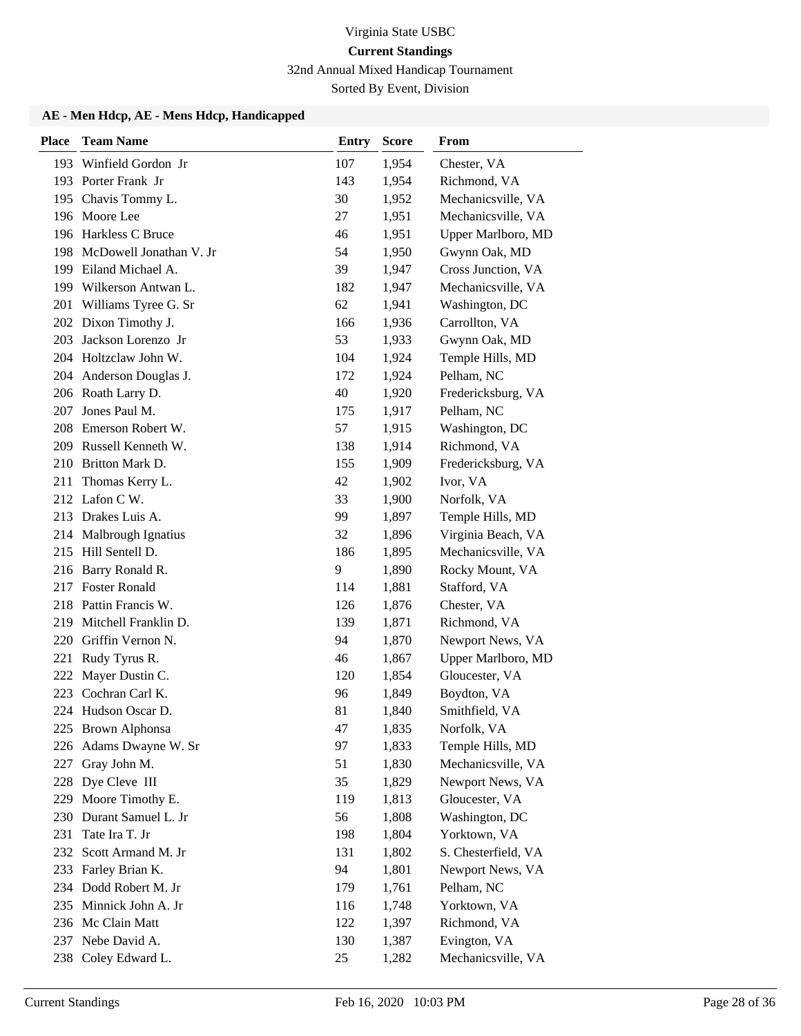32nd Annual Mixed Handicap Tournament

Sorted By Event, Division

| <b>Place</b> | <b>Team Name</b>            | <b>Entry</b> | <b>Score</b> | From                |
|--------------|-----------------------------|--------------|--------------|---------------------|
| 193          | Winfield Gordon Jr          | 107          | 1,954        | Chester, VA         |
|              | 193 Porter Frank Jr         | 143          | 1,954        | Richmond, VA        |
|              | 195 Chavis Tommy L.         | 30           | 1,952        | Mechanicsville, VA  |
|              | 196 Moore Lee               | 27           | 1,951        | Mechanicsville, VA  |
|              | 196 Harkless C Bruce        | 46           | 1,951        | Upper Marlboro, MD  |
|              | 198 McDowell Jonathan V. Jr | 54           | 1,950        | Gwynn Oak, MD       |
|              | 199 Eiland Michael A.       | 39           | 1,947        | Cross Junction, VA  |
|              | 199 Wilkerson Antwan L.     | 182          | 1,947        | Mechanicsville, VA  |
| 201          | Williams Tyree G. Sr        | 62           | 1,941        | Washington, DC      |
|              | 202 Dixon Timothy J.        | 166          | 1,936        | Carrollton, VA      |
| 203          | Jackson Lorenzo Jr          | 53           | 1,933        | Gwynn Oak, MD       |
|              | 204 Holtzclaw John W.       | 104          | 1,924        | Temple Hills, MD    |
|              | 204 Anderson Douglas J.     | 172          | 1,924        | Pelham, NC          |
|              | 206 Roath Larry D.          | 40           | 1,920        | Fredericksburg, VA  |
|              | 207 Jones Paul M.           | 175          | 1,917        | Pelham, NC          |
|              | 208 Emerson Robert W.       | 57           | 1,915        | Washington, DC      |
|              | 209 Russell Kenneth W.      | 138          | 1,914        | Richmond, VA        |
|              | 210 Britton Mark D.         | 155          | 1,909        | Fredericksburg, VA  |
| 211          | Thomas Kerry L.             | 42           | 1,902        | Ivor, VA            |
|              | 212 Lafon C W.              | 33           | 1,900        | Norfolk, VA         |
|              | 213 Drakes Luis A.          | 99           | 1,897        | Temple Hills, MD    |
|              | 214 Malbrough Ignatius      | 32           | 1,896        | Virginia Beach, VA  |
|              | 215 Hill Sentell D.         | 186          | 1,895        | Mechanicsville, VA  |
|              | 216 Barry Ronald R.         | 9            | 1,890        | Rocky Mount, VA     |
|              | 217 Foster Ronald           | 114          | 1,881        | Stafford, VA        |
|              | 218 Pattin Francis W.       | 126          | 1,876        | Chester, VA         |
|              | 219 Mitchell Franklin D.    | 139          | 1,871        | Richmond, VA        |
| 220          | Griffin Vernon N.           | 94           | 1,870        | Newport News, VA    |
| 221          | Rudy Tyrus R.               | 46           | 1,867        | Upper Marlboro, MD  |
|              | 222 Mayer Dustin C.         | 120          | 1,854        | Gloucester, VA      |
|              | 223 Cochran Carl K.         | 96           | 1,849        | Boydton, VA         |
|              | 224 Hudson Oscar D.         | 81           | 1,840        | Smithfield, VA      |
|              | 225 Brown Alphonsa          | 47           | 1,835        | Norfolk, VA         |
| 226          | Adams Dwayne W. Sr          | 97           | 1,833        | Temple Hills, MD    |
| 227          | Gray John M.                | 51           | 1,830        | Mechanicsville, VA  |
|              | 228 Dye Cleve III           | 35           | 1,829        | Newport News, VA    |
| 229          | Moore Timothy E.            | 119          | 1,813        | Gloucester, VA      |
| 230          | Durant Samuel L. Jr         | 56           | 1,808        | Washington, DC      |
| 231          | Tate Ira T. Jr              | 198          | 1,804        | Yorktown, VA        |
| 232          | Scott Armand M. Jr          | 131          | 1,802        | S. Chesterfield, VA |
| 233          | Farley Brian K.             | 94           | 1,801        | Newport News, VA    |
|              | 234 Dodd Robert M. Jr       | 179          | 1,761        | Pelham, NC          |
|              | 235 Minnick John A. Jr      | 116          | 1,748        | Yorktown, VA        |
|              | 236 Mc Clain Matt           | 122          | 1,397        | Richmond, VA        |
| 237          | Nebe David A.               | 130          | 1,387        | Evington, VA        |
|              | 238 Coley Edward L.         | 25           | 1,282        | Mechanicsville, VA  |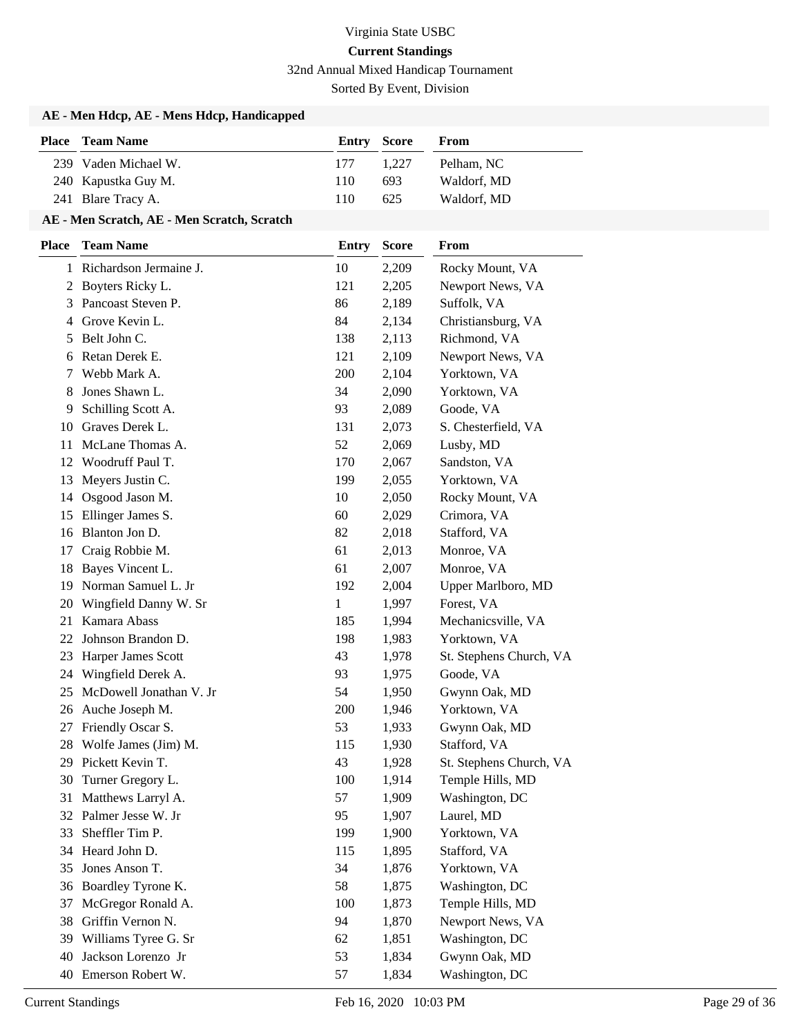32nd Annual Mixed Handicap Tournament

Sorted By Event, Division

## **AE - Men Hdcp, AE - Mens Hdcp, Handicapped**

| <b>Place</b> Team Name | <b>Entry Score</b> |       | From        |
|------------------------|--------------------|-------|-------------|
| 239 Vaden Michael W.   | 177                | 1.227 | Pelham. NC  |
| 240 Kapustka Guy M.    | 110                | 693   | Waldorf, MD |
| 241 Blare Tracy A.     | 110                | 625   | Waldorf, MD |

## **AE - Men Scratch, AE - Men Scratch, Scratch**

| <b>Place</b> | <b>Team Name</b>         | <b>Entry</b> | <b>Score</b> | From                    |
|--------------|--------------------------|--------------|--------------|-------------------------|
|              | 1 Richardson Jermaine J. | 10           | 2,209        | Rocky Mount, VA         |
| 2            | Boyters Ricky L.         | 121          | 2,205        | Newport News, VA        |
| 3            | Pancoast Steven P.       | 86           | 2,189        | Suffolk, VA             |
| 4            | Grove Kevin L.           | 84           | 2,134        | Christiansburg, VA      |
| 5            | Belt John C.             | 138          | 2,113        | Richmond, VA            |
| 6            | Retan Derek E.           | 121          | 2,109        | Newport News, VA        |
| 7            | Webb Mark A.             | 200          | 2,104        | Yorktown, VA            |
| 8            | Jones Shawn L.           | 34           | 2,090        | Yorktown, VA            |
| 9            | Schilling Scott A.       | 93           | 2,089        | Goode, VA               |
| 10           | Graves Derek L.          | 131          | 2,073        | S. Chesterfield, VA     |
| 11           | McLane Thomas A.         | 52           | 2,069        | Lusby, MD               |
| 12           | Woodruff Paul T.         | 170          | 2,067        | Sandston, VA            |
| 13           | Meyers Justin C.         | 199          | 2,055        | Yorktown, VA            |
| 14           | Osgood Jason M.          | 10           | 2,050        | Rocky Mount, VA         |
| 15           | Ellinger James S.        | 60           | 2,029        | Crimora, VA             |
| 16           | Blanton Jon D.           | 82           | 2,018        | Stafford, VA            |
| 17           | Craig Robbie M.          | 61           | 2,013        | Monroe, VA              |
| 18           | Bayes Vincent L.         | 61           | 2,007        | Monroe, VA              |
| 19           | Norman Samuel L. Jr      | 192          | 2,004        | Upper Marlboro, MD      |
| 20           | Wingfield Danny W. Sr    | 1            | 1,997        | Forest, VA              |
| 21           | Kamara Abass             | 185          | 1,994        | Mechanicsville, VA      |
| 22           | Johnson Brandon D.       | 198          | 1,983        | Yorktown, VA            |
| 23           | Harper James Scott       | 43           | 1,978        | St. Stephens Church, VA |
| 24           | Wingfield Derek A.       | 93           | 1,975        | Goode, VA               |
| 25           | McDowell Jonathan V. Jr  | 54           | 1,950        | Gwynn Oak, MD           |
| 26           | Auche Joseph M.          | 200          | 1,946        | Yorktown, VA            |
| 27           | Friendly Oscar S.        | 53           | 1,933        | Gwynn Oak, MD           |
| 28           | Wolfe James (Jim) M.     | 115          | 1,930        | Stafford, VA            |
| 29           | Pickett Kevin T.         | 43           | 1,928        | St. Stephens Church, VA |
| 30           | Turner Gregory L.        | 100          | 1,914        | Temple Hills, MD        |
| 31           | Matthews Larryl A.       | 57           | 1,909        | Washington, DC          |
|              | 32 Palmer Jesse W. Jr    | 95           | 1,907        | Laurel, MD              |
| 33           | Sheffler Tim P.          | 199          | 1,900        | Yorktown, VA            |
| 34           | Heard John D.            | 115          | 1,895        | Stafford, VA            |
| 35           | Jones Anson T.           | 34           | 1,876        | Yorktown, VA            |
| 36           | Boardley Tyrone K.       | 58           | 1,875        | Washington, DC          |
| 37           | McGregor Ronald A.       | 100          | 1,873        | Temple Hills, MD        |
| 38           | Griffin Vernon N.        | 94           | 1,870        | Newport News, VA        |
| 39           | Williams Tyree G. Sr     | 62           | 1,851        | Washington, DC          |
| 40           | Jackson Lorenzo Jr       | 53           | 1,834        | Gwynn Oak, MD           |
|              | 40 Emerson Robert W.     | 57           | 1,834        | Washington, DC          |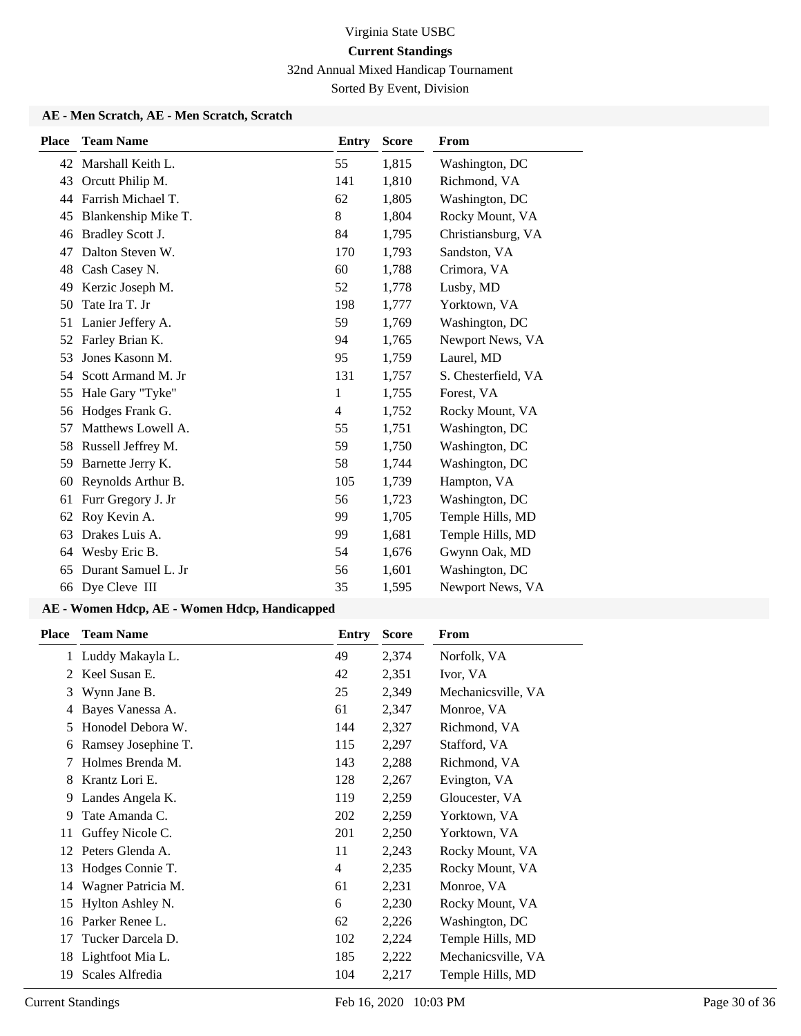32nd Annual Mixed Handicap Tournament

Sorted By Event, Division

## **AE - Men Scratch, AE - Men Scratch, Scratch**

| <b>Place</b> | <b>Team Name</b>    | <b>Entry</b>   | <b>Score</b> | <b>From</b>         |
|--------------|---------------------|----------------|--------------|---------------------|
| 42           | Marshall Keith L.   | 55             | 1,815        | Washington, DC      |
| 43           | Orcutt Philip M.    | 141            | 1,810        | Richmond, VA        |
| 44           | Farrish Michael T.  | 62             | 1,805        | Washington, DC      |
| 45           | Blankenship Mike T. | 8              | 1,804        | Rocky Mount, VA     |
| 46           | Bradley Scott J.    | 84             | 1,795        | Christiansburg, VA  |
| 47           | Dalton Steven W.    | 170            | 1,793        | Sandston, VA        |
| 48           | Cash Casey N.       | 60             | 1,788        | Crimora, VA         |
| 49           | Kerzic Joseph M.    | 52             | 1,778        | Lusby, MD           |
| 50           | Tate Ira T. Jr      | 198            | 1,777        | Yorktown, VA        |
| 51           | Lanier Jeffery A.   | 59             | 1,769        | Washington, DC      |
| 52           | Farley Brian K.     | 94             | 1,765        | Newport News, VA    |
| 53           | Jones Kasonn M.     | 95             | 1,759        | Laurel, MD          |
| 54           | Scott Armand M. Jr  | 131            | 1,757        | S. Chesterfield, VA |
| 55           | Hale Gary "Tyke"    | 1              | 1,755        | Forest, VA          |
| 56           | Hodges Frank G.     | $\overline{4}$ | 1,752        | Rocky Mount, VA     |
| 57           | Matthews Lowell A.  | 55             | 1,751        | Washington, DC      |
| 58           | Russell Jeffrey M.  | 59             | 1,750        | Washington, DC      |
| 59           | Barnette Jerry K.   | 58             | 1,744        | Washington, DC      |
| 60           | Reynolds Arthur B.  | 105            | 1,739        | Hampton, VA         |
| 61           | Furr Gregory J. Jr  | 56             | 1,723        | Washington, DC      |
| 62           | Roy Kevin A.        | 99             | 1,705        | Temple Hills, MD    |
| 63           | Drakes Luis A.      | 99             | 1,681        | Temple Hills, MD    |
| 64           | Wesby Eric B.       | 54             | 1,676        | Gwynn Oak, MD       |
| 65           | Durant Samuel L. Jr | 56             | 1,601        | Washington, DC      |
| 66           | Dye Cleve III       | 35             | 1,595        | Newport News, VA    |

| Place | <b>Team Name</b>    | Entry | <b>Score</b> | From               |
|-------|---------------------|-------|--------------|--------------------|
|       | 1 Luddy Makayla L.  | 49    | 2,374        | Norfolk, VA        |
| 2     | Keel Susan E.       | 42    | 2,351        | Ivor, VA           |
| 3     | Wynn Jane B.        | 25    | 2,349        | Mechanicsville, VA |
| 4     | Bayes Vanessa A.    | 61    | 2,347        | Monroe, VA         |
| 5     | Honodel Debora W.   | 144   | 2,327        | Richmond, VA       |
| 6     | Ramsey Josephine T. | 115   | 2,297        | Stafford, VA       |
| 7     | Holmes Brenda M.    | 143   | 2,288        | Richmond, VA       |
| 8     | Krantz Lori E.      | 128   | 2,267        | Evington, VA       |
| 9     | Landes Angela K.    | 119   | 2,259        | Gloucester, VA     |
| 9     | Tate Amanda C.      | 202   | 2,259        | Yorktown, VA       |
| 11    | Guffey Nicole C.    | 201   | 2,250        | Yorktown, VA       |
| 12    | Peters Glenda A.    | 11    | 2,243        | Rocky Mount, VA    |
| 13    | Hodges Connie T.    | 4     | 2,235        | Rocky Mount, VA    |
| 14    | Wagner Patricia M.  | 61    | 2,231        | Monroe, VA         |
| 15    | Hylton Ashley N.    | 6     | 2,230        | Rocky Mount, VA    |
| 16    | Parker Renee L.     | 62    | 2,226        | Washington, DC     |
| 17    | Tucker Darcela D.   | 102   | 2,224        | Temple Hills, MD   |
| 18    | Lightfoot Mia L.    | 185   | 2,222        | Mechanicsville, VA |
| 19    | Scales Alfredia     | 104   | 2,217        | Temple Hills, MD   |
|       |                     |       |              |                    |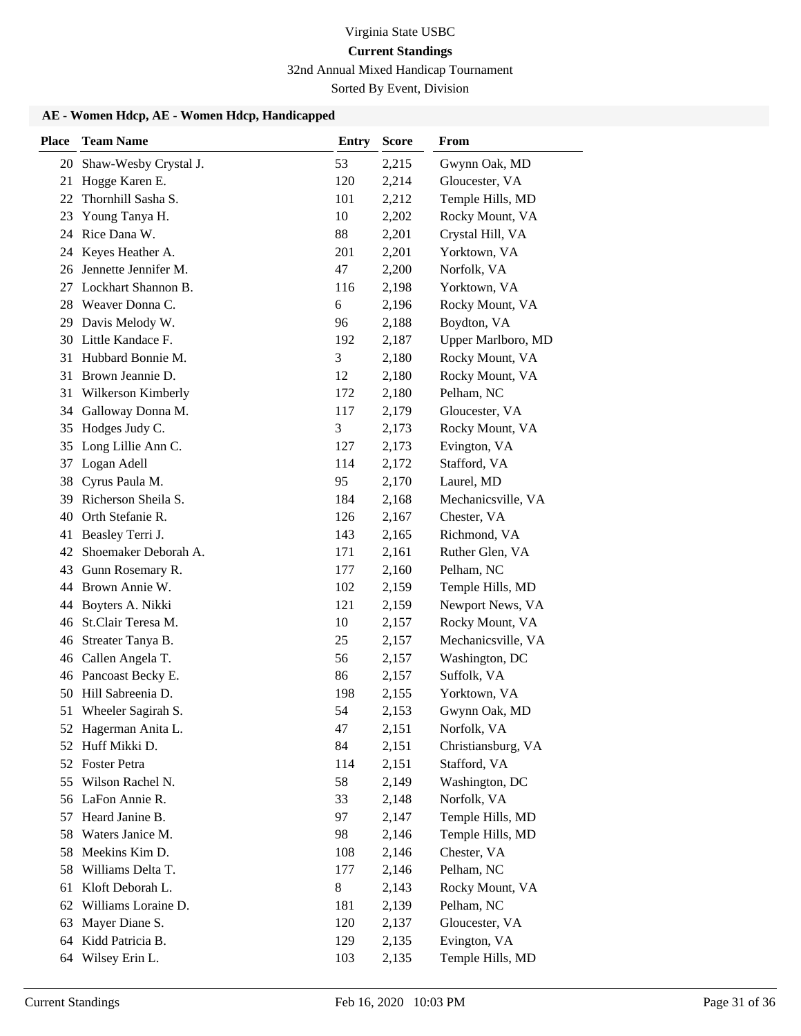32nd Annual Mixed Handicap Tournament

Sorted By Event, Division

| <b>Place</b> | <b>Team Name</b>       | <b>Entry</b> | <b>Score</b> | From               |
|--------------|------------------------|--------------|--------------|--------------------|
| 20           | Shaw-Wesby Crystal J.  | 53           | 2,215        | Gwynn Oak, MD      |
| 21           | Hogge Karen E.         | 120          | 2,214        | Gloucester, VA     |
| 22           | Thornhill Sasha S.     | 101          | 2,212        | Temple Hills, MD   |
| 23           | Young Tanya H.         | 10           | 2,202        | Rocky Mount, VA    |
| 24           | Rice Dana W.           | 88           | 2,201        | Crystal Hill, VA   |
| 24           | Keyes Heather A.       | 201          | 2,201        | Yorktown, VA       |
| 26           | Jennette Jennifer M.   | 47           | 2,200        | Norfolk, VA        |
| 27           | Lockhart Shannon B.    | 116          | 2,198        | Yorktown, VA       |
| 28           | Weaver Donna C.        | 6            | 2,196        | Rocky Mount, VA    |
| 29           | Davis Melody W.        | 96           | 2,188        | Boydton, VA        |
|              | 30 Little Kandace F.   | 192          | 2,187        | Upper Marlboro, MD |
| 31           | Hubbard Bonnie M.      | 3            | 2,180        | Rocky Mount, VA    |
| 31           | Brown Jeannie D.       | 12           | 2,180        | Rocky Mount, VA    |
| 31           | Wilkerson Kimberly     | 172          | 2,180        | Pelham, NC         |
| 34           | Galloway Donna M.      | 117          | 2,179        | Gloucester, VA     |
| 35           | Hodges Judy C.         | 3            | 2,173        | Rocky Mount, VA    |
| 35           | Long Lillie Ann C.     | 127          | 2,173        | Evington, VA       |
| 37           | Logan Adell            | 114          | 2,172        | Stafford, VA       |
| 38           | Cyrus Paula M.         | 95           | 2,170        | Laurel, MD         |
| 39           | Richerson Sheila S.    | 184          | 2,168        | Mechanicsville, VA |
| 40           | Orth Stefanie R.       | 126          | 2,167        | Chester, VA        |
| 41           | Beasley Terri J.       | 143          | 2,165        | Richmond, VA       |
| 42           | Shoemaker Deborah A.   | 171          | 2,161        | Ruther Glen, VA    |
| 43           | Gunn Rosemary R.       | 177          | 2,160        | Pelham, NC         |
| 44           | Brown Annie W.         | 102          | 2,159        | Temple Hills, MD   |
| 44           | Boyters A. Nikki       | 121          | 2,159        | Newport News, VA   |
| 46           | St.Clair Teresa M.     | 10           | 2,157        | Rocky Mount, VA    |
| 46           | Streater Tanya B.      | 25           | 2,157        | Mechanicsville, VA |
| 46           | Callen Angela T.       | 56           | 2,157        | Washington, DC     |
| 46           | Pancoast Becky E.      | 86           | 2,157        | Suffolk, VA        |
| 50           | Hill Sabreenia D.      | 198          | 2,155        | Yorktown, VA       |
| 51           | Wheeler Sagirah S.     | 54           | 2,153        | Gwynn Oak, MD      |
|              | 52 Hagerman Anita L.   | 47           | 2,151        | Norfolk, VA        |
|              | 52 Huff Mikki D.       | 84           | 2,151        | Christiansburg, VA |
|              | 52 Foster Petra        | 114          | 2,151        | Stafford, VA       |
| 55           | Wilson Rachel N.       | 58           | 2,149        | Washington, DC     |
| 56           | LaFon Annie R.         | 33           | 2,148        | Norfolk, VA        |
| 57           | Heard Janine B.        | 97           | 2,147        | Temple Hills, MD   |
| 58           | Waters Janice M.       | 98           | 2,146        | Temple Hills, MD   |
| 58           | Meekins Kim D.         | 108          | 2,146        | Chester, VA        |
| 58           | Williams Delta T.      | 177          | 2,146        | Pelham, NC         |
| 61           | Kloft Deborah L.       | 8            | 2,143        | Rocky Mount, VA    |
|              | 62 Williams Loraine D. | 181          | 2,139        | Pelham, NC         |
| 63           | Mayer Diane S.         | 120          | 2,137        | Gloucester, VA     |
| 64           | Kidd Patricia B.       | 129          | 2,135        | Evington, VA       |
| 64           | Wilsey Erin L.         | 103          | 2,135        | Temple Hills, MD   |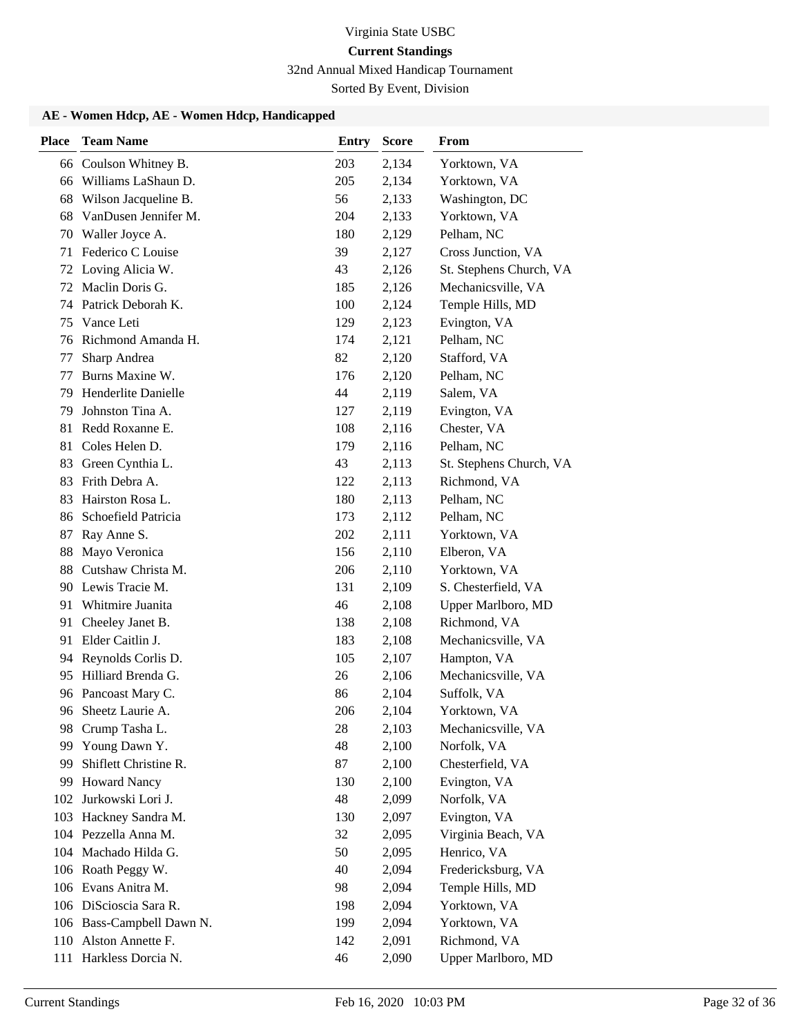32nd Annual Mixed Handicap Tournament

Sorted By Event, Division

| <b>Place</b> | <b>Team Name</b>                | <b>Entry</b> | <b>Score</b>   | From                              |
|--------------|---------------------------------|--------------|----------------|-----------------------------------|
| 66           | Coulson Whitney B.              | 203          | 2,134          | Yorktown, VA                      |
| 66           | Williams LaShaun D.             | 205          | 2,134          | Yorktown, VA                      |
| 68           | Wilson Jacqueline B.            | 56           | 2,133          | Washington, DC                    |
| 68           | VanDusen Jennifer M.            | 204          | 2,133          | Yorktown, VA                      |
| 70           | Waller Joyce A.                 | 180          | 2,129          | Pelham, NC                        |
| 71           | Federico C Louise               | 39           | 2,127          | Cross Junction, VA                |
|              | 72 Loving Alicia W.             | 43           | 2,126          | St. Stephens Church, VA           |
| 72           | Maclin Doris G.                 | 185          | 2,126          | Mechanicsville, VA                |
| 74           | Patrick Deborah K.              | 100          | 2,124          | Temple Hills, MD                  |
| 75           | Vance Leti                      | 129          | 2,123          | Evington, VA                      |
|              | 76 Richmond Amanda H.           | 174          | 2,121          | Pelham, NC                        |
| 77           | Sharp Andrea                    | 82           | 2,120          | Stafford, VA                      |
| 77           | Burns Maxine W.                 | 176          | 2,120          | Pelham, NC                        |
| 79           | Henderlite Danielle             | 44           | 2,119          | Salem, VA                         |
| 79           | Johnston Tina A.                | 127          | 2,119          | Evington, VA                      |
| 81           | Redd Roxanne E.                 | 108          | 2,116          | Chester, VA                       |
| 81           | Coles Helen D.                  | 179          | 2,116          | Pelham, NC                        |
| 83           | Green Cynthia L.                | 43           | 2,113          | St. Stephens Church, VA           |
| 83           | Frith Debra A.                  | 122          | 2,113          | Richmond, VA                      |
| 83           | Hairston Rosa L.                | 180          | 2,113          | Pelham, NC                        |
| 86           | Schoefield Patricia             | 173          | 2,112          | Pelham, NC                        |
| 87           | Ray Anne S.                     | 202          | 2,111          | Yorktown, VA                      |
| 88           | Mayo Veronica                   | 156          | 2,110          | Elberon, VA                       |
| 88           | Cutshaw Christa M.              | 206          | 2,110          | Yorktown, VA                      |
| 90           | Lewis Tracie M.                 | 131          | 2,109          | S. Chesterfield, VA               |
| 91           | Whitmire Juanita                | 46           | 2,108          | Upper Marlboro, MD                |
| 91           | Cheeley Janet B.                | 138          | 2,108          | Richmond, VA                      |
| 91           | Elder Caitlin J.                | 183          | 2,108          | Mechanicsville, VA                |
| 94           | Reynolds Corlis D.              | 105          | 2,107          | Hampton, VA                       |
| 95           | Hilliard Brenda G.              | 26           | 2,106          | Mechanicsville, VA                |
|              | 96 Pancoast Mary C.             | 86           | 2,104          | Suffolk, VA                       |
| 96           | Sheetz Laurie A.                | 206          | 2,104          | Yorktown, VA                      |
| 98.<br>99    | Crump Tasha L.<br>Young Dawn Y. | 28<br>48     | 2,103          | Mechanicsville, VA<br>Norfolk, VA |
| 99           | Shiflett Christine R.           | 87           | 2,100<br>2,100 | Chesterfield, VA                  |
| 99           | <b>Howard Nancy</b>             | 130          | 2,100          | Evington, VA                      |
| 102          | Jurkowski Lori J.               | 48           | 2,099          | Norfolk, VA                       |
| 103          | Hackney Sandra M.               | 130          | 2,097          | Evington, VA                      |
|              | 104 Pezzella Anna M.            | 32           | 2,095          | Virginia Beach, VA                |
| 104          | Machado Hilda G.                | 50           | 2,095          | Henrico, VA                       |
|              | 106 Roath Peggy W.              | 40           | 2,094          | Fredericksburg, VA                |
|              | 106 Evans Anitra M.             | 98           | 2,094          | Temple Hills, MD                  |
|              | 106 DiScioscia Sara R.          | 198          | 2,094          | Yorktown, VA                      |
|              | 106 Bass-Campbell Dawn N.       | 199          | 2,094          | Yorktown, VA                      |
| 110          | Alston Annette F.               | 142          | 2,091          | Richmond, VA                      |
|              | 111 Harkless Dorcia N.          | 46           | 2,090          | Upper Marlboro, MD                |
|              |                                 |              |                |                                   |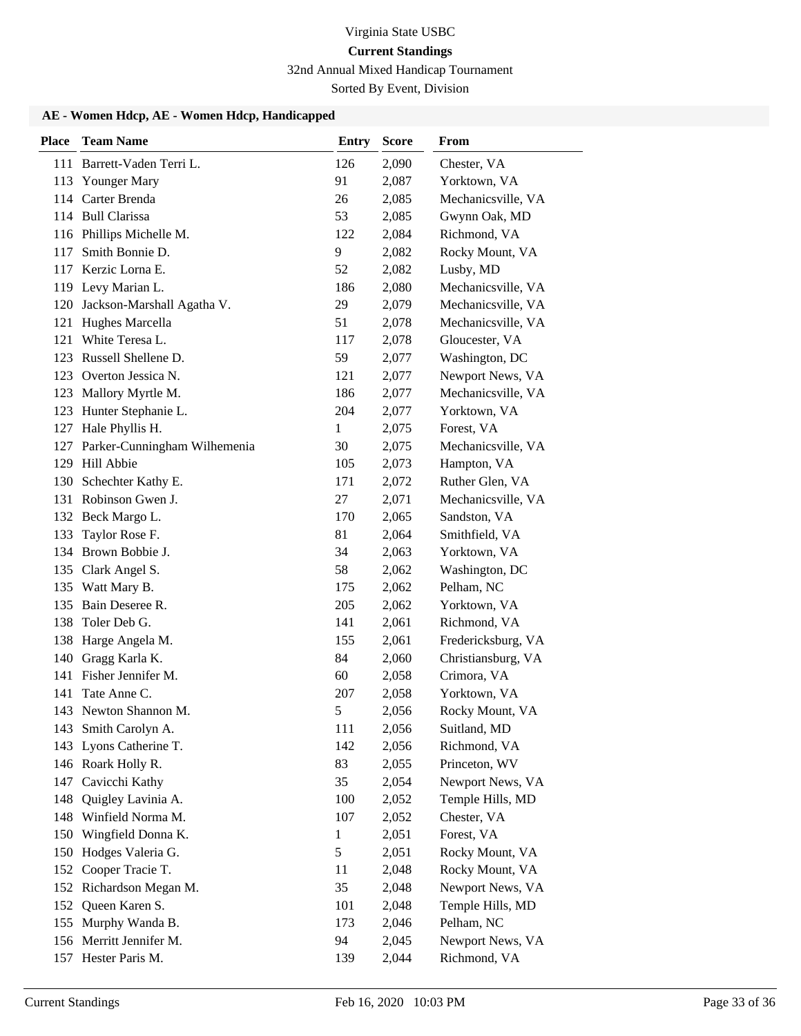32nd Annual Mixed Handicap Tournament

Sorted By Event, Division

| <b>Place</b> | <b>Team Name</b>             | <b>Entry</b> | <b>Score</b> | <b>From</b>        |
|--------------|------------------------------|--------------|--------------|--------------------|
|              | 111 Barrett-Vaden Terri L.   | 126          | 2,090        | Chester, VA        |
|              | 113 Younger Mary             | 91           | 2,087        | Yorktown, VA       |
|              | 114 Carter Brenda            | 26           | 2,085        | Mechanicsville, VA |
|              | 114 Bull Clarissa            | 53           | 2,085        | Gwynn Oak, MD      |
|              | 116 Phillips Michelle M.     | 122          | 2,084        | Richmond, VA       |
| 117          | Smith Bonnie D.              | 9            | 2,082        | Rocky Mount, VA    |
|              | 117 Kerzic Lorna E.          | 52           | 2,082        | Lusby, MD          |
|              | 119 Levy Marian L.           | 186          | 2,080        | Mechanicsville, VA |
| 120          | Jackson-Marshall Agatha V.   | 29           | 2,079        | Mechanicsville, VA |
| 121          | Hughes Marcella              | 51           | 2,078        | Mechanicsville, VA |
| 121          | White Teresa L.              | 117          | 2,078        | Gloucester, VA     |
|              | 123 Russell Shellene D.      | 59           | 2,077        | Washington, DC     |
|              | 123 Overton Jessica N.       | 121          | 2,077        | Newport News, VA   |
|              | 123 Mallory Myrtle M.        | 186          | 2,077        | Mechanicsville, VA |
|              | 123 Hunter Stephanie L.      | 204          | 2,077        | Yorktown, VA       |
|              | 127 Hale Phyllis H.          | $\mathbf{1}$ | 2,075        | Forest, VA         |
| 127          | Parker-Cunningham Wilhemenia | 30           | 2,075        | Mechanicsville, VA |
|              | 129 Hill Abbie               | 105          | 2,073        | Hampton, VA        |
| 130          | Schechter Kathy E.           | 171          | 2,072        | Ruther Glen, VA    |
|              | 131 Robinson Gwen J.         | 27           | 2,071        | Mechanicsville, VA |
|              | 132 Beck Margo L.            | 170          | 2,065        | Sandston, VA       |
| 133          | Taylor Rose F.               | 81           | 2,064        | Smithfield, VA     |
|              | 134 Brown Bobbie J.          | 34           | 2,063        | Yorktown, VA       |
|              | 135 Clark Angel S.           | 58           | 2,062        | Washington, DC     |
|              | 135 Watt Mary B.             | 175          | 2,062        | Pelham, NC         |
|              | 135 Bain Deseree R.          | 205          | 2,062        | Yorktown, VA       |
| 138          | Toler Deb G.                 | 141          | 2,061        | Richmond, VA       |
| 138          | Harge Angela M.              | 155          | 2,061        | Fredericksburg, VA |
| 140          | Gragg Karla K.               | 84           | 2,060        | Christiansburg, VA |
| 141          | Fisher Jennifer M.           | 60           | 2,058        | Crimora, VA        |
| 141          | Tate Anne C.                 | 207          | 2,058        | Yorktown, VA       |
|              | 143 Newton Shannon M.        | 5            | 2,056        | Rocky Mount, VA    |
|              | 143 Smith Carolyn A.         | 111          | 2,056        | Suitland, MD       |
|              | 143 Lyons Catherine T.       | 142          | 2,056        | Richmond, VA       |
|              | 146 Roark Holly R.           | 83           | 2,055        | Princeton, WV      |
|              | 147 Cavicchi Kathy           | 35           | 2,054        | Newport News, VA   |
| 148          | Quigley Lavinia A.           | 100          | 2,052        | Temple Hills, MD   |
| 148          | Winfield Norma M.            | 107          | 2,052        | Chester, VA        |
| 150          | Wingfield Donna K.           | $\mathbf{1}$ | 2,051        | Forest, VA         |
| 150          | Hodges Valeria G.            | 5            | 2,051        | Rocky Mount, VA    |
| 152          | Cooper Tracie T.             | 11           | 2,048        | Rocky Mount, VA    |
|              | 152 Richardson Megan M.      | 35           | 2,048        | Newport News, VA   |
|              | 152 Queen Karen S.           | 101          | 2,048        | Temple Hills, MD   |
|              | 155 Murphy Wanda B.          | 173          | 2,046        | Pelham, NC         |
|              | 156 Merritt Jennifer M.      | 94           | 2,045        | Newport News, VA   |
|              | 157 Hester Paris M.          | 139          | 2,044        | Richmond, VA       |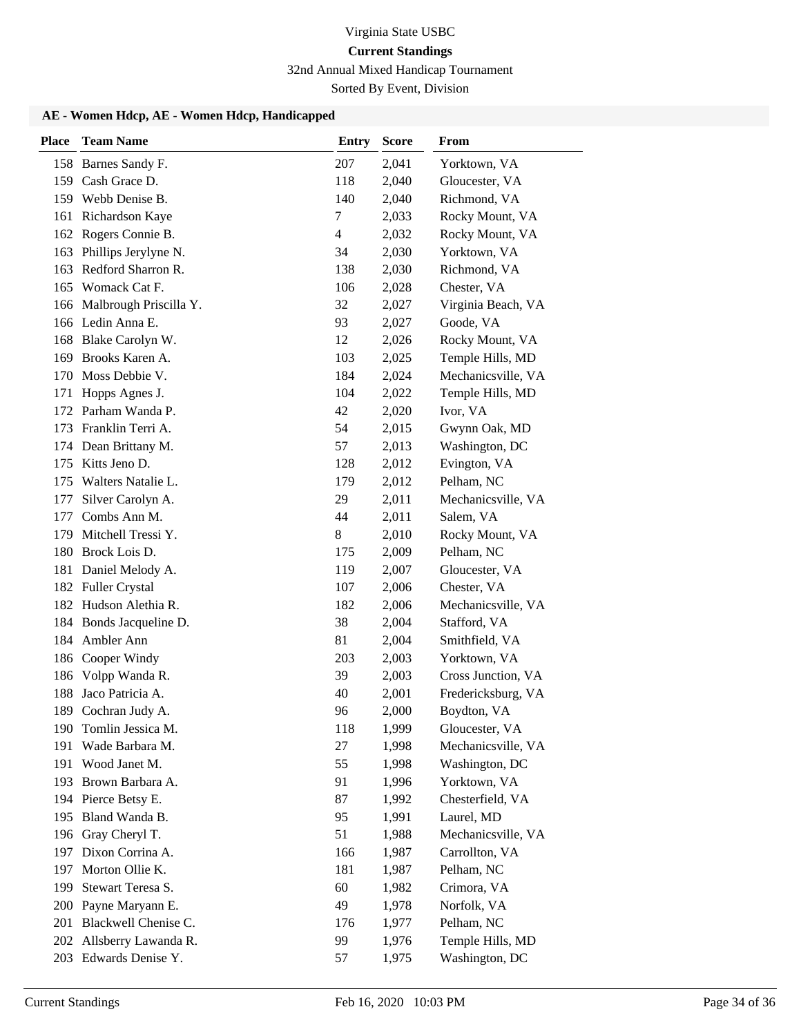32nd Annual Mixed Handicap Tournament

Sorted By Event, Division

| <b>Place</b> | <b>Team Name</b>                         | <b>Entry</b> | <b>Score</b> | From               |
|--------------|------------------------------------------|--------------|--------------|--------------------|
|              | 158 Barnes Sandy F.                      | 207          | 2,041        | Yorktown, VA       |
|              | 159 Cash Grace D.                        | 118          | 2,040        | Gloucester, VA     |
|              | 159 Webb Denise B.                       | 140          | 2,040        | Richmond, VA       |
| 161          | Richardson Kaye                          | 7            | 2,033        | Rocky Mount, VA    |
| 162          | Rogers Connie B.                         | 4            | 2,032        | Rocky Mount, VA    |
| 163          | Phillips Jerylyne N.                     | 34           | 2,030        | Yorktown, VA       |
| 163          | Redford Sharron R.                       | 138          | 2,030        | Richmond, VA       |
| 165          | Womack Cat F.                            | 106          | 2,028        | Chester, VA        |
| 166          | Malbrough Priscilla Y.                   | 32           | 2,027        | Virginia Beach, VA |
|              | 166 Ledin Anna E.                        | 93           | 2,027        | Goode, VA          |
|              | 168 Blake Carolyn W.                     | 12           | 2,026        | Rocky Mount, VA    |
| 169          | Brooks Karen A.                          | 103          | 2,025        | Temple Hills, MD   |
| 170          | Moss Debbie V.                           | 184          | 2,024        | Mechanicsville, VA |
| 171          | Hopps Agnes J.                           | 104          | 2,022        | Temple Hills, MD   |
|              | 172 Parham Wanda P.                      | 42           | 2,020        | Ivor, VA           |
|              | 173 Franklin Terri A.                    | 54           | 2,015        | Gwynn Oak, MD      |
| 174          | Dean Brittany M.                         | 57           | 2,013        | Washington, DC     |
| 175          | Kitts Jeno D.                            | 128          | 2,012        | Evington, VA       |
| 175          | Walters Natalie L.                       | 179          | 2,012        | Pelham, NC         |
| 177          | Silver Carolyn A.                        | 29           | 2,011        | Mechanicsville, VA |
| 177          | Combs Ann M.                             | 44           | 2,011        | Salem, VA          |
| 179          | Mitchell Tressi Y.                       | 8            | 2,010        | Rocky Mount, VA    |
| 180          | Brock Lois D.                            | 175          | 2,009        | Pelham, NC         |
| 181          | Daniel Melody A.                         | 119          | 2,007        | Gloucester, VA     |
| 182          | <b>Fuller Crystal</b>                    | 107          | 2,006        | Chester, VA        |
| 182          | Hudson Alethia R.                        | 182          | 2,006        | Mechanicsville, VA |
|              | 184 Bonds Jacqueline D.                  | 38           | 2,004        | Stafford, VA       |
| 184          | Ambler Ann                               | 81           | 2,004        | Smithfield, VA     |
| 186          | Cooper Windy                             | 203          | 2,003        | Yorktown, VA       |
|              | 186 Volpp Wanda R.                       | 39           | 2,003        | Cross Junction, VA |
| 188          | Jaco Patricia A.                         | 40           | 2,001        | Fredericksburg, VA |
| 189          | Cochran Judy A.                          | 96           | 2,000        | Boydton, VA        |
| 190          | Tomlin Jessica M.                        | 118          | 1,999        | Gloucester, VA     |
| 191          | Wade Barbara M.                          | 27           | 1,998        | Mechanicsville, VA |
|              | 191 Wood Janet M.                        | 55           | 1,998        | Washington, DC     |
| 193          | Brown Barbara A.                         | 91           | 1,996        | Yorktown, VA       |
| 194          | Pierce Betsy E.                          | 87           | 1,992        | Chesterfield, VA   |
| 195          | Bland Wanda B.                           | 95           | 1,991        | Laurel, MD         |
| 196          | Gray Cheryl T.                           | 51           | 1,988        | Mechanicsville, VA |
| 197          | Dixon Corrina A.                         | 166          | 1,987        | Carrollton, VA     |
| 197          | Morton Ollie K.                          | 181          | 1,987        | Pelham, NC         |
| 199          | Stewart Teresa S.                        | 60           | 1,982        | Crimora, VA        |
| 200          | Payne Maryann E.<br>Blackwell Chenise C. | 49           | 1,978        | Norfolk, VA        |
| 201          |                                          | 176          | 1,977        | Pelham, NC         |
| 202          | Allsberry Lawanda R.                     | 99           | 1,976        | Temple Hills, MD   |
|              | 203 Edwards Denise Y.                    | 57           | 1,975        | Washington, DC     |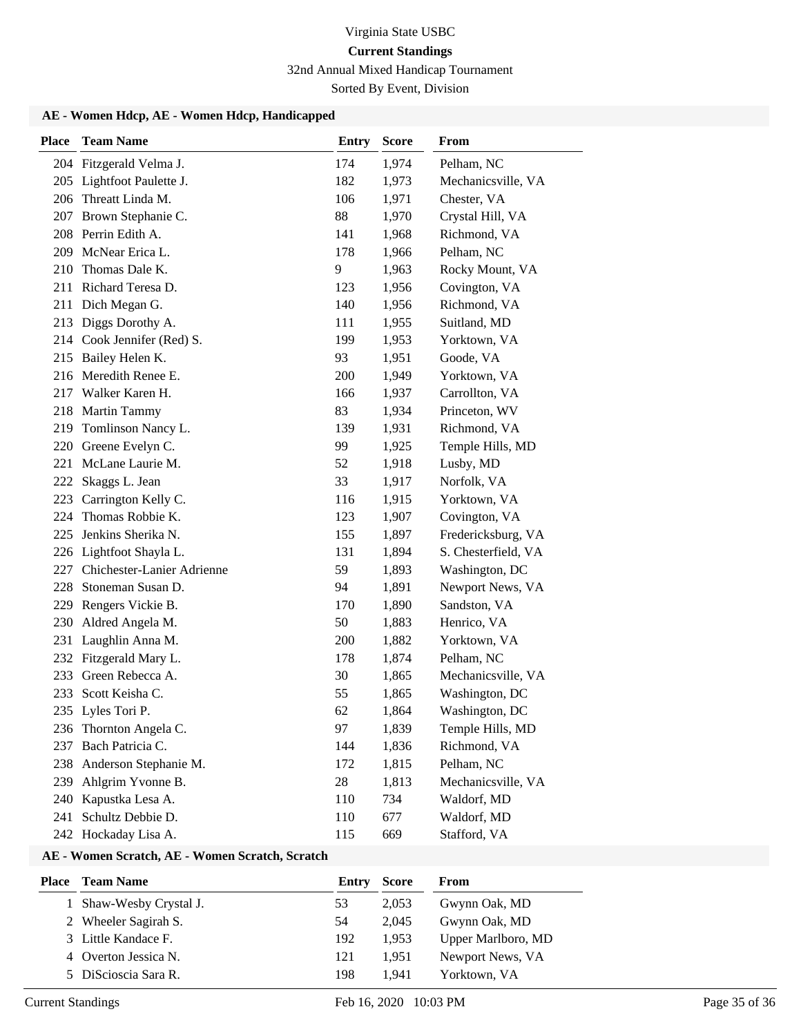32nd Annual Mixed Handicap Tournament

Sorted By Event, Division

## **AE - Women Hdcp, AE - Women Hdcp, Handicapped**

| <b>Place</b> | <b>Team Name</b>           | <b>Entry</b> | <b>Score</b> | From                |
|--------------|----------------------------|--------------|--------------|---------------------|
|              | 204 Fitzgerald Velma J.    | 174          | 1,974        | Pelham, NC          |
|              | 205 Lightfoot Paulette J.  | 182          | 1,973        | Mechanicsville, VA  |
|              | 206 Threatt Linda M.       | 106          | 1,971        | Chester, VA         |
|              | 207 Brown Stephanie C.     | 88           | 1,970        | Crystal Hill, VA    |
|              | 208 Perrin Edith A.        | 141          | 1,968        | Richmond, VA        |
|              | 209 McNear Erica L.        | 178          | 1,966        | Pelham, NC          |
| 210          | Thomas Dale K.             | 9            | 1,963        | Rocky Mount, VA     |
| 211          | Richard Teresa D.          | 123          | 1,956        | Covington, VA       |
| 211          | Dich Megan G.              | 140          | 1,956        | Richmond, VA        |
| 213          | Diggs Dorothy A.           | 111          | 1,955        | Suitland, MD        |
|              | 214 Cook Jennifer (Red) S. | 199          | 1,953        | Yorktown, VA        |
| 215          | Bailey Helen K.            | 93           | 1,951        | Goode, VA           |
|              | 216 Meredith Renee E.      | 200          | 1,949        | Yorktown, VA        |
|              | 217 Walker Karen H.        | 166          | 1,937        | Carrollton, VA      |
| 218          | <b>Martin Tammy</b>        | 83           | 1,934        | Princeton, WV       |
| 219          | Tomlinson Nancy L.         | 139          | 1,931        | Richmond, VA        |
| 220          | Greene Evelyn C.           | 99           | 1,925        | Temple Hills, MD    |
|              | 221 McLane Laurie M.       | 52           | 1,918        | Lusby, MD           |
| 222          | Skaggs L. Jean             | 33           | 1,917        | Norfolk, VA         |
| 223          | Carrington Kelly C.        | 116          | 1,915        | Yorktown, VA        |
| 224          | Thomas Robbie K.           | 123          | 1,907        | Covington, VA       |
| 225          | Jenkins Sherika N.         | 155          | 1,897        | Fredericksburg, VA  |
|              | 226 Lightfoot Shayla L.    | 131          | 1,894        | S. Chesterfield, VA |
| 227          | Chichester-Lanier Adrienne | 59           | 1,893        | Washington, DC      |
| 228          | Stoneman Susan D.          | 94           | 1,891        | Newport News, VA    |
| 229          | Rengers Vickie B.          | 170          | 1,890        | Sandston, VA        |
| 230          | Aldred Angela M.           | 50           | 1,883        | Henrico, VA         |
| 231          | Laughlin Anna M.           | 200          | 1,882        | Yorktown, VA        |
|              | 232 Fitzgerald Mary L.     | 178          | 1,874        | Pelham, NC          |
| 233          | Green Rebecca A.           | 30           | 1,865        | Mechanicsville, VA  |
|              | 233 Scott Keisha C.        | 55           | 1,865        | Washington, DC      |
|              | 235 Lyles Tori P.          | 62           | 1,864        | Washington, DC      |
|              | 236 Thornton Angela C.     | 97           | 1,839        | Temple Hills, MD    |
| 237          | Bach Patricia C.           | 144          | 1,836        | Richmond, VA        |
| 238          | Anderson Stephanie M.      | 172          | 1,815        | Pelham, NC          |
| 239          | Ahlgrim Yvonne B.          | 28           | 1,813        | Mechanicsville, VA  |
| 240          | Kapustka Lesa A.           | 110          | 734          | Waldorf, MD         |
| 241          | Schultz Debbie D.          | 110          | 677          | Waldorf, MD         |
|              | 242 Hockaday Lisa A.       | 115          | 669          | Stafford, VA        |

### **AE - Women Scratch, AE - Women Scratch, Scratch**

| Place | Team Name               | Entry | <b>Score</b> | From               |
|-------|-------------------------|-------|--------------|--------------------|
|       | 1 Shaw-Wesby Crystal J. | 53    | 2.053        | Gwynn Oak, MD      |
|       | 2 Wheeler Sagirah S.    | 54    | 2.045        | Gwynn Oak, MD      |
|       | 3 Little Kandace F.     | 192   | 1.953        | Upper Marlboro, MD |
| 4     | Overton Jessica N.      | 121   | 1.951        | Newport News, VA   |
|       | 5 DiScioscia Sara R.    | 198   | 1.941        | Yorktown, VA       |